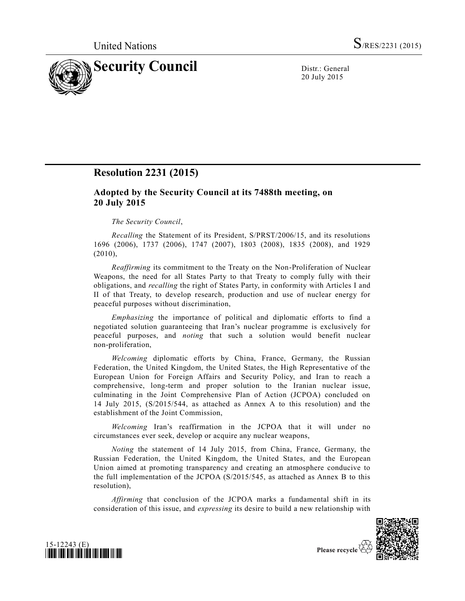

20 July 2015

# **Resolution 2231 (2015)**

# **Adopted by the Security Council at its 7488th meeting, on 20 July 2015**

#### *The Security Council*,

*Recalling* the Statement of its President, S/PRST/2006/15, and its resolutions 1696 (2006), 1737 (2006), 1747 (2007), 1803 (2008), 1835 (2008), and 1929 (2010),

*Reaffirming* its commitment to the Treaty on the Non-Proliferation of Nuclear Weapons, the need for all States Party to that Treaty to comply fully with their obligations, and *recalling* the right of States Party, in conformity with Articles I and II of that Treaty, to develop research, production and use of nuclear energy for peaceful purposes without discrimination,

*Emphasizing* the importance of political and diplomatic efforts to find a negotiated solution guaranteeing that Iran's nuclear programme is exclusively for peaceful purposes, and *noting* that such a solution would benefit nuclear non-proliferation,

*Welcoming* diplomatic efforts by China, France, Germany, the Russian Federation, the United Kingdom, the United States, the High Representative of the European Union for Foreign Affairs and Security Policy, and Iran to reach a comprehensive, long-term and proper solution to the Iranian nuclear issue, culminating in the Joint Comprehensive Plan of Action (JCPOA) concluded on 14 July 2015, (S/2015/544, as attached as Annex A to this resolution) and the establishment of the Joint Commission,

*Welcoming* Iran's reaffirmation in the JCPOA that it will under no circumstances ever seek, develop or acquire any nuclear weapons,

*Noting* the statement of 14 July 2015, from China, France, Germany, the Russian Federation, the United Kingdom, the United States, and the European Union aimed at promoting transparency and creating an atmosphere conducive to the full implementation of the JCPOA (S/2015/545, as attached as Annex B to this resolution),

*Affirming* that conclusion of the JCPOA marks a fundamental shift in its consideration of this issue, and *expressing* its desire to build a new relationship with





Please recycle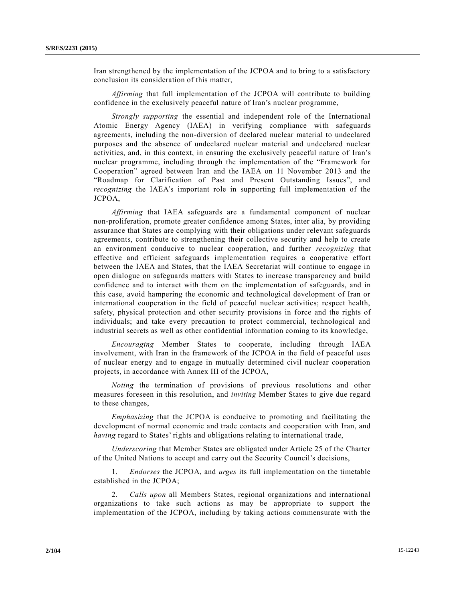Iran strengthened by the implementation of the JCPOA and to bring to a satisfactory conclusion its consideration of this matter,

*Affirming* that full implementation of the JCPOA will contribute to building confidence in the exclusively peaceful nature of Iran's nuclear programme,

*Strongly supporting* the essential and independent role of the International Atomic Energy Agency (IAEA) in verifying compliance with safeguards agreements, including the non-diversion of declared nuclear material to undeclared purposes and the absence of undeclared nuclear material and undeclared nuclear activities, and, in this context, in ensuring the exclusively peaceful nature of Iran's nuclear programme, including through the implementation of the "Framework for Cooperation" agreed between Iran and the IAEA on 11 November 2013 and the "Roadmap for Clarification of Past and Present Outstanding Issues", and *recognizing* the IAEA's important role in supporting full implementation of the JCPOA,

*Affirming* that IAEA safeguards are a fundamental component of nuclear non-proliferation, promote greater confidence among States, inter alia, by providing assurance that States are complying with their obligations under relevant safeguards agreements, contribute to strengthening their collective security and help to create an environment conducive to nuclear cooperation, and further *recognizing* that effective and efficient safeguards implementation requires a cooperative effort between the IAEA and States, that the IAEA Secretariat will continue to engage in open dialogue on safeguards matters with States to increase transparency and build confidence and to interact with them on the implementation of safeguards, and in this case, avoid hampering the economic and technological development of Iran or international cooperation in the field of peaceful nuclear activities; respect health, safety, physical protection and other security provisions in force and the rights of individuals; and take every precaution to protect commercial, technological and industrial secrets as well as other confidential information coming to its knowledge,

*Encouraging* Member States to cooperate, including through IAEA involvement, with Iran in the framework of the JCPOA in the field of peaceful uses of nuclear energy and to engage in mutually determined civil nuclear cooperation projects, in accordance with Annex III of the JCPOA,

*Noting* the termination of provisions of previous resolutions and other measures foreseen in this resolution, and *inviting* Member States to give due regard to these changes,

*Emphasizing* that the JCPOA is conducive to promoting and facilitating the development of normal economic and trade contacts and cooperation with Iran, and *having* regard to States' rights and obligations relating to international trade,

*Underscoring* that Member States are obligated under Article 25 of the Charter of the United Nations to accept and carry out the Security Council's decisions,

1. *Endorses* the JCPOA, and *urges* its full implementation on the timetable established in the JCPOA;

2. *Calls upon* all Members States, regional organizations and international organizations to take such actions as may be appropriate to support the implementation of the JCPOA, including by taking actions commensurate with the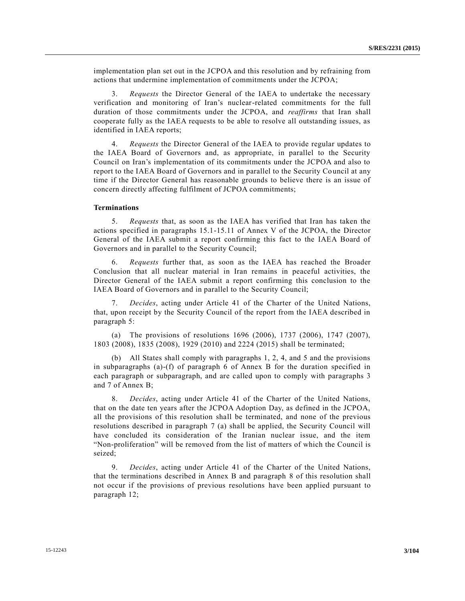implementation plan set out in the JCPOA and this resolution and by refraining from actions that undermine implementation of commitments under the JCPOA;

3. *Requests* the Director General of the IAEA to undertake the necessary verification and monitoring of Iran's nuclear-related commitments for the full duration of those commitments under the JCPOA, and *reaffirms* that Iran shall cooperate fully as the IAEA requests to be able to resolve all outstanding issues, as identified in IAEA reports;

4. *Requests* the Director General of the IAEA to provide regular updates to the IAEA Board of Governors and, as appropriate, in parallel to the Security Council on Iran's implementation of its commitments under the JCPOA and also to report to the IAEA Board of Governors and in parallel to the Security Council at any time if the Director General has reasonable grounds to believe there is an issue of concern directly affecting fulfilment of JCPOA commitments;

#### **Terminations**

5. *Requests* that, as soon as the IAEA has verified that Iran has taken the actions specified in paragraphs 15.1-15.11 of Annex V of the JCPOA, the Director General of the IAEA submit a report confirming this fact to the IAEA Board of Governors and in parallel to the Security Council;

6. *Requests* further that, as soon as the IAEA has reached the Broader Conclusion that all nuclear material in Iran remains in peaceful activities, the Director General of the IAEA submit a report confirming this conclusion to the IAEA Board of Governors and in parallel to the Security Council;

7. *Decides*, acting under Article 41 of the Charter of the United Nations, that, upon receipt by the Security Council of the report from the IAEA described in paragraph 5:

(a) The provisions of resolutions 1696 (2006), 1737 (2006), 1747 (2007), 1803 (2008), 1835 (2008), 1929 (2010) and 2224 (2015) shall be terminated;

(b) All States shall comply with paragraphs 1, 2, 4, and 5 and the provisions in subparagraphs (a)-(f) of paragraph 6 of Annex B for the duration specified in each paragraph or subparagraph, and are called upon to comply with paragraphs 3 and 7 of Annex B;

8. *Decides*, acting under Article 41 of the Charter of the United Nations, that on the date ten years after the JCPOA Adoption Day, as defined in the JCPOA, all the provisions of this resolution shall be terminated, and none of the previous resolutions described in paragraph 7 (a) shall be applied, the Security Council will have concluded its consideration of the Iranian nuclear issue, and the item "Non-proliferation" will be removed from the list of matters of which the Council is seized;

9. *Decides*, acting under Article 41 of the Charter of the United Nations, that the terminations described in Annex B and paragraph 8 of this resolution shall not occur if the provisions of previous resolutions have been applied pursuant to paragraph 12;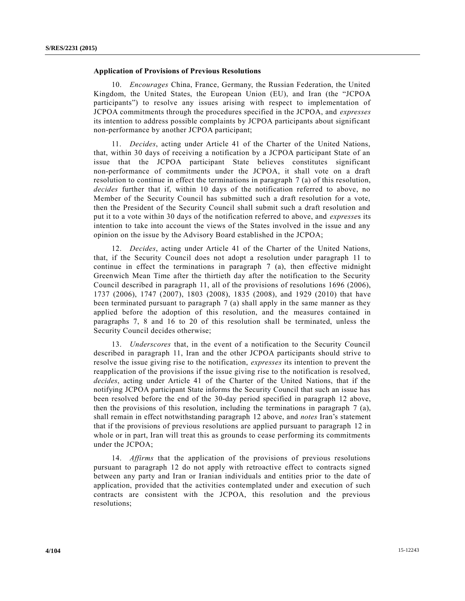#### **Application of Provisions of Previous Resolutions**

10. *Encourages* China, France, Germany, the Russian Federation, the United Kingdom, the United States, the European Union (EU), and Iran (the "JCPOA participants") to resolve any issues arising with respect to implementation of JCPOA commitments through the procedures specified in the JCPOA, and *expresses* its intention to address possible complaints by JCPOA participants about significant non-performance by another JCPOA participant;

11. *Decides*, acting under Article 41 of the Charter of the United Nations, that, within 30 days of receiving a notification by a JCPOA participant State of an issue that the JCPOA participant State believes constitutes significant non-performance of commitments under the JCPOA, it shall vote on a draft resolution to continue in effect the terminations in paragraph 7 (a) of this resolution, *decides* further that if, within 10 days of the notification referred to above, no Member of the Security Council has submitted such a draft resolution for a vote, then the President of the Security Council shall submit such a draft resolution and put it to a vote within 30 days of the notification referred to above, and *expresse*s its intention to take into account the views of the States involved in the issue and any opinion on the issue by the Advisory Board established in the JCPOA;

12. *Decides*, acting under Article 41 of the Charter of the United Nations, that, if the Security Council does not adopt a resolution under paragraph 11 to continue in effect the terminations in paragraph 7 (a), then effective midnight Greenwich Mean Time after the thirtieth day after the notification to the Security Council described in paragraph 11, all of the provisions of resolutions 1696 (2006), 1737 (2006), 1747 (2007), 1803 (2008), 1835 (2008), and 1929 (2010) that have been terminated pursuant to paragraph 7 (a) shall apply in the same manner as they applied before the adoption of this resolution, and the measures contained in paragraphs 7, 8 and 16 to 20 of this resolution shall be terminated, unless the Security Council decides otherwise;

13. *Underscores* that, in the event of a notification to the Security Council described in paragraph 11, Iran and the other JCPOA participants should strive to resolve the issue giving rise to the notification, *expresses* its intention to prevent the reapplication of the provisions if the issue giving rise to the notification is resolved, *decides*, acting under Article 41 of the Charter of the United Nations, that if the notifying JCPOA participant State informs the Security Council that such an issue has been resolved before the end of the 30-day period specified in paragraph 12 above, then the provisions of this resolution, including the terminations in paragraph 7 (a), shall remain in effect notwithstanding paragraph 12 above, and *notes* Iran's statement that if the provisions of previous resolutions are applied pursuant to paragraph 12 in whole or in part, Iran will treat this as grounds to cease performing its commitments under the JCPOA;

14. *Affirms* that the application of the provisions of previous resolutions pursuant to paragraph 12 do not apply with retroactive effect to contracts signed between any party and Iran or Iranian individuals and entities prior to the date of application, provided that the activities contemplated under and execution of such contracts are consistent with the JCPOA, this resolution and the previous resolutions;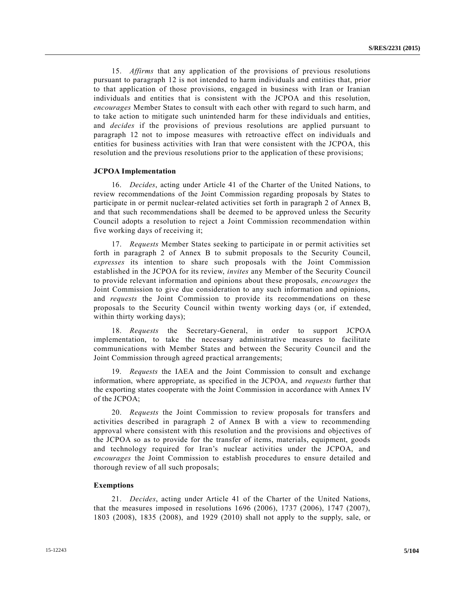15. *Affirms* that any application of the provisions of previous resolutions pursuant to paragraph 12 is not intended to harm individuals and entities that, prior to that application of those provisions, engaged in business with Iran or Iranian individuals and entities that is consistent with the JCPOA and this resolution, *encourages* Member States to consult with each other with regard to such harm, and to take action to mitigate such unintended harm for these individuals and entities, and *decides* if the provisions of previous resolutions are applied pursuant to paragraph 12 not to impose measures with retroactive effect on individuals and entities for business activities with Iran that were consistent with the JCPOA, this resolution and the previous resolutions prior to the application of these provisions;

#### **JCPOA Implementation**

16. *Decides*, acting under Article 41 of the Charter of the United Nations, to review recommendations of the Joint Commission regarding proposals by States to participate in or permit nuclear-related activities set forth in paragraph 2 of Annex B, and that such recommendations shall be deemed to be approved unless the Security Council adopts a resolution to reject a Joint Commission recommendation within five working days of receiving it;

17. *Requests* Member States seeking to participate in or permit activities set forth in paragraph 2 of Annex B to submit proposals to the Security Council, *expresses* its intention to share such proposals with the Joint Commission established in the JCPOA for its review, *invites* any Member of the Security Council to provide relevant information and opinions about these proposals, *encourages* the Joint Commission to give due consideration to any such information and opinions, and *requests* the Joint Commission to provide its recommendations on these proposals to the Security Council within twenty working days (or, if extended, within thirty working days);

18. *Requests* the Secretary-General, in order to support JCPOA implementation, to take the necessary administrative measures to facilitate communications with Member States and between the Security Council and the Joint Commission through agreed practical arrangements;

19. *Requests* the IAEA and the Joint Commission to consult and exchange information, where appropriate, as specified in the JCPOA, and *requests* further that the exporting states cooperate with the Joint Commission in accordance with Annex IV of the JCPOA;

20. *Requests* the Joint Commission to review proposals for transfers and activities described in paragraph 2 of Annex B with a view to recommending approval where consistent with this resolution and the provisions and objectives of the JCPOA so as to provide for the transfer of items, materials, equipment, goods and technology required for Iran's nuclear activities under the JCPOA, and *encourages* the Joint Commission to establish procedures to ensure detailed and thorough review of all such proposals;

#### **Exemptions**

21. *Decides*, acting under Article 41 of the Charter of the United Nations, that the measures imposed in resolutions 1696 (2006), 1737 (2006), 1747 (2007), 1803 (2008), 1835 (2008), and 1929 (2010) shall not apply to the supply, sale, or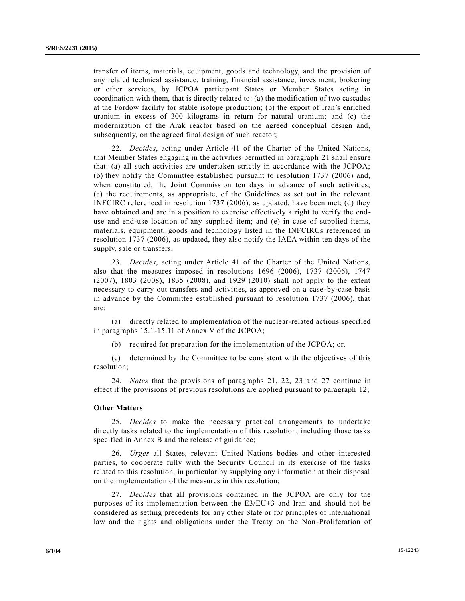transfer of items, materials, equipment, goods and technology, and the provision of any related technical assistance, training, financial assistance, investment, brokering or other services, by JCPOA participant States or Member States acting in coordination with them, that is directly related to: (a) the modification of two cascades at the Fordow facility for stable isotope production; (b) the export of Iran's enriched uranium in excess of 300 kilograms in return for natural uranium; and (c) the modernization of the Arak reactor based on the agreed conceptual design and, subsequently, on the agreed final design of such reactor;

22. *Decides*, acting under Article 41 of the Charter of the United Nations, that Member States engaging in the activities permitted in paragraph 21 shall ensure that: (a) all such activities are undertaken strictly in accordance with the JCPOA; (b) they notify the Committee established pursuant to resolution 1737 (2006) and, when constituted, the Joint Commission ten days in advance of such activities; (c) the requirements, as appropriate, of the Guidelines as set out in the relevant INFCIRC referenced in resolution 1737 (2006), as updated, have been met; (d) they have obtained and are in a position to exercise effectively a right to verify the enduse and end-use location of any supplied item; and (e) in case of supplied items, materials, equipment, goods and technology listed in the INFCIRCs referenced in resolution 1737 (2006), as updated, they also notify the IAEA within ten days of the supply, sale or transfers;

23. *Decides*, acting under Article 41 of the Charter of the United Nations, also that the measures imposed in resolutions 1696 (2006), 1737 (2006), 1747 (2007), 1803 (2008), 1835 (2008), and 1929 (2010) shall not apply to the extent necessary to carry out transfers and activities, as approved on a case -by-case basis in advance by the Committee established pursuant to resolution 1737 (2006), that are:

(a) directly related to implementation of the nuclear-related actions specified in paragraphs 15.1-15.11 of Annex V of the JCPOA;

(b) required for preparation for the implementation of the JCPOA; or,

(c) determined by the Committee to be consistent with the objectives of this resolution;

24. *Notes* that the provisions of paragraphs 21, 22, 23 and 27 continue in effect if the provisions of previous resolutions are applied pursuant to paragraph 12;

#### **Other Matters**

25. *Decides* to make the necessary practical arrangements to undertake directly tasks related to the implementation of this resolution, including those tasks specified in Annex B and the release of guidance;

26. *Urges* all States, relevant United Nations bodies and other interested parties, to cooperate fully with the Security Council in its exercise of the tasks related to this resolution, in particular by supplying any information at their disposal on the implementation of the measures in this resolution;

27. *Decides* that all provisions contained in the JCPOA are only for the purposes of its implementation between the E3/EU+3 and Iran and should not be considered as setting precedents for any other State or for principles of international law and the rights and obligations under the Treaty on the Non-Proliferation of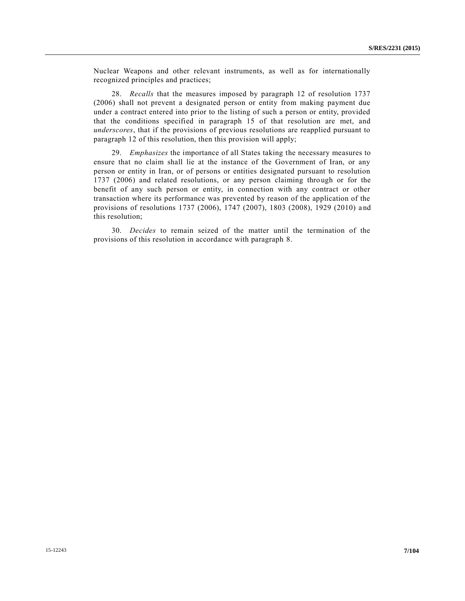Nuclear Weapons and other relevant instruments, as well as for internationally recognized principles and practices;

28. *Recalls* that the measures imposed by paragraph 12 of resolution 1737 (2006) shall not prevent a designated person or entity from making payment due under a contract entered into prior to the listing of such a person or entity, provided that the conditions specified in paragraph 15 of that resolution are met, and *underscores*, that if the provisions of previous resolutions are reapplied pursuant to paragraph 12 of this resolution, then this provision will apply;

29. *Emphasizes* the importance of all States taking the necessary measures to ensure that no claim shall lie at the instance of the Government of Iran, or any person or entity in Iran, or of persons or entities designated pursuant to resolution 1737 (2006) and related resolutions, or any person claiming through or for the benefit of any such person or entity, in connection with any contract or other transaction where its performance was prevented by reason of the application of the provisions of resolutions 1737 (2006), 1747 (2007), 1803 (2008), 1929 (2010) a nd this resolution;

30. *Decides* to remain seized of the matter until the termination of the provisions of this resolution in accordance with paragraph 8.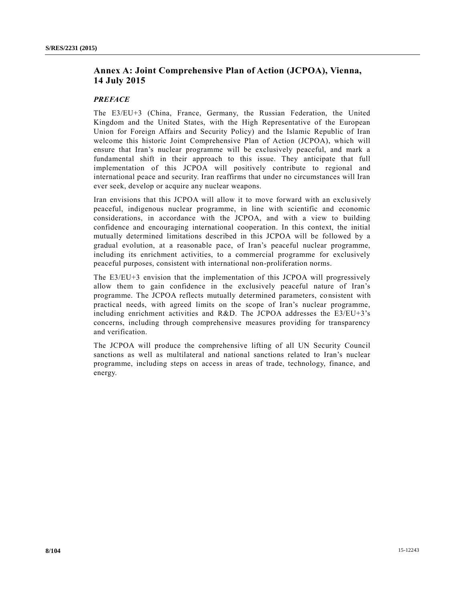# **Annex A: Joint Comprehensive Plan of Action (JCPOA), Vienna, 14 July 2015**

#### *PREFACE*

The E3/EU+3 (China, France, Germany, the Russian Federation, the United Kingdom and the United States, with the High Representative of the European Union for Foreign Affairs and Security Policy) and the Islamic Republic of Iran welcome this historic Joint Comprehensive Plan of Action (JCPOA), which will ensure that Iran's nuclear programme will be exclusively peaceful, and mark a fundamental shift in their approach to this issue. They anticipate that full implementation of this JCPOA will positively contribute to regional and international peace and security. Iran reaffirms that under no circumstances will Iran ever seek, develop or acquire any nuclear weapons.

Iran envisions that this JCPOA will allow it to move forward with an exclusively peaceful, indigenous nuclear programme, in line with scientific and economic considerations, in accordance with the JCPOA, and with a view to building confidence and encouraging international cooperation. In this context, the initial mutually determined limitations described in this JCPOA will be followed by a gradual evolution, at a reasonable pace, of Iran's peaceful nuclear programme, including its enrichment activities, to a commercial programme for exclusively peaceful purposes, consistent with international non-proliferation norms.

The E3/EU+3 envision that the implementation of this JCPOA will progressively allow them to gain confidence in the exclusively peaceful nature of Iran's programme. The JCPOA reflects mutually determined parameters, consistent with practical needs, with agreed limits on the scope of Iran's nuclear programme, including enrichment activities and R&D. The JCPOA addresses the E3/EU+3's concerns, including through comprehensive measures providing for transparency and verification.

The JCPOA will produce the comprehensive lifting of all UN Security Council sanctions as well as multilateral and national sanctions related to Iran's nuclear programme, including steps on access in areas of trade, technology, finance, and energy.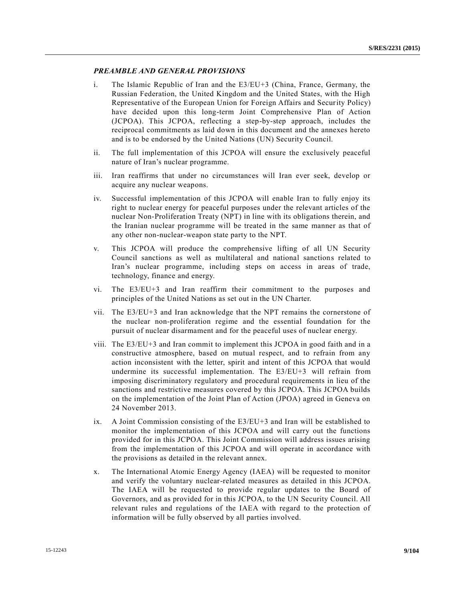## *PREAMBLE AND GENERAL PROVISIONS*

- i. The Islamic Republic of Iran and the E3/EU+3 (China, France, Germany, the Russian Federation, the United Kingdom and the United States, with the High Representative of the European Union for Foreign Affairs and Security Policy) have decided upon this long-term Joint Comprehensive Plan of Action (JCPOA). This JCPOA, reflecting a step-by-step approach, includes the reciprocal commitments as laid down in this document and the annexes hereto and is to be endorsed by the United Nations (UN) Security Council.
- ii. The full implementation of this JCPOA will ensure the exclusively peaceful nature of Iran's nuclear programme.
- iii. Iran reaffirms that under no circumstances will Iran ever seek, develop or acquire any nuclear weapons.
- iv. Successful implementation of this JCPOA will enable Iran to fully enjoy its right to nuclear energy for peaceful purposes under the relevant articles of the nuclear Non-Proliferation Treaty (NPT) in line with its obligations therein, and the Iranian nuclear programme will be treated in the same manner as that of any other non-nuclear-weapon state party to the NPT.
- v. This JCPOA will produce the comprehensive lifting of all UN Security Council sanctions as well as multilateral and national sanctions related to Iran's nuclear programme, including steps on access in areas of trade, technology, finance and energy.
- vi. The E3/EU+3 and Iran reaffirm their commitment to the purposes and principles of the United Nations as set out in the UN Charter.
- vii. The E3/EU+3 and Iran acknowledge that the NPT remains the cornerstone of the nuclear non-proliferation regime and the essential foundation for the pursuit of nuclear disarmament and for the peaceful uses of nuclear energy.
- viii. The E3/EU+3 and Iran commit to implement this JCPOA in good faith and in a constructive atmosphere, based on mutual respect, and to refrain from any action inconsistent with the letter, spirit and intent of this JCPOA that would undermine its successful implementation. The E3/EU+3 will refrain from imposing discriminatory regulatory and procedural requirements in lieu of the sanctions and restrictive measures covered by this JCPOA. This JCPOA builds on the implementation of the Joint Plan of Action (JPOA) agreed in Geneva on 24 November 2013.
- ix. A Joint Commission consisting of the E3/EU+3 and Iran will be established to monitor the implementation of this JCPOA and will carry out the functions provided for in this JCPOA. This Joint Commission will address issues arising from the implementation of this JCPOA and will operate in accordance with the provisions as detailed in the relevant annex.
- x. The International Atomic Energy Agency (IAEA) will be requested to monitor and verify the voluntary nuclear-related measures as detailed in this JCPOA. The IAEA will be requested to provide regular updates to the Board of Governors, and as provided for in this JCPOA, to the UN Security Council. All relevant rules and regulations of the IAEA with regard to the protection of information will be fully observed by all parties involved.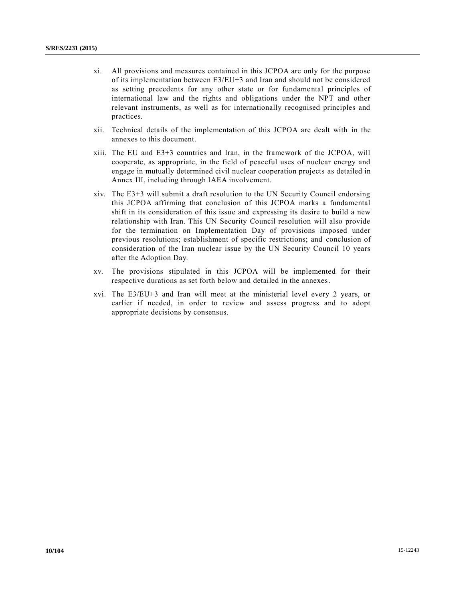- xi. All provisions and measures contained in this JCPOA are only for the purpose of its implementation between E3/EU+3 and Iran and should not be considered as setting precedents for any other state or for fundamental principles of international law and the rights and obligations under the NPT and other relevant instruments, as well as for internationally recognised principles and practices.
- xii. Technical details of the implementation of this JCPOA are dealt with in the annexes to this document.
- xiii. The EU and E3+3 countries and Iran, in the framework of the JCPOA, will cooperate, as appropriate, in the field of peaceful uses of nuclear energy and engage in mutually determined civil nuclear cooperation projects as detailed in Annex III, including through IAEA involvement.
- xiv. The E3+3 will submit a draft resolution to the UN Security Council endorsing this JCPOA affirming that conclusion of this JCPOA marks a fundamental shift in its consideration of this issue and expressing its desire to build a new relationship with Iran. This UN Security Council resolution will also provide for the termination on Implementation Day of provisions imposed under previous resolutions; establishment of specific restrictions; and conclusion of consideration of the Iran nuclear issue by the UN Security Council 10 years after the Adoption Day.
- xv. The provisions stipulated in this JCPOA will be implemented for their respective durations as set forth below and detailed in the annexes.
- xvi. The E3/EU+3 and Iran will meet at the ministerial level every 2 years, or earlier if needed, in order to review and assess progress and to adopt appropriate decisions by consensus.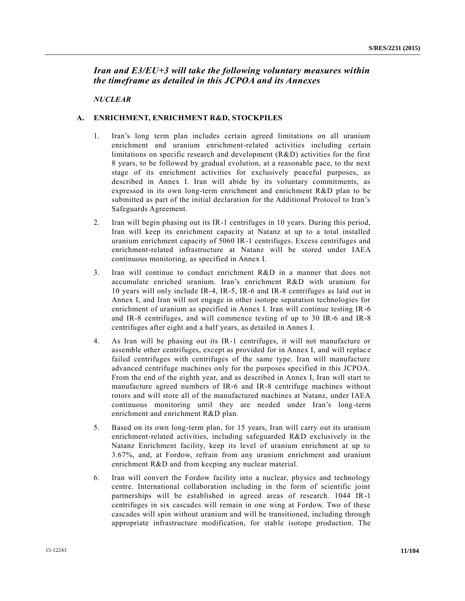# *Iran and E3/EU+3 will take the following voluntary measures within the timeframe as detailed in this JCPOA and its Annexes*

*NUCLEAR*

## **A. ENRICHMENT, ENRICHMENT R&D, STOCKPILES**

- 1. Iran's long term plan includes certain agreed limitations on all uranium enrichment and uranium enrichment-related activities including certain limitations on specific research and development (R&D) activities for the first 8 years, to be followed by gradual evolution, at a reasonable pace, to the next stage of its enrichment activities for exclusively peaceful purposes, as described in Annex I. Iran will abide by its voluntary commitments, as expressed in its own long-term enrichment and enrichment R&D plan to be submitted as part of the initial declaration for the Additional Protocol to Iran's Safeguards Agreement.
- 2. Iran will begin phasing out its IR-1 centrifuges in 10 years. During this period, Iran will keep its enrichment capacity at Natanz at up to a total installed uranium enrichment capacity of 5060 IR-1 centrifuges. Excess centrifuges and enrichment-related infrastructure at Natanz will be stored under IAEA continuous monitoring, as specified in Annex I.
- 3. Iran will continue to conduct enrichment R&D in a manner that does not accumulate enriched uranium. Iran's enrichment R&D with uranium for 10 years will only include IR-4, IR-5, IR-6 and IR-8 centrifuges as laid out in Annex I, and Iran will not engage in other isotope separation technologies for enrichment of uranium as specified in Annex I. Iran will continue testing IR-6 and IR-8 centrifuges, and will commence testing of up to 30 IR-6 and IR-8 centrifuges after eight and a half years, as detailed in Annex I.
- 4. As Iran will be phasing out its IR-1 centrifuges, it will not manufacture or assemble other centrifuges, except as provided for in Annex I, and will replac e failed centrifuges with centrifuges of the same type. Iran will manufacture advanced centrifuge machines only for the purposes specified in this JCPOA. From the end of the eighth year, and as described in Annex I, Iran will start to manufacture agreed numbers of IR-6 and IR-8 centrifuge machines without rotors and will store all of the manufactured machines at Natanz, under IAEA continuous monitoring until they are needed under Iran's long-term enrichment and enrichment R&D plan.
- 5. Based on its own long-term plan, for 15 years, Iran will carry out its uranium enrichment-related activities, including safeguarded R&D exclusively in the Natanz Enrichment facility, keep its level of uranium enrichment at up to 3.67%, and, at Fordow, refrain from any uranium enrichment and uranium enrichment R&D and from keeping any nuclear material.
- 6. Iran will convert the Fordow facility into a nuclear, physics and technology centre. International collaboration including in the form of scientific joint partnerships will be established in agreed areas of research. 1044 IR-1 centrifuges in six cascades will remain in one wing at Fordow. Two of these cascades will spin without uranium and will be transitioned, including through appropriate infrastructure modification, for stable isotope production. The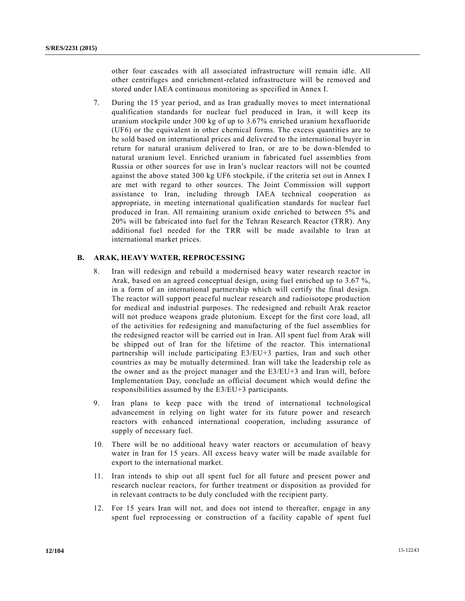other four cascades with all associated infrastructure will remain idle. All other centrifuges and enrichment-related infrastructure will be removed and stored under IAEA continuous monitoring as specified in Annex I.

7. During the 15 year period, and as Iran gradually moves to meet international qualification standards for nuclear fuel produced in Iran, it will keep its uranium stockpile under 300 kg of up to 3.67% enriched uranium hexafluoride (UF6) or the equivalent in other chemical forms. The excess quantities are to be sold based on international prices and delivered to the international buyer in return for natural uranium delivered to Iran, or are to be down-blended to natural uranium level. Enriched uranium in fabricated fuel assemblies from Russia or other sources for use in Iran's nuclear reactors will not be counted against the above stated 300 kg UF6 stockpile, if the criteria set out in Annex I are met with regard to other sources. The Joint Commission will support assistance to Iran, including through IAEA technical cooperation as appropriate, in meeting international qualification standards for nuclear fuel produced in Iran. All remaining uranium oxide enriched to between 5% and 20% will be fabricated into fuel for the Tehran Research Reactor (TRR). Any additional fuel needed for the TRR will be made available to Iran at international market prices.

### **B. ARAK, HEAVY WATER, REPROCESSING**

- 8. Iran will redesign and rebuild a modernised heavy water research reactor in Arak, based on an agreed conceptual design, using fuel enriched up to 3.67 %, in a form of an international partnership which will certify the final design. The reactor will support peaceful nuclear research and radioisotope production for medical and industrial purposes. The redesigned and rebuilt Arak reactor will not produce weapons grade plutonium. Except for the first core load, all of the activities for redesigning and manufacturing of the fuel assemblies for the redesigned reactor will be carried out in Iran. All spent fuel from Arak will be shipped out of Iran for the lifetime of the reactor. This international partnership will include participating E3/EU+3 parties, Iran and such other countries as may be mutually determined. Iran will take the leadership role as the owner and as the project manager and the E3/EU+3 and Iran will, before Implementation Day, conclude an official document which would define the responsibilities assumed by the E3/EU+3 participants.
- 9. Iran plans to keep pace with the trend of international technological advancement in relying on light water for its future power and research reactors with enhanced international cooperation, including assurance of supply of necessary fuel.
- 10. There will be no additional heavy water reactors or accumulation of heavy water in Iran for 15 years. All excess heavy water will be made available for export to the international market.
- 11. Iran intends to ship out all spent fuel for all future and present power and research nuclear reactors, for further treatment or disposition as provided for in relevant contracts to be duly concluded with the recipient party.
- 12. For 15 years Iran will not, and does not intend to thereafter, engage in any spent fuel reprocessing or construction of a facility capable of spent fuel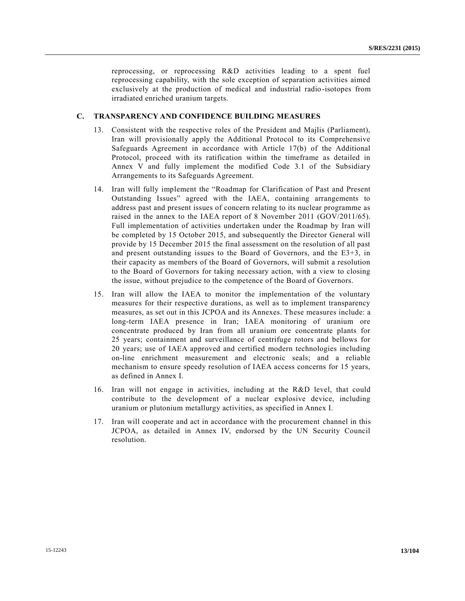reprocessing, or reprocessing R&D activities leading to a spent fuel reprocessing capability, with the sole exception of separation activities aimed exclusively at the production of medical and industrial radio-isotopes from irradiated enriched uranium targets.

### **C. TRANSPARENCY AND CONFIDENCE BUILDING MEASURES**

- 13. Consistent with the respective roles of the President and Majlis (Parliament), Iran will provisionally apply the Additional Protocol to its Comprehensive Safeguards Agreement in accordance with Article 17(b) of the Additional Protocol, proceed with its ratification within the timeframe as detailed in Annex V and fully implement the modified Code 3.1 of the Subsidiary Arrangements to its Safeguards Agreement.
- 14. Iran will fully implement the "Roadmap for Clarification of Past and Present Outstanding Issues" agreed with the IAEA, containing arrangements to address past and present issues of concern relating to its nuclear programme as raised in the annex to the IAEA report of 8 November 2011 (GOV/2011/65). Full implementation of activities undertaken under the Roadmap by Iran will be completed by 15 October 2015, and subsequently the Director General will provide by 15 December 2015 the final assessment on the resolution of all past and present outstanding issues to the Board of Governors, and the E3+3, in their capacity as members of the Board of Governors, will submit a resolution to the Board of Governors for taking necessary action, with a view to closing the issue, without prejudice to the competence of the Board of Governors.
- 15. Iran will allow the IAEA to monitor the implementation of the voluntary measures for their respective durations, as well as to implement transparency measures, as set out in this JCPOA and its Annexes. These measures include: a long-term IAEA presence in Iran; IAEA monitoring of uranium ore concentrate produced by Iran from all uranium ore concentrate plants for 25 years; containment and surveillance of centrifuge rotors and bellows for 20 years; use of IAEA approved and certified modern technologies including on-line enrichment measurement and electronic seals; and a reliable mechanism to ensure speedy resolution of IAEA access concerns for 15 years, as defined in Annex I.
- 16. Iran will not engage in activities, including at the R&D level, that could contribute to the development of a nuclear explosive device, including uranium or plutonium metallurgy activities, as specified in Annex I.
- 17. Iran will cooperate and act in accordance with the procurement channel in this JCPOA, as detailed in Annex IV, endorsed by the UN Security Council resolution.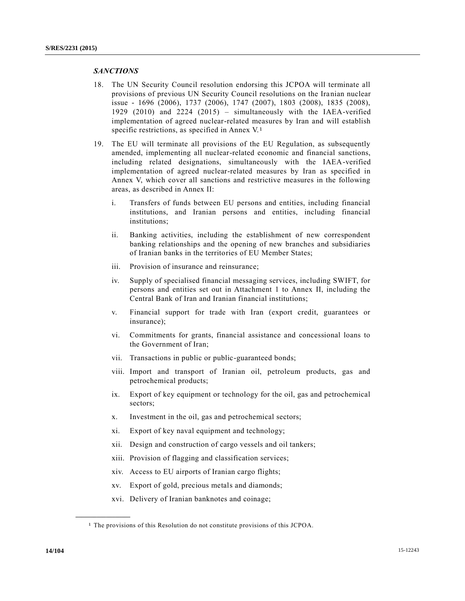#### *SANCTIONS*

- 18. The UN Security Council resolution endorsing this JCPOA will terminate all provisions of previous UN Security Council resolutions on the Iranian nuclear issue - 1696 (2006), 1737 (2006), 1747 (2007), 1803 (2008), 1835 (2008), 1929 (2010) and 2224 (2015) – simultaneously with the IAEA-verified implementation of agreed nuclear-related measures by Iran and will establish specific restrictions, as specified in Annex V.<sup>1</sup>
- 19. The EU will terminate all provisions of the EU Regulation, as subsequently amended, implementing all nuclear-related economic and financial sanctions, including related designations, simultaneously with the IAEA-verified implementation of agreed nuclear-related measures by Iran as specified in Annex V, which cover all sanctions and restrictive measures in the following areas, as described in Annex II:
	- i. Transfers of funds between EU persons and entities, including financial institutions, and Iranian persons and entities, including financial institutions;
	- ii. Banking activities, including the establishment of new correspondent banking relationships and the opening of new branches and subsidiaries of Iranian banks in the territories of EU Member States;
	- iii. Provision of insurance and reinsurance;
	- iv. Supply of specialised financial messaging services, including SWIFT, for persons and entities set out in Attachment 1 to Annex II, including the Central Bank of Iran and Iranian financial institutions;
	- v. Financial support for trade with Iran (export credit, guarantees or insurance);
	- vi. Commitments for grants, financial assistance and concessional loans to the Government of Iran;
	- vii. Transactions in public or public-guaranteed bonds;
	- viii. Import and transport of Iranian oil, petroleum products, gas and petrochemical products;
	- ix. Export of key equipment or technology for the oil, gas and petrochemical sectors;
	- x. Investment in the oil, gas and petrochemical sectors;
	- xi. Export of key naval equipment and technology;
	- xii. Design and construction of cargo vessels and oil tankers;
	- xiii. Provision of flagging and classification services;
	- xiv. Access to EU airports of Iranian cargo flights;
	- xv. Export of gold, precious metals and diamonds;
	- xvi. Delivery of Iranian banknotes and coinage;

**\_\_\_\_\_\_\_\_\_\_\_\_\_\_\_\_\_\_**

<sup>1</sup> The provisions of this Resolution do not constitute provisions of this JCPOA.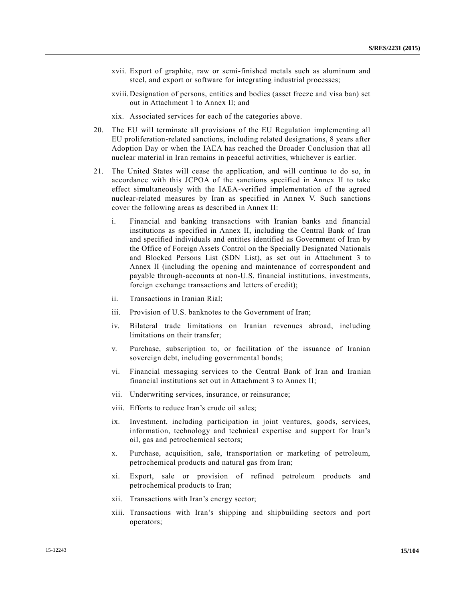- xvii. Export of graphite, raw or semi-finished metals such as aluminum and steel, and export or software for integrating industrial processes;
- xviii. Designation of persons, entities and bodies (asset freeze and visa ban) set out in Attachment 1 to Annex II; and
- xix. Associated services for each of the categories above.
- 20. The EU will terminate all provisions of the EU Regulation implementing all EU proliferation-related sanctions, including related designations, 8 years after Adoption Day or when the IAEA has reached the Broader Conclusion that all nuclear material in Iran remains in peaceful activities, whichever is earlier.
- 21. The United States will cease the application, and will continue to do so, in accordance with this JCPOA of the sanctions specified in Annex II to take effect simultaneously with the IAEA-verified implementation of the agreed nuclear-related measures by Iran as specified in Annex V. Such sanctions cover the following areas as described in Annex II:
	- i. Financial and banking transactions with Iranian banks and financial institutions as specified in Annex II, including the Central Bank of Iran and specified individuals and entities identified as Government of Iran by the Office of Foreign Assets Control on the Specially Designated Nationals and Blocked Persons List (SDN List), as set out in Attachment 3 to Annex II (including the opening and maintenance of correspondent and payable through-accounts at non-U.S. financial institutions, investments, foreign exchange transactions and letters of credit);
	- ii. Transactions in Iranian Rial;
	- iii. Provision of U.S. banknotes to the Government of Iran;
	- iv. Bilateral trade limitations on Iranian revenues abroad, including limitations on their transfer;
	- v. Purchase, subscription to, or facilitation of the issuance of Iranian sovereign debt, including governmental bonds;
	- vi. Financial messaging services to the Central Bank of Iran and Iranian financial institutions set out in Attachment 3 to Annex II;
	- vii. Underwriting services, insurance, or reinsurance;
	- viii. Efforts to reduce Iran's crude oil sales;
	- ix. Investment, including participation in joint ventures, goods, services, information, technology and technical expertise and support for Iran's oil, gas and petrochemical sectors;
	- x. Purchase, acquisition, sale, transportation or marketing of petroleum, petrochemical products and natural gas from Iran;
	- xi. Export, sale or provision of refined petroleum products and petrochemical products to Iran;
	- xii. Transactions with Iran's energy sector;
	- xiii. Transactions with Iran's shipping and shipbuilding sectors and port operators;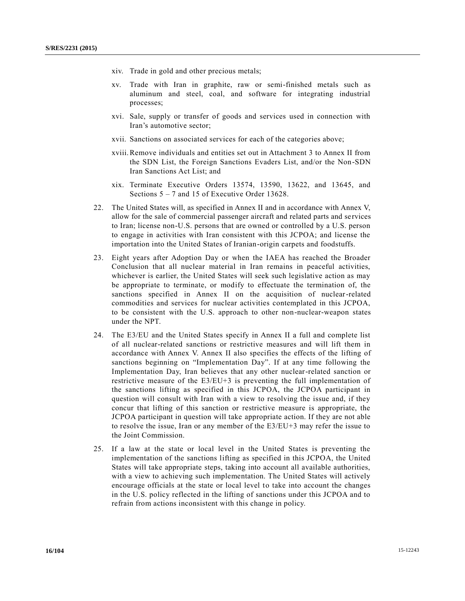- xiv. Trade in gold and other precious metals;
- xv. Trade with Iran in graphite, raw or semi-finished metals such as aluminum and steel, coal, and software for integrating industrial processes;
- xvi. Sale, supply or transfer of goods and services used in connection with Iran's automotive sector;
- xvii. Sanctions on associated services for each of the categories above;
- xviii.Remove individuals and entities set out in Attachment 3 to Annex II from the SDN List, the Foreign Sanctions Evaders List, and/or the Non-SDN Iran Sanctions Act List; and
- xix. Terminate Executive Orders 13574, 13590, 13622, and 13645, and Sections 5 – 7 and 15 of Executive Order 13628.
- 22. The United States will, as specified in Annex II and in accordance with Annex V, allow for the sale of commercial passenger aircraft and related parts and services to Iran; license non-U.S. persons that are owned or controlled by a U.S. person to engage in activities with Iran consistent with this JCPOA; and license the importation into the United States of Iranian-origin carpets and foodstuffs.
- 23. Eight years after Adoption Day or when the IAEA has reached the Broader Conclusion that all nuclear material in Iran remains in peaceful activities, whichever is earlier, the United States will seek such legislative action as may be appropriate to terminate, or modify to effectuate the termination of, the sanctions specified in Annex II on the acquisition of nuclear-related commodities and services for nuclear activities contemplated in this JCPOA, to be consistent with the U.S. approach to other non-nuclear-weapon states under the NPT.
- 24. The E3/EU and the United States specify in Annex II a full and complete list of all nuclear-related sanctions or restrictive measures and will lift them in accordance with Annex V. Annex II also specifies the effects of the lifting of sanctions beginning on "Implementation Day". If at any time following the Implementation Day, Iran believes that any other nuclear-related sanction or restrictive measure of the E3/EU+3 is preventing the full implementation of the sanctions lifting as specified in this JCPOA, the JCPOA participant in question will consult with Iran with a view to resolving the issue and, if they concur that lifting of this sanction or restrictive measure is appropriate, the JCPOA participant in question will take appropriate action. If they are not able to resolve the issue, Iran or any member of the E3/EU+3 may refer the issue to the Joint Commission.
- 25. If a law at the state or local level in the United States is preventing the implementation of the sanctions lifting as specified in this JCPOA, the United States will take appropriate steps, taking into account all available authorities, with a view to achieving such implementation. The United States will actively encourage officials at the state or local level to take into account the changes in the U.S. policy reflected in the lifting of sanctions under this JCPOA and to refrain from actions inconsistent with this change in policy.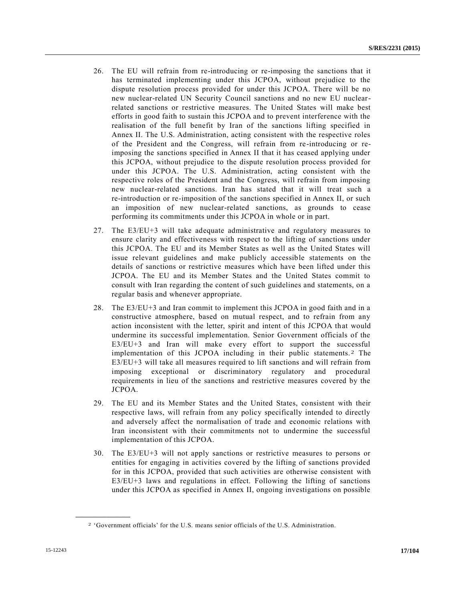- 26. The EU will refrain from re-introducing or re-imposing the sanctions that it has terminated implementing under this JCPOA, without prejudice to the dispute resolution process provided for under this JCPOA. There will be no new nuclear-related UN Security Council sanctions and no new EU nuclearrelated sanctions or restrictive measures. The United States will make best efforts in good faith to sustain this JCPOA and to prevent interference with the realisation of the full benefit by Iran of the sanctions lifting specified in Annex II. The U.S. Administration, acting consistent with the respective roles of the President and the Congress, will refrain from re-introducing or reimposing the sanctions specified in Annex II that it has ceased applying under this JCPOA, without prejudice to the dispute resolution process provided for under this JCPOA. The U.S. Administration, acting consistent with the respective roles of the President and the Congress, will refrain from imposing new nuclear-related sanctions. Iran has stated that it will treat such a re-introduction or re-imposition of the sanctions specified in Annex II, or such an imposition of new nuclear-related sanctions, as grounds to cease performing its commitments under this JCPOA in whole or in part.
- 27. The E3/EU+3 will take adequate administrative and regulatory measures to ensure clarity and effectiveness with respect to the lifting of sanctions under this JCPOA. The EU and its Member States as well as the United States will issue relevant guidelines and make publicly accessible statements on the details of sanctions or restrictive measures which have been lifted under this JCPOA. The EU and its Member States and the United States commit to consult with Iran regarding the content of such guidelines and statements, on a regular basis and whenever appropriate.
- 28. The E3/EU+3 and Iran commit to implement this JCPOA in good faith and in a constructive atmosphere, based on mutual respect, and to refrain from any action inconsistent with the letter, spirit and intent of this JCPOA that would undermine its successful implementation. Senior Government officials of the E3/EU+3 and Iran will make every effort to support the successful implementation of this JCPOA including in their public statements.<sup>2</sup> The E3/EU+3 will take all measures required to lift sanctions and will refrain from imposing exceptional or discriminatory regulatory and procedural requirements in lieu of the sanctions and restrictive measures covered by the JCPOA.
- 29. The EU and its Member States and the United States, consistent with their respective laws, will refrain from any policy specifically intended to directly and adversely affect the normalisation of trade and economic relations with Iran inconsistent with their commitments not to undermine the successful implementation of this JCPOA.
- 30. The E3/EU+3 will not apply sanctions or restrictive measures to persons or entities for engaging in activities covered by the lifting of sanctions provided for in this JCPOA, provided that such activities are otherwise consistent with E3/EU+3 laws and regulations in effect. Following the lifting of sanctions under this JCPOA as specified in Annex II, ongoing investigations on possible

**\_\_\_\_\_\_\_\_\_\_\_\_\_\_\_\_\_\_**

<sup>2</sup> 'Government officials' for the U.S. means senior officials of the U.S. Administration.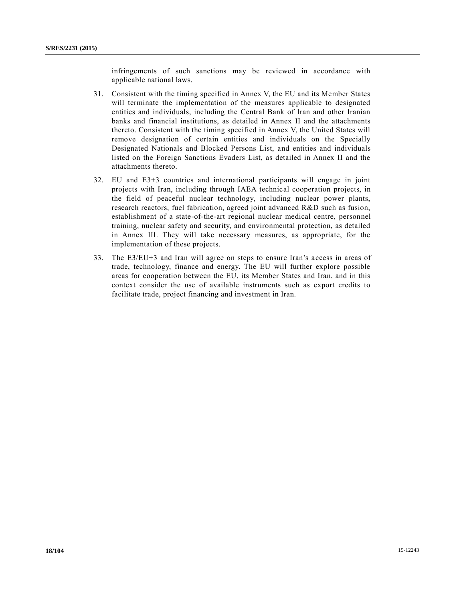infringements of such sanctions may be reviewed in accordance with applicable national laws.

- 31. Consistent with the timing specified in Annex V, the EU and its Member States will terminate the implementation of the measures applicable to designated entities and individuals, including the Central Bank of Iran and other Iranian banks and financial institutions, as detailed in Annex II and the attachments thereto. Consistent with the timing specified in Annex V, the United States will remove designation of certain entities and individuals on the Specially Designated Nationals and Blocked Persons List, and entities and individuals listed on the Foreign Sanctions Evaders List, as detailed in Annex II and the attachments thereto.
- 32. EU and E3+3 countries and international participants will engage in joint projects with Iran, including through IAEA technical cooperation projects, in the field of peaceful nuclear technology, including nuclear power plants, research reactors, fuel fabrication, agreed joint advanced R&D such as fusion, establishment of a state-of-the-art regional nuclear medical centre, personnel training, nuclear safety and security, and environmental protection, as detailed in Annex III. They will take necessary measures, as appropriate, for the implementation of these projects.
- 33. The E3/EU+3 and Iran will agree on steps to ensure Iran's access in areas of trade, technology, finance and energy. The EU will further explore possible areas for cooperation between the EU, its Member States and Iran, and in this context consider the use of available instruments such as export credits to facilitate trade, project financing and investment in Iran.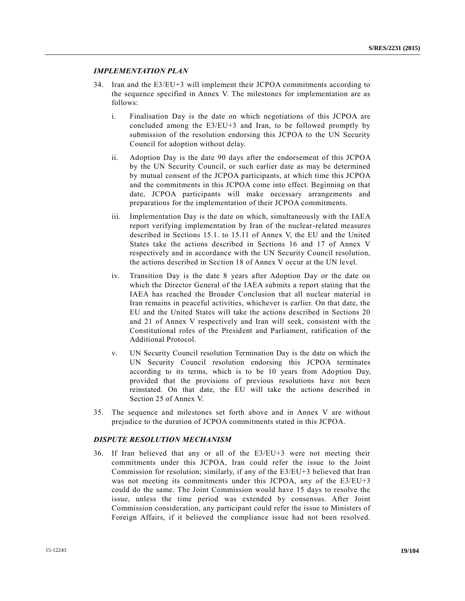## *IMPLEMENTATION PLAN*

- 34. Iran and the E3/EU+3 will implement their JCPOA commitments according to the sequence specified in Annex V. The milestones for implementation are as follows:
	- i. Finalisation Day is the date on which negotiations of this JCPOA are concluded among the E3/EU+3 and Iran, to be followed promptly by submission of the resolution endorsing this JCPOA to the UN Security Council for adoption without delay.
	- ii. Adoption Day is the date 90 days after the endorsement of this JCPOA by the UN Security Council, or such earlier date as may be determined by mutual consent of the JCPOA participants, at which time this JCPOA and the commitments in this JCPOA come into effect. Beginning on that date, JCPOA participants will make necessary arrangements and preparations for the implementation of their JCPOA commitments.
	- iii. Implementation Day is the date on which, simultaneously with the IAEA report verifying implementation by Iran of the nuclear-related measures described in Sections 15.1. to 15.11 of Annex V, the EU and the United States take the actions described in Sections 16 and 17 of Annex V respectively and in accordance with the UN Security Council resolution, the actions described in Section 18 of Annex V occur at the UN level.
	- iv. Transition Day is the date 8 years after Adoption Day or the date on which the Director General of the IAEA submits a report stating that the IAEA has reached the Broader Conclusion that all nuclear material in Iran remains in peaceful activities, whichever is earlier. On that date, the EU and the United States will take the actions described in Sections 20 and 21 of Annex V respectively and Iran will seek, consistent with the Constitutional roles of the President and Parliament, ratification of the Additional Protocol.
	- v. UN Security Council resolution Termination Day is the date on which the UN Security Council resolution endorsing this JCPOA terminates according to its terms, which is to be 10 years from Adoption Day, provided that the provisions of previous resolutions have not been reinstated. On that date, the EU will take the actions described in Section 25 of Annex V.
- 35. The sequence and milestones set forth above and in Annex V are without prejudice to the duration of JCPOA commitments stated in this JCPOA.

#### *DISPUTE RESOLUTION MECHANISM*

36. If Iran believed that any or all of the E3/EU+3 were not meeting their commitments under this JCPOA, Iran could refer the issue to the Joint Commission for resolution; similarly, if any of the E3/EU+3 believed that Iran was not meeting its commitments under this JCPOA, any of the E3/EU+3 could do the same. The Joint Commission would have 15 days to resolve the issue, unless the time period was extended by consensus. After Joint Commission consideration, any participant could refer the issue to Ministers of Foreign Affairs, if it believed the compliance issue had not been resolved.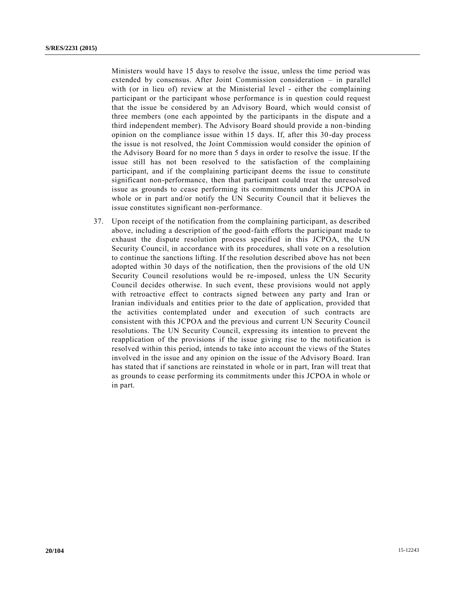Ministers would have 15 days to resolve the issue, unless the time period was extended by consensus. After Joint Commission consideration – in parallel with (or in lieu of) review at the Ministerial level - either the complaining participant or the participant whose performance is in question could request that the issue be considered by an Advisory Board, which would consist of three members (one each appointed by the participants in the dispute and a third independent member). The Advisory Board should provide a non-binding opinion on the compliance issue within 15 days. If, after this 30-day process the issue is not resolved, the Joint Commission would consider the opinion of the Advisory Board for no more than 5 days in order to resolve the issue. If the issue still has not been resolved to the satisfaction of the complaining participant, and if the complaining participant deems the issue to constitute significant non-performance, then that participant could treat the unresolved issue as grounds to cease performing its commitments under this JCPOA in whole or in part and/or notify the UN Security Council that it believes the issue constitutes significant non-performance.

37. Upon receipt of the notification from the complaining participant, as described above, including a description of the good-faith efforts the participant made to exhaust the dispute resolution process specified in this JCPOA, the UN Security Council, in accordance with its procedures, shall vote on a resolution to continue the sanctions lifting. If the resolution described above has not been adopted within 30 days of the notification, then the provisions of the old UN Security Council resolutions would be re-imposed, unless the UN Security Council decides otherwise. In such event, these provisions would not apply with retroactive effect to contracts signed between any party and Iran or Iranian individuals and entities prior to the date of application, provided that the activities contemplated under and execution of such contracts are consistent with this JCPOA and the previous and current UN Security Council resolutions. The UN Security Council, expressing its intention to prevent the reapplication of the provisions if the issue giving rise to the notification is resolved within this period, intends to take into account the views of the States involved in the issue and any opinion on the issue of the Advisory Board. Iran has stated that if sanctions are reinstated in whole or in part, Iran will treat that as grounds to cease performing its commitments under this JCPOA in whole or in part.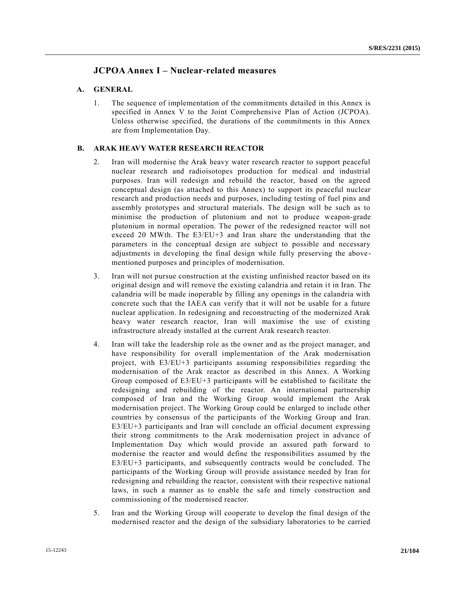# **JCPOA Annex I – Nuclear-related measures**

# **A. GENERAL**

1. The sequence of implementation of the commitments detailed in this Annex is specified in Annex V to the Joint Comprehensive Plan of Action (JCPOA). Unless otherwise specified, the durations of the commitments in this Annex are from Implementation Day.

# **B. ARAK HEAVY WATER RESEARCH REACTOR**

- 2. Iran will modernise the Arak heavy water research reactor to support peaceful nuclear research and radioisotopes production for medical and industrial purposes. Iran will redesign and rebuild the reactor, based on the agreed conceptual design (as attached to this Annex) to support its peaceful nuclear research and production needs and purposes, including testing of fuel pins and assembly prototypes and structural materials. The design will be such as to minimise the production of plutonium and not to produce weapon-grade plutonium in normal operation. The power of the redesigned reactor will not exceed 20 MWth. The E3/EU+3 and Iran share the understanding that the parameters in the conceptual design are subject to possible and necessary adjustments in developing the final design while fully preserving the abovementioned purposes and principles of modernisation.
- 3. Iran will not pursue construction at the existing unfinished reactor based on its original design and will remove the existing calandria and retain it in Iran. The calandria will be made inoperable by filling any openings in the calandria with concrete such that the IAEA can verify that it will not be usable for a future nuclear application. In redesigning and reconstructing of the modernized Arak heavy water research reactor, Iran will maximise the use of existing infrastructure already installed at the current Arak research reactor.
- 4. Iran will take the leadership role as the owner and as the project manager, and have responsibility for overall implementation of the Arak modernisation project, with E3/EU+3 participants assuming responsibilities regarding the modernisation of the Arak reactor as described in this Annex. A Working Group composed of E3/EU+3 participants will be established to facilitate the redesigning and rebuilding of the reactor. An international partnership composed of Iran and the Working Group would implement the Arak modernisation project. The Working Group could be enlarged to include other countries by consensus of the participants of the Working Group and Iran. E3/EU+3 participants and Iran will conclude an official document expressing their strong commitments to the Arak modernisation project in advance of Implementation Day which would provide an assured path forward to modernise the reactor and would define the responsibilities assumed by the E3/EU+3 participants, and subsequently contracts would be concluded. The participants of the Working Group will provide assistance needed by Iran for redesigning and rebuilding the reactor, consistent with their respective national laws, in such a manner as to enable the safe and timely construction and commissioning of the modernised reactor.
- 5. Iran and the Working Group will cooperate to develop the final design of the modernised reactor and the design of the subsidiary laboratories to be carried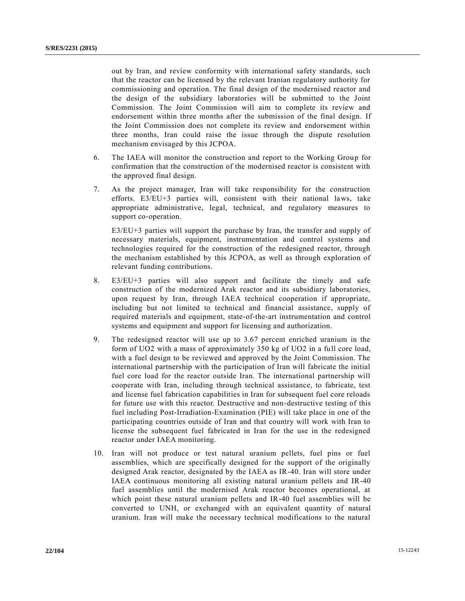out by Iran, and review conformity with international safety standards, such that the reactor can be licensed by the relevant Iranian regulatory authority for commissioning and operation. The final design of the modernised reactor and the design of the subsidiary laboratories will be submitted to the Joint Commission. The Joint Commission will aim to complete its review and endorsement within three months after the submission of the final design. If the Joint Commission does not complete its review and endorsement within three months, Iran could raise the issue through the dispute resolution mechanism envisaged by this JCPOA.

- 6. The IAEA will monitor the construction and report to the Working Group for confirmation that the construction of the modernised reactor is consistent with the approved final design.
- 7. As the project manager, Iran will take responsibility for the construction efforts. E3/EU+3 parties will, consistent with their national laws, take appropriate administrative, legal, technical, and regulatory measures to support co-operation.

E3/EU+3 parties will support the purchase by Iran, the transfer and supply of necessary materials, equipment, instrumentation and control systems and technologies required for the construction of the redesigned reactor, through the mechanism established by this JCPOA, as well as through exploration of relevant funding contributions.

- 8. E3/EU+3 parties will also support and facilitate the timely and safe construction of the modernized Arak reactor and its subsidiary laboratories, upon request by Iran, through IAEA technical cooperation if appropriate, including but not limited to technical and financial assistance, supply of required materials and equipment, state-of-the-art instrumentation and control systems and equipment and support for licensing and authorization.
- 9. The redesigned reactor will use up to 3.67 percent enriched uranium in the form of UO2 with a mass of approximately 350 kg of UO2 in a full core load, with a fuel design to be reviewed and approved by the Joint Commission. The international partnership with the participation of Iran will fabricate the initial fuel core load for the reactor outside Iran. The international partnership will cooperate with Iran, including through technical assistance, to fabricate, test and license fuel fabrication capabilities in Iran for subsequent fuel core reloads for future use with this reactor. Destructive and non-destructive testing of this fuel including Post-Irradiation-Examination (PIE) will take place in one of the participating countries outside of Iran and that country will work with Iran to license the subsequent fuel fabricated in Iran for the use in the redesigned reactor under IAEA monitoring.
- 10. Iran will not produce or test natural uranium pellets, fuel pins or fuel assemblies, which are specifically designed for the support of the originally designed Arak reactor, designated by the IAEA as IR-40. Iran will store under IAEA continuous monitoring all existing natural uranium pellets and IR-40 fuel assemblies until the modernised Arak reactor becomes operational, at which point these natural uranium pellets and IR-40 fuel assemblies will be converted to UNH, or exchanged with an equivalent quantity of natural uranium. Iran will make the necessary technical modifications to the natural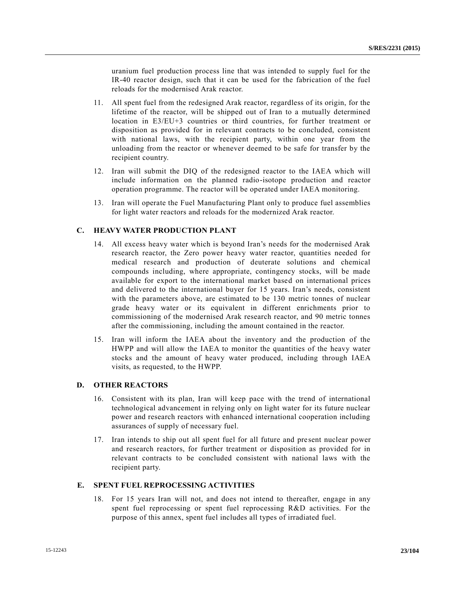uranium fuel production process line that was intended to supply fuel for the IR-40 reactor design, such that it can be used for the fabrication of the fuel reloads for the modernised Arak reactor.

- 11. All spent fuel from the redesigned Arak reactor, regardless of its origin, for the lifetime of the reactor, will be shipped out of Iran to a mutually determined location in E3/EU+3 countries or third countries, for further treatment or disposition as provided for in relevant contracts to be concluded, consistent with national laws, with the recipient party, within one year from the unloading from the reactor or whenever deemed to be safe for transfer by the recipient country.
- 12. Iran will submit the DIQ of the redesigned reactor to the IAEA which will include information on the planned radio-isotope production and reactor operation programme. The reactor will be operated under IAEA monitoring.
- 13. Iran will operate the Fuel Manufacturing Plant only to produce fuel assemblies for light water reactors and reloads for the modernized Arak reactor.

# **C. HEAVY WATER PRODUCTION PLANT**

- 14. All excess heavy water which is beyond Iran's needs for the modernised Arak research reactor, the Zero power heavy water reactor, quantities needed for medical research and production of deuterate solutions and chemical compounds including, where appropriate, contingency stocks, will be made available for export to the international market based on international prices and delivered to the international buyer for 15 years. Iran's needs, consistent with the parameters above, are estimated to be 130 metric tonnes of nuclear grade heavy water or its equivalent in different enrichments prior to commissioning of the modernised Arak research reactor, and 90 metric tonnes after the commissioning, including the amount contained in the reactor.
- 15. Iran will inform the IAEA about the inventory and the production of the HWPP and will allow the IAEA to monitor the quantities of the heavy water stocks and the amount of heavy water produced, including through IAEA visits, as requested, to the HWPP.

#### **D. OTHER REACTORS**

- 16. Consistent with its plan, Iran will keep pace with the trend of international technological advancement in relying only on light water for its future nuclear power and research reactors with enhanced international cooperation including assurances of supply of necessary fuel.
- 17. Iran intends to ship out all spent fuel for all future and pre sent nuclear power and research reactors, for further treatment or disposition as provided for in relevant contracts to be concluded consistent with national laws with the recipient party.

## **E. SPENT FUEL REPROCESSING ACTIVITIES**

18. For 15 years Iran will not, and does not intend to thereafter, engage in any spent fuel reprocessing or spent fuel reprocessing R&D activities. For the purpose of this annex, spent fuel includes all types of irradiated fuel.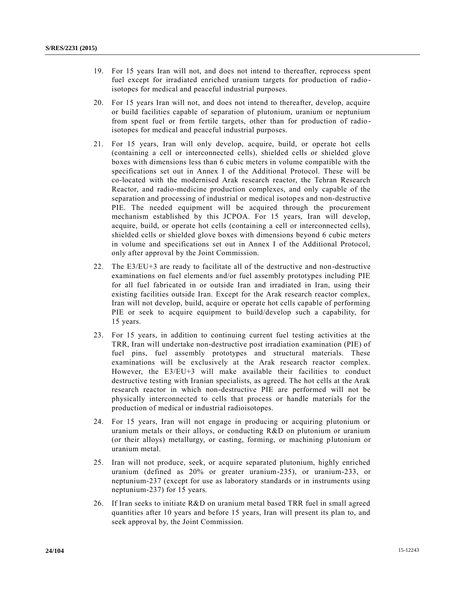- 19. For 15 years Iran will not, and does not intend to thereafter, reprocess spent fuel except for irradiated enriched uranium targets for production of radio isotopes for medical and peaceful industrial purposes.
- 20. For 15 years Iran will not, and does not intend to thereafter, develop, acquire or build facilities capable of separation of plutonium, uranium or neptunium from spent fuel or from fertile targets, other than for production of radio isotopes for medical and peaceful industrial purposes.
- 21. For 15 years, Iran will only develop, acquire, build, or operate hot cells (containing a cell or interconnected cells), shielded cells or shielded glove boxes with dimensions less than 6 cubic meters in volume compatible with the specifications set out in Annex I of the Additional Protocol. These will be co-located with the modernised Arak research reactor, the Tehran Research Reactor, and radio-medicine production complexes, and only capable of the separation and processing of industrial or medical isotopes and non-destructive PIE. The needed equipment will be acquired through the procurement mechanism established by this JCPOA. For 15 years, Iran will develop, acquire, build, or operate hot cells (containing a cell or interconnected cells), shielded cells or shielded glove boxes with dimensions beyond 6 cubic meters in volume and specifications set out in Annex I of the Additional Protocol, only after approval by the Joint Commission.
- 22. The E3/EU+3 are ready to facilitate all of the destructive and non-destructive examinations on fuel elements and/or fuel assembly prototypes including PIE for all fuel fabricated in or outside Iran and irradiated in Iran, using their existing facilities outside Iran. Except for the Arak research reactor complex, Iran will not develop, build, acquire or operate hot cells capable of performing PIE or seek to acquire equipment to build/develop such a capability, for 15 years.
- 23. For 15 years, in addition to continuing current fuel testing activities at the TRR, Iran will undertake non-destructive post irradiation examination (PIE) of fuel pins, fuel assembly prototypes and structural materials. These examinations will be exclusively at the Arak research reactor complex. However, the E3/EU+3 will make available their facilities to conduct destructive testing with Iranian specialists, as agreed. The hot cells at the Arak research reactor in which non-destructive PIE are performed will not be physically interconnected to cells that process or handle materials for the production of medical or industrial radioisotopes.
- 24. For 15 years, Iran will not engage in producing or acquiring plutonium or uranium metals or their alloys, or conducting R&D on plutonium or uranium (or their alloys) metallurgy, or casting, forming, or machining plutonium or uranium metal.
- 25. Iran will not produce, seek, or acquire separated plutonium, highly enriched uranium (defined as 20% or greater uranium-235), or uranium-233, or neptunium-237 (except for use as laboratory standards or in instruments using neptunium-237) for 15 years.
- 26. If Iran seeks to initiate R&D on uranium metal based TRR fuel in small agreed quantities after 10 years and before 15 years, Iran will present its plan to, and seek approval by, the Joint Commission.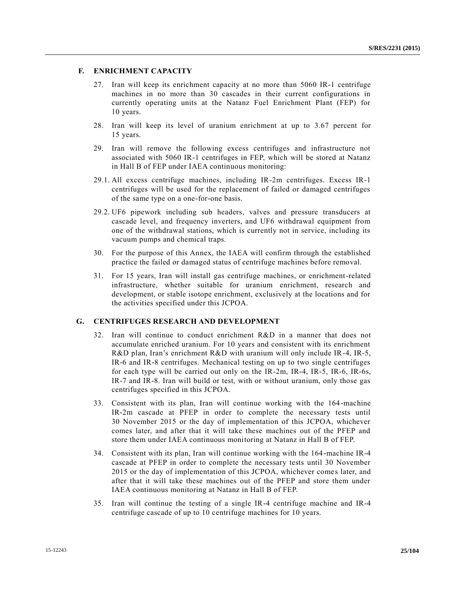# **F. ENRICHMENT CAPACITY**

- 27. Iran will keep its enrichment capacity at no more than 5060 IR-1 centrifuge machines in no more than 30 cascades in their current configurations in currently operating units at the Natanz Fuel Enrichment Plant (FEP) for 10 years.
- 28. Iran will keep its level of uranium enrichment at up to 3.67 percent for 15 years.
- 29. Iran will remove the following excess centrifuges and infrastructure not associated with 5060 IR-1 centrifuges in FEP, which will be stored at Natanz in Hall B of FEP under IAEA continuous monitoring:
- 29.1. All excess centrifuge machines, including IR-2m centrifuges. Excess IR-1 centrifuges will be used for the replacement of failed or damaged centrifuges of the same type on a one-for-one basis.
- 29.2. UF6 pipework including sub headers, valves and pressure transducers at cascade level, and frequency inverters, and UF6 withdrawal equipment from one of the withdrawal stations, which is currently not in service, including its vacuum pumps and chemical traps.
- 30. For the purpose of this Annex, the IAEA will confirm through the established practice the failed or damaged status of centrifuge machines before removal.
- 31. For 15 years, Iran will install gas centrifuge machines, or enrichment-related infrastructure, whether suitable for uranium enrichment, research and development, or stable isotope enrichment, exclusively at the locations and for the activities specified under this JCPOA.

## **G. CENTRIFUGES RESEARCH AND DEVELOPMENT**

- 32. Iran will continue to conduct enrichment R&D in a manner that does not accumulate enriched uranium. For 10 years and consistent with its enrichment R&D plan, Iran's enrichment R&D with uranium will only include IR-4, IR-5, IR-6 and IR-8 centrifuges. Mechanical testing on up to two single centrifuges for each type will be carried out only on the IR-2m, IR-4, IR-5, IR-6, IR-6s, IR-7 and IR-8. Iran will build or test, with or without uranium, only those gas centrifuges specified in this JCPOA.
- 33. Consistent with its plan, Iran will continue working with the 164-machine IR-2m cascade at PFEP in order to complete the necessary tests until 30 November 2015 or the day of implementation of this JCPOA, whichever comes later, and after that it will take these machines out of the PFEP and store them under IAEA continuous monitoring at Natanz in Hall B of FEP.
- 34. Consistent with its plan, Iran will continue working with the 164-machine IR-4 cascade at PFEP in order to complete the necessary tests until 30 November 2015 or the day of implementation of this JCPOA, whichever comes later, and after that it will take these machines out of the PFEP and store them under IAEA continuous monitoring at Natanz in Hall B of FEP.
- 35. Iran will continue the testing of a single IR-4 centrifuge machine and IR-4 centrifuge cascade of up to 10 centrifuge machines for 10 years.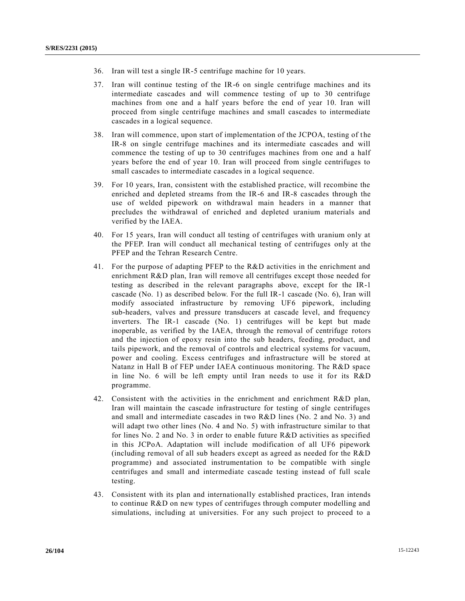- 36. Iran will test a single IR-5 centrifuge machine for 10 years.
- 37. Iran will continue testing of the IR-6 on single centrifuge machines and its intermediate cascades and will commence testing of up to 30 centrifuge machines from one and a half years before the end of year 10. Iran will proceed from single centrifuge machines and small cascades to intermediate cascades in a logical sequence.
- 38. Iran will commence, upon start of implementation of the JCPOA, testing of the IR-8 on single centrifuge machines and its intermediate cascades and will commence the testing of up to 30 centrifuges machines from one and a half years before the end of year 10. Iran will proceed from single centrifuges to small cascades to intermediate cascades in a logical sequence.
- 39. For 10 years, Iran, consistent with the established practice, will recombine the enriched and depleted streams from the IR-6 and IR-8 cascades through the use of welded pipework on withdrawal main headers in a manner that precludes the withdrawal of enriched and depleted uranium materials and verified by the IAEA.
- 40. For 15 years, Iran will conduct all testing of centrifuges with uranium only at the PFEP. Iran will conduct all mechanical testing of centrifuges only at the PFEP and the Tehran Research Centre.
- 41. For the purpose of adapting PFEP to the R&D activities in the enrichment and enrichment R&D plan, Iran will remove all centrifuges except those needed for testing as described in the relevant paragraphs above, except for the IR-1 cascade (No. 1) as described below. For the full IR-1 cascade (No. 6), Iran will modify associated infrastructure by removing UF6 pipework, including sub-headers, valves and pressure transducers at cascade level, and frequency inverters. The IR-1 cascade (No. 1) centrifuges will be kept but made inoperable, as verified by the IAEA, through the removal of centrifuge rotors and the injection of epoxy resin into the sub headers, feeding, product, and tails pipework, and the removal of controls and electrical systems for vacuum, power and cooling. Excess centrifuges and infrastructure will be stored at Natanz in Hall B of FEP under IAEA continuous monitoring. The R&D space in line No. 6 will be left empty until Iran needs to use it for its R&D programme.
- 42. Consistent with the activities in the enrichment and enrichment R&D plan, Iran will maintain the cascade infrastructure for testing of single centrifuges and small and intermediate cascades in two R&D lines (No. 2 and No. 3) and will adapt two other lines (No. 4 and No. 5) with infrastructure similar to that for lines No. 2 and No. 3 in order to enable future R&D activities as specified in this JCPoA. Adaptation will include modification of all UF6 pipework (including removal of all sub headers except as agreed as needed for the R&D programme) and associated instrumentation to be compatible with single centrifuges and small and intermediate cascade testing instead of full scale testing.
- 43. Consistent with its plan and internationally established practices, Iran intends to continue R&D on new types of centrifuges through computer modelling and simulations, including at universities. For any such project to proceed to a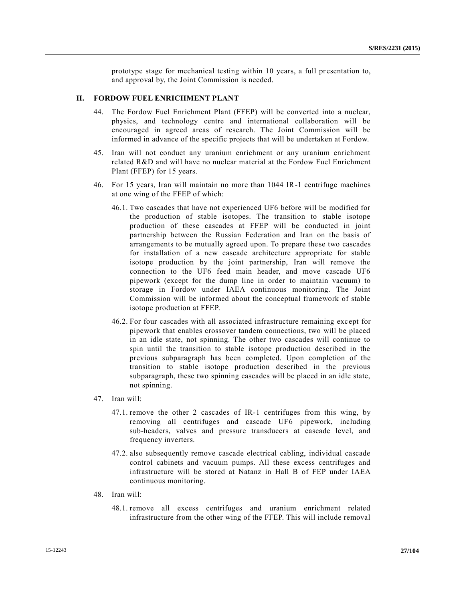prototype stage for mechanical testing within 10 years, a full presentation to, and approval by, the Joint Commission is needed.

#### **H. FORDOW FUEL ENRICHMENT PLANT**

- 44. The Fordow Fuel Enrichment Plant (FFEP) will be converted into a nuclear, physics, and technology centre and international collaboration will be encouraged in agreed areas of research. The Joint Commission will be informed in advance of the specific projects that will be undertaken at Fordow.
- 45. Iran will not conduct any uranium enrichment or any uranium enrichment related R&D and will have no nuclear material at the Fordow Fuel Enrichment Plant (FFEP) for 15 years.
- 46. For 15 years, Iran will maintain no more than 1044 IR-1 centrifuge machines at one wing of the FFEP of which:
	- 46.1. Two cascades that have not experienced UF6 before will be modified for the production of stable isotopes. The transition to stable isotope production of these cascades at FFEP will be conducted in joint partnership between the Russian Federation and Iran on the basis of arrangements to be mutually agreed upon. To prepare these two cascades for installation of a new cascade architecture appropriate for stable isotope production by the joint partnership, Iran will remove the connection to the UF6 feed main header, and move cascade UF6 pipework (except for the dump line in order to maintain vacuum) to storage in Fordow under IAEA continuous monitoring. The Joint Commission will be informed about the conceptual framework of stable isotope production at FFEP.
	- 46.2. For four cascades with all associated infrastructure remaining exc ept for pipework that enables crossover tandem connections, two will be placed in an idle state, not spinning. The other two cascades will continue to spin until the transition to stable isotope production described in the previous subparagraph has been completed. Upon completion of the transition to stable isotope production described in the previous subparagraph, these two spinning cascades will be placed in an idle state, not spinning.
- 47. Iran will:
	- 47.1. remove the other 2 cascades of IR-1 centrifuges from this wing, by removing all centrifuges and cascade UF6 pipework, including sub-headers, valves and pressure transducers at cascade level, and frequency inverters.
	- 47.2. also subsequently remove cascade electrical cabling, individual cascade control cabinets and vacuum pumps. All these excess centrifuges and infrastructure will be stored at Natanz in Hall B of FEP under IAEA continuous monitoring.
- 48. Iran will:
	- 48.1. remove all excess centrifuges and uranium enrichment related infrastructure from the other wing of the FFEP. This will include removal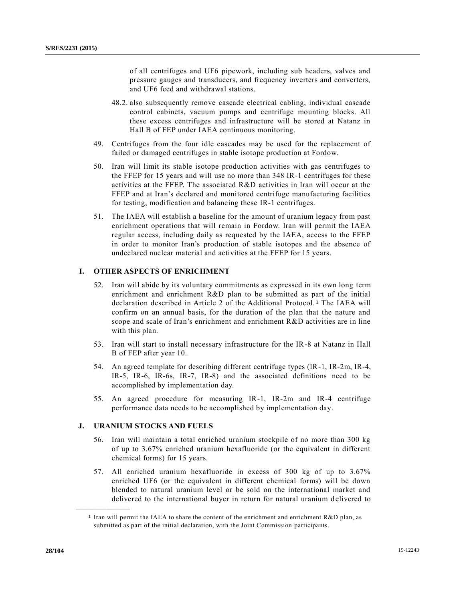of all centrifuges and UF6 pipework, including sub headers, valves and pressure gauges and transducers, and frequency inverters and converters, and UF6 feed and withdrawal stations.

- 48.2. also subsequently remove cascade electrical cabling, individual cascade control cabinets, vacuum pumps and centrifuge mounting blocks. All these excess centrifuges and infrastructure will be stored at Natanz in Hall B of FEP under IAEA continuous monitoring.
- 49. Centrifuges from the four idle cascades may be used for the replacement of failed or damaged centrifuges in stable isotope production at Fordow.
- 50. Iran will limit its stable isotope production activities with gas centrifuges to the FFEP for 15 years and will use no more than 348 IR-1 centrifuges for these activities at the FFEP. The associated R&D activities in Iran will occur at the FFEP and at Iran's declared and monitored centrifuge manufacturing facilities for testing, modification and balancing these IR-1 centrifuges.
- 51. The IAEA will establish a baseline for the amount of uranium legacy from past enrichment operations that will remain in Fordow. Iran will permit the IAEA regular access, including daily as requested by the IAEA, access to the FFEP in order to monitor Iran's production of stable isotopes and the absence of undeclared nuclear material and activities at the FFEP for 15 years.

## **I. OTHER ASPECTS OF ENRICHMENT**

- 52. Iran will abide by its voluntary commitments as expressed in its own long term enrichment and enrichment R&D plan to be submitted as part of the initial declaration described in Article 2 of the Additional Protocol. 1 The IAEA will confirm on an annual basis, for the duration of the plan that the nature and scope and scale of Iran's enrichment and enrichment R&D activities are in line with this plan.
- 53. Iran will start to install necessary infrastructure for the IR-8 at Natanz in Hall B of FEP after year 10.
- 54. An agreed template for describing different centrifuge types (IR-1, IR-2m, IR-4, IR-5, IR-6, IR-6s, IR-7, IR-8) and the associated definitions need to be accomplished by implementation day.
- 55. An agreed procedure for measuring IR-1, IR-2m and IR-4 centrifuge performance data needs to be accomplished by implementation day.

### **J. URANIUM STOCKS AND FUELS**

- 56. Iran will maintain a total enriched uranium stockpile of no more than 300 kg of up to 3.67% enriched uranium hexafluoride (or the equivalent in different chemical forms) for 15 years.
- 57. All enriched uranium hexafluoride in excess of 300 kg of up to 3.67% enriched UF6 (or the equivalent in different chemical forms) will be down blended to natural uranium level or be sold on the international market and delivered to the international buyer in return for natural uranium d elivered to

**\_\_\_\_\_\_\_\_\_\_\_\_\_\_\_\_\_\_**

<sup>&</sup>lt;sup>1</sup> Iran will permit the IAEA to share the content of the enrichment and enrichment R&D plan, as submitted as part of the initial declaration, with the Joint Commission participants.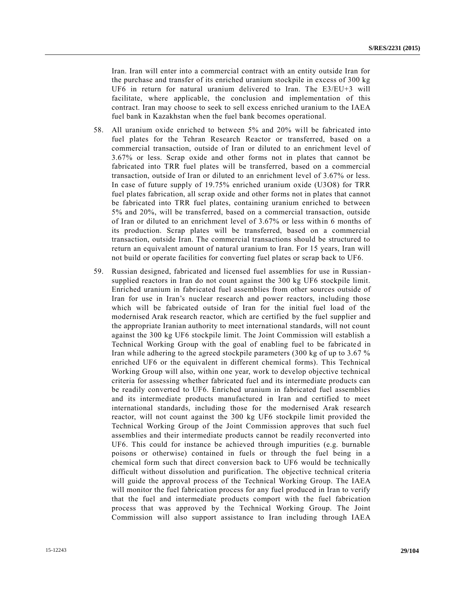Iran. Iran will enter into a commercial contract with an entity outside Iran for the purchase and transfer of its enriched uranium stockpile in excess of 300 kg UF6 in return for natural uranium delivered to Iran. The E3/EU+3 will facilitate, where applicable, the conclusion and implementation of this contract. Iran may choose to seek to sell excess enriched uranium to the IAEA fuel bank in Kazakhstan when the fuel bank becomes operational.

- 58. All uranium oxide enriched to between 5% and 20% will be fabricated into fuel plates for the Tehran Research Reactor or transferred, based on a commercial transaction, outside of Iran or diluted to an enrichment level of 3.67% or less. Scrap oxide and other forms not in plates that cannot be fabricated into TRR fuel plates will be transferred, based on a commercial transaction, outside of Iran or diluted to an enrichment level of 3.67% or less. In case of future supply of 19.75% enriched uranium oxide (U3O8) for TRR fuel plates fabrication, all scrap oxide and other forms not in plates that cannot be fabricated into TRR fuel plates, containing uranium enriched to between 5% and 20%, will be transferred, based on a commercial transaction, outside of Iran or diluted to an enrichment level of 3.67% or less within 6 months of its production. Scrap plates will be transferred, based on a commercial transaction, outside Iran. The commercial transactions should be structured to return an equivalent amount of natural uranium to Iran. For 15 years, Iran will not build or operate facilities for converting fuel plates or scrap back to UF6.
- 59. Russian designed, fabricated and licensed fuel assemblies for use in Russian supplied reactors in Iran do not count against the 300 kg UF6 stockpile limit. Enriched uranium in fabricated fuel assemblies from other sources outside of Iran for use in Iran's nuclear research and power reactors, including those which will be fabricated outside of Iran for the initial fuel load of the modernised Arak research reactor, which are certified by the fuel supplier and the appropriate Iranian authority to meet international standards, will not count against the 300 kg UF6 stockpile limit. The Joint Commission will establish a Technical Working Group with the goal of enabling fuel to be fabricated in Iran while adhering to the agreed stockpile parameters (300 kg of up to 3.67 % enriched UF6 or the equivalent in different chemical forms). This Technical Working Group will also, within one year, work to develop objective technical criteria for assessing whether fabricated fuel and its intermediate products can be readily converted to UF6. Enriched uranium in fabricated fuel assemblies and its intermediate products manufactured in Iran and certified to meet international standards, including those for the modernised Arak research reactor, will not count against the 300 kg UF6 stockpile limit provided the Technical Working Group of the Joint Commission approves that such fuel assemblies and their intermediate products cannot be readily reconverted into UF6. This could for instance be achieved through impurities (e.g. burnable poisons or otherwise) contained in fuels or through the fuel being in a chemical form such that direct conversion back to UF6 would be technically difficult without dissolution and purification. The objective technical criteria will guide the approval process of the Technical Working Group. The IAEA will monitor the fuel fabrication process for any fuel produced in Iran to verify that the fuel and intermediate products comport with the fuel fabrication process that was approved by the Technical Working Group. The Joint Commission will also support assistance to Iran including through IAEA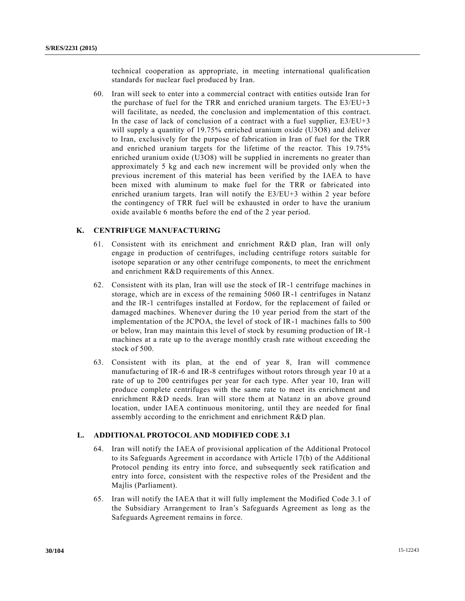technical cooperation as appropriate, in meeting international qualification standards for nuclear fuel produced by Iran.

60. Iran will seek to enter into a commercial contract with entities outside Iran for the purchase of fuel for the TRR and enriched uranium targets. The E3/EU+3 will facilitate, as needed, the conclusion and implementation of this contract. In the case of lack of conclusion of a contract with a fuel supplier, E3/EU+3 will supply a quantity of 19.75% enriched uranium oxide (U3O8) and deliver to Iran, exclusively for the purpose of fabrication in Iran of fuel for the TRR and enriched uranium targets for the lifetime of the reactor. This 19.75% enriched uranium oxide (U3O8) will be supplied in increments no greater than approximately 5 kg and each new increment will be provided only when the previous increment of this material has been verified by the IAEA to have been mixed with aluminum to make fuel for the TRR or fabricated into enriched uranium targets. Iran will notify the E3/EU+3 within 2 year before the contingency of TRR fuel will be exhausted in order to have the uranium oxide available 6 months before the end of the 2 year period.

#### **K. CENTRIFUGE MANUFACTURING**

- 61. Consistent with its enrichment and enrichment R&D plan, Iran will only engage in production of centrifuges, including centrifuge rotors suitable for isotope separation or any other centrifuge components, to meet the enrichment and enrichment R&D requirements of this Annex.
- 62. Consistent with its plan, Iran will use the stock of IR-1 centrifuge machines in storage, which are in excess of the remaining 5060 IR-1 centrifuges in Natanz and the IR-1 centrifuges installed at Fordow, for the replacement of failed or damaged machines. Whenever during the 10 year period from the start of the implementation of the JCPOA, the level of stock of IR-1 machines falls to 500 or below, Iran may maintain this level of stock by resuming production of IR-1 machines at a rate up to the average monthly crash rate without exceeding the stock of 500.
- 63. Consistent with its plan, at the end of year 8, Iran will commence manufacturing of IR-6 and IR-8 centrifuges without rotors through year 10 at a rate of up to 200 centrifuges per year for each type. After year 10, Iran will produce complete centrifuges with the same rate to meet its enrichment and enrichment R&D needs. Iran will store them at Natanz in an above ground location, under IAEA continuous monitoring, until they are needed for final assembly according to the enrichment and enrichment R&D plan.

### **L. ADDITIONAL PROTOCOL AND MODIFIED CODE 3.1**

- 64. Iran will notify the IAEA of provisional application of the Additional Protocol to its Safeguards Agreement in accordance with Article 17(b) of the Additional Protocol pending its entry into force, and subsequently seek ratification and entry into force, consistent with the respective roles of the President and the Majlis (Parliament).
- 65. Iran will notify the IAEA that it will fully implement the Modified Code 3.1 of the Subsidiary Arrangement to Iran's Safeguards Agreement as long as the Safeguards Agreement remains in force.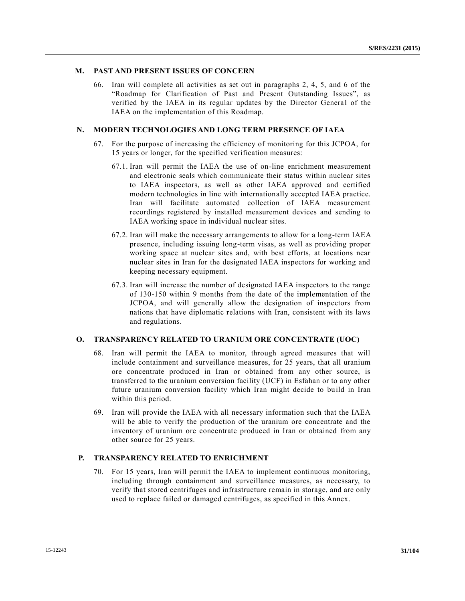## **M. PAST AND PRESENT ISSUES OF CONCERN**

66. Iran will complete all activities as set out in paragraphs 2, 4, 5, and 6 of the "Roadmap for Clarification of Past and Present Outstanding Issues", as verified by the IAEA in its regular updates by the Director General of the IAEA on the implementation of this Roadmap.

# **N. MODERN TECHNOLOGIES AND LONG TERM PRESENCE OF IAEA**

- 67. For the purpose of increasing the efficiency of monitoring for this JCPOA, for 15 years or longer, for the specified verification measures:
	- 67.1. Iran will permit the IAEA the use of on-line enrichment measurement and electronic seals which communicate their status within nuclear sites to IAEA inspectors, as well as other IAEA approved and certified modern technologies in line with internationally accepted IAEA practice. Iran will facilitate automated collection of IAEA measurement recordings registered by installed measurement devices and sending to IAEA working space in individual nuclear sites.
	- 67.2. Iran will make the necessary arrangements to allow for a long-term IAEA presence, including issuing long-term visas, as well as providing proper working space at nuclear sites and, with best efforts, at locations near nuclear sites in Iran for the designated IAEA inspectors for working and keeping necessary equipment.
	- 67.3. Iran will increase the number of designated IAEA inspectors to the range of 130-150 within 9 months from the date of the implementation of the JCPOA, and will generally allow the designation of inspectors from nations that have diplomatic relations with Iran, consistent with its laws and regulations.

#### **O. TRANSPARENCY RELATED TO URANIUM ORE CONCENTRATE (UOC)**

- 68. Iran will permit the IAEA to monitor, through agreed measures that will include containment and surveillance measures, for 25 years, that all uranium ore concentrate produced in Iran or obtained from any other source, is transferred to the uranium conversion facility (UCF) in Esfahan or to any other future uranium conversion facility which Iran might decide to build in Iran within this period.
- 69. Iran will provide the IAEA with all necessary information such that the IAEA will be able to verify the production of the uranium ore concentrate and the inventory of uranium ore concentrate produced in Iran or obtained from any other source for 25 years.

#### **P. TRANSPARENCY RELATED TO ENRICHMENT**

70. For 15 years, Iran will permit the IAEA to implement continuous monitoring, including through containment and surveillance measures, as necessary, to verify that stored centrifuges and infrastructure remain in storage, and are only used to replace failed or damaged centrifuges, as specified in this Annex.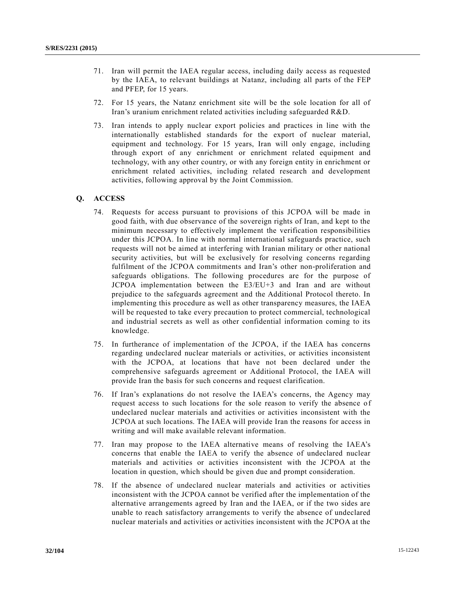- 71. Iran will permit the IAEA regular access, including daily access as requested by the IAEA, to relevant buildings at Natanz, including all parts of the FEP and PFEP, for 15 years.
- 72. For 15 years, the Natanz enrichment site will be the sole location for all of Iran's uranium enrichment related activities including safeguarded R&D.
- 73. Iran intends to apply nuclear export policies and practices in line with the internationally established standards for the export of nuclear material, equipment and technology. For 15 years, Iran will only engage, including through export of any enrichment or enrichment related equipment and technology, with any other country, or with any foreign entity in enrichment or enrichment related activities, including related research and development activities, following approval by the Joint Commission.

### **Q. ACCESS**

- 74. Requests for access pursuant to provisions of this JCPOA will be made in good faith, with due observance of the sovereign rights of Iran, and kept to the minimum necessary to effectively implement the verification responsibilities under this JCPOA. In line with normal international safeguards practice, such requests will not be aimed at interfering with Iranian military or other national security activities, but will be exclusively for resolving concerns regarding fulfilment of the JCPOA commitments and Iran's other non-proliferation and safeguards obligations. The following procedures are for the purpose of JCPOA implementation between the E3/EU+3 and Iran and are without prejudice to the safeguards agreement and the Additional Protocol thereto. In implementing this procedure as well as other transparency measures, the IAEA will be requested to take every precaution to protect commercial, technological and industrial secrets as well as other confidential information coming to its knowledge.
- 75. In furtherance of implementation of the JCPOA, if the IAEA has concerns regarding undeclared nuclear materials or activities, or activities inconsistent with the JCPOA, at locations that have not been declared under the comprehensive safeguards agreement or Additional Protocol, the IAEA will provide Iran the basis for such concerns and request clarification.
- 76. If Iran's explanations do not resolve the IAEA's concerns, the Agency may request access to such locations for the sole reason to verify the absence of undeclared nuclear materials and activities or activities inconsistent with the JCPOA at such locations. The IAEA will provide Iran the reasons for access in writing and will make available relevant information.
- 77. Iran may propose to the IAEA alternative means of resolving the IAEA's concerns that enable the IAEA to verify the absence of undeclared nuclear materials and activities or activities inconsistent with the JCPOA at the location in question, which should be given due and prompt consideration.
- 78. If the absence of undeclared nuclear materials and activities or activities inconsistent with the JCPOA cannot be verified after the implementation of the alternative arrangements agreed by Iran and the IAEA, or if the two sides are unable to reach satisfactory arrangements to verify the absence of undeclared nuclear materials and activities or activities inconsistent with the JCPOA at the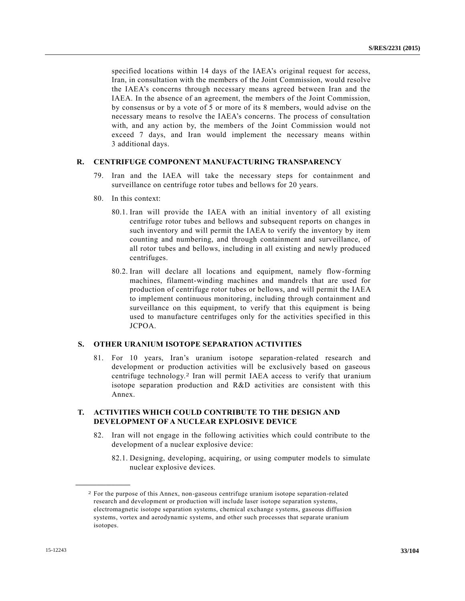specified locations within 14 days of the IAEA's original request for access, Iran, in consultation with the members of the Joint Commission, would resolve the IAEA's concerns through necessary means agreed between Iran and the IAEA. In the absence of an agreement, the members of the Joint Commission, by consensus or by a vote of 5 or more of its 8 members, would advise on the necessary means to resolve the IAEA's concerns. The process of consultation with, and any action by, the members of the Joint Commission would not exceed 7 days, and Iran would implement the necessary means within 3 additional days.

### **R. CENTRIFUGE COMPONENT MANUFACTURING TRANSPARENCY**

- 79. Iran and the IAEA will take the necessary steps for containment and surveillance on centrifuge rotor tubes and bellows for 20 years.
- 80. In this context:
	- 80.1. Iran will provide the IAEA with an initial inventory of all existing centrifuge rotor tubes and bellows and subsequent reports on changes in such inventory and will permit the IAEA to verify the inventory by item counting and numbering, and through containment and surveillance, of all rotor tubes and bellows, including in all existing and newly produced centrifuges.
	- 80.2. Iran will declare all locations and equipment, namely flow-forming machines, filament-winding machines and mandrels that are used for production of centrifuge rotor tubes or bellows, and will permit the IAEA to implement continuous monitoring, including through containment and surveillance on this equipment, to verify that this equipment is being used to manufacture centrifuges only for the activities specified in this JCPOA.

#### **S. OTHER URANIUM ISOTOPE SEPARATION ACTIVITIES**

81. For 10 years, Iran's uranium isotope separation-related research and development or production activities will be exclusively based on gaseous centrifuge technology.2 Iran will permit IAEA access to verify that uranium isotope separation production and R&D activities are consistent with this Annex.

# **T. ACTIVITIES WHICH COULD CONTRIBUTE TO THE DESIGN AND DEVELOPMENT OF A NUCLEAR EXPLOSIVE DEVICE**

- 82. Iran will not engage in the following activities which could contribute to the development of a nuclear explosive device:
	- 82.1. Designing, developing, acquiring, or using computer models to simulate nuclear explosive devices.

**\_\_\_\_\_\_\_\_\_\_\_\_\_\_\_\_\_\_**

<sup>2</sup> For the purpose of this Annex, non-gaseous centrifuge uranium isotope separation-related research and development or production will include laser isotope separation systems, electromagnetic isotope separation systems, chemical exchange systems, gaseous diffusion systems, vortex and aerodynamic systems, and other such processes that separate uranium isotopes.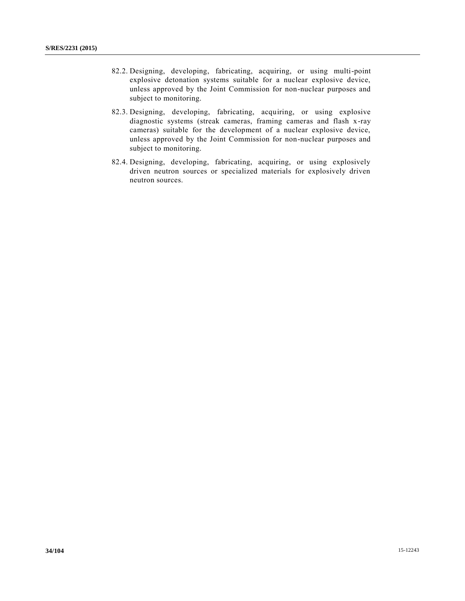- 82.2. Designing, developing, fabricating, acquiring, or using multi-point explosive detonation systems suitable for a nuclear explosive device, unless approved by the Joint Commission for non-nuclear purposes and subject to monitoring.
- 82.3. Designing, developing, fabricating, acquiring, or using explosive diagnostic systems (streak cameras, framing cameras and flash x-ray cameras) suitable for the development of a nuclear explosive device, unless approved by the Joint Commission for non-nuclear purposes and subject to monitoring.
- 82.4. Designing, developing, fabricating, acquiring, or using explosively driven neutron sources or specialized materials for explosively driven neutron sources.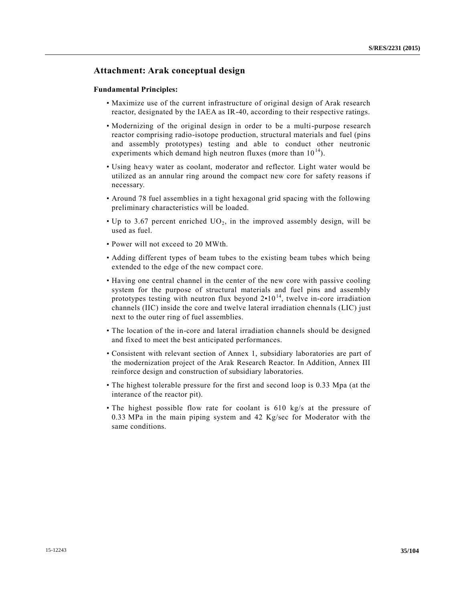# **Attachment: Arak conceptual design**

#### **Fundamental Principles:**

- Maximize use of the current infrastructure of original design of Arak research reactor, designated by the IAEA as IR-40, according to their respective ratings.
- Modernizing of the original design in order to be a multi-purpose research reactor comprising radio-isotope production, structural materials and fuel (pins and assembly prototypes) testing and able to conduct other neutronic experiments which demand high neutron fluxes (more than  $10^{14}$ ).
- Using heavy water as coolant, moderator and reflector. Light water would be utilized as an annular ring around the compact new core for safety reasons if necessary.
- Around 78 fuel assemblies in a tight hexagonal grid spacing with the following preliminary characteristics will be loaded.
- Up to 3.67 percent enriched  $UO_2$ , in the improved assembly design, will be used as fuel.
- Power will not exceed to 20 MWth.
- Adding different types of beam tubes to the existing beam tubes which being extended to the edge of the new compact core.
- Having one central channel in the center of the new core with passive cooling system for the purpose of structural materials and fuel pins and assembly prototypes testing with neutron flux beyond  $2 \cdot 10^{14}$ , twelve in-core irradiation channels (IIC) inside the core and twelve lateral irradiation chenna ls (LIC) just next to the outer ring of fuel assemblies.
- The location of the in-core and lateral irradiation channels should be designed and fixed to meet the best anticipated performances.
- Consistent with relevant section of Annex 1, subsidiary laboratories are part of the modernization project of the Arak Research Reactor. In Addition, Annex III reinforce design and construction of subsidiary laboratories.
- The highest tolerable pressure for the first and second loop is 0.33 Mpa (at the interance of the reactor pit).
- The highest possible flow rate for coolant is 610 kg/s at the pressure of 0.33 MPa in the main piping system and 42 Kg/sec for Moderator with the same conditions.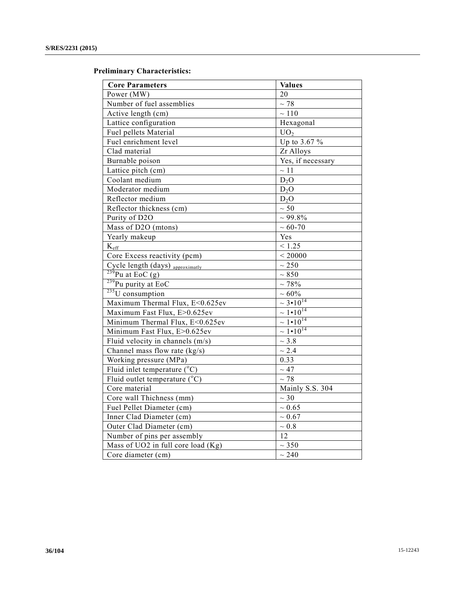# **Preliminary Characteristics:**

| <b>Core Parameters</b>                 | <b>Values</b>          |
|----------------------------------------|------------------------|
| Power (MW)                             | 20                     |
| Number of fuel assemblies              | $\sim78$               |
| Active length (cm)                     | $\sim 110$             |
| Lattice configuration                  | Hexagonal              |
| Fuel pellets Material                  | UO <sub>2</sub>        |
| Fuel enrichment level                  | Up to 3.67 %           |
| Clad material                          | Zr Alloys              |
| Burnable poison                        | Yes, if necessary      |
| Lattice pitch (cm)                     | $\sim 11$              |
| Coolant medium                         | D <sub>2</sub> O       |
| Moderator medium                       | D <sub>2</sub> O       |
| Reflector medium                       | $D_2O$                 |
| Reflector thickness (cm)               | $\sim 50$              |
| Purity of D2O                          | $\sim 99.8\%$          |
| Mass of D2O (mtons)                    | $~10 - 60 - 70$        |
| Yearly makeup                          | Yes                    |
| $K_{\rm eff}$                          | < 1.25                 |
| Core Excess reactivity (pcm)           | ${}<$ 20000            |
| Cycle length (days) approximatly       | $\sim 250$             |
| $\sqrt[239]{P}$ u at EoC (g)           | ~1.850                 |
| <sup>239</sup> Pu purity at EoC        | $\sim$ 78%             |
| $\sqrt[235]{U}$ consumption            | $\sim 60\%$            |
| Maximum Thermal Flux, E<0.625ev        | $\sim 3 \cdot 10^{14}$ |
| Maximum Fast Flux, E>0.625ev           | $\sim 1 \cdot 10^{14}$ |
| Minimum Thermal Flux, E<0.625ev        | $\sim 1 \cdot 10^{14}$ |
| Minimum Fast Flux, E>0.625ev           | $\sim 1 \cdot 10^{14}$ |
| Fluid velocity in channels (m/s)       | $\sim 3.8$             |
| Channel mass flow rate $(kg/s)$        | ~2.4                   |
| Working pressure (MPa)                 | 0.33                   |
| Fluid inlet temperature $(^{\circ}C)$  | $\sim 47$              |
| Fluid outlet temperature (°C)          | $\sim$ 78              |
| Core material                          | Mainly S.S. 304        |
| Core wall Thichness (mm)               | $\sim 30$              |
| Fuel Pellet Diameter (cm)              | $\sim 0.65$            |
| Inner Clad Diameter (cm)               | $\sim 0.67$            |
| Outer Clad Diameter (cm)               | $\sim 0.8$             |
| Number of pins per assembly            | 12                     |
| Mass of $UO2$ in full core load $(Kg)$ | $\sim$ 350             |
| Core diameter (cm)                     | $\sim 240$             |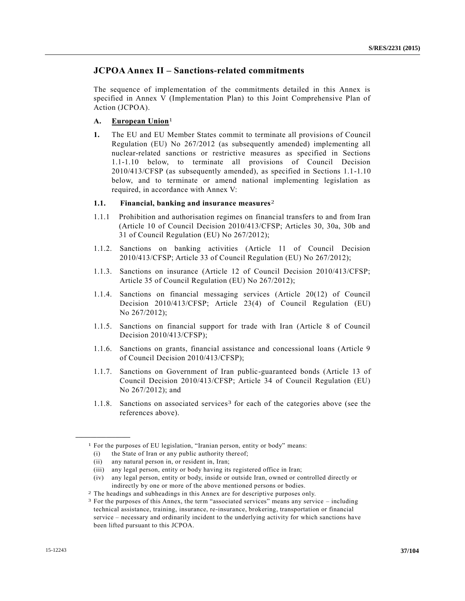## **JCPOA Annex II – Sanctions-related commitments**

The sequence of implementation of the commitments detailed in this Annex is specified in Annex V (Implementation Plan) to this Joint Comprehensive Plan of Action (JCPOA).

## **A. European Union**1

**1.** The EU and EU Member States commit to terminate all provisions of Council Regulation (EU) No 267/2012 (as subsequently amended) implementing all nuclear-related sanctions or restrictive measures as specified in Sections 1.1-1.10 below, to terminate all provisions of Council Decision 2010/413/CFSP (as subsequently amended), as specified in Sections 1.1-1.10 below, and to terminate or amend national implementing legislation as required, in accordance with Annex V:

#### **1.1. Financial, banking and insurance measures**2

- 1.1.1 Prohibition and authorisation regimes on financial transfers to and from Iran (Article 10 of Council Decision 2010/413/CFSP; Articles 30, 30a, 30b and 31 of Council Regulation (EU) No 267/2012);
- 1.1.2. Sanctions on banking activities (Article 11 of Council Decision 2010/413/CFSP; Article 33 of Council Regulation (EU) No 267/2012);
- 1.1.3. Sanctions on insurance (Article 12 of Council Decision 2010/413/CFSP; Article 35 of Council Regulation (EU) No 267/2012);
- 1.1.4. Sanctions on financial messaging services (Article 20(12) of Council Decision 2010/413/CFSP; Article 23(4) of Council Regulation (EU) No 267/2012);
- 1.1.5. Sanctions on financial support for trade with Iran (Article 8 of Council Decision 2010/413/CFSP);
- 1.1.6. Sanctions on grants, financial assistance and concessional loans (Article 9 of Council Decision 2010/413/CFSP);
- 1.1.7. Sanctions on Government of Iran public-guaranteed bonds (Article 13 of Council Decision 2010/413/CFSP; Article 34 of Council Regulation (EU) No 267/2012); and
- 1.1.8. Sanctions on associated services<sup>3</sup> for each of the categories above (see the references above).

<sup>&</sup>lt;sup>1</sup> For the purposes of EU legislation, "Iranian person, entity or body" means:

<sup>(</sup>i) the State of Iran or any public authority thereof;

<sup>(</sup>ii) any natural person in, or resident in, Iran;

<sup>(</sup>iii) any legal person, entity or body having its registered office in Iran;

<sup>(</sup>iv) any legal person, entity or body, inside or outside Iran, owned or controlled directly or indirectly by one or more of the above mentioned persons or bodies.

<sup>2</sup> The headings and subheadings in this Annex are for descriptive purposes only.

<sup>3</sup> For the purposes of this Annex, the term "associated services" means any service – including technical assistance, training, insurance, re-insurance, brokering, transportation or financial service – necessary and ordinarily incident to the underlying activity for which sanctions have been lifted pursuant to this JCPOA.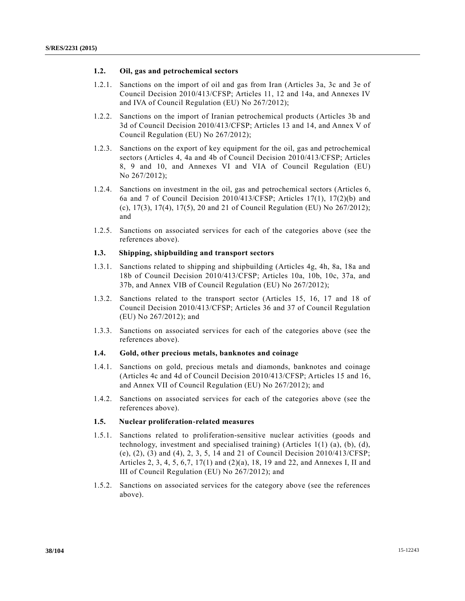## **1.2. Oil, gas and petrochemical sectors**

- 1.2.1. Sanctions on the import of oil and gas from Iran (Articles 3a, 3c and 3e of Council Decision 2010/413/CFSP; Articles 11, 12 and 14a, and Annexes IV and IVA of Council Regulation (EU) No 267/2012);
- 1.2.2. Sanctions on the import of Iranian petrochemical products (Articles 3b and 3d of Council Decision 2010/413/CFSP; Articles 13 and 14, and Annex V of Council Regulation (EU) No 267/2012);
- 1.2.3. Sanctions on the export of key equipment for the oil, gas and petrochemical sectors (Articles 4, 4a and 4b of Council Decision 2010/413/CFSP; Articles 8, 9 and 10, and Annexes VI and VIA of Council Regulation (EU) No 267/2012);
- 1.2.4. Sanctions on investment in the oil, gas and petrochemical sectors (Articles 6, 6a and 7 of Council Decision 2010/413/CFSP; Articles 17(1), 17(2)(b) and (c), 17(3), 17(4), 17(5), 20 and 21 of Council Regulation (EU) No 267/2012); and
- 1.2.5. Sanctions on associated services for each of the categories above (see the references above).

#### **1.3. Shipping, shipbuilding and transport sectors**

- 1.3.1. Sanctions related to shipping and shipbuilding (Articles 4g, 4h, 8a, 18a and 18b of Council Decision 2010/413/CFSP; Articles 10a, 10b, 10c, 37a, and 37b, and Annex VIB of Council Regulation (EU) No 267/2012);
- 1.3.2. Sanctions related to the transport sector (Articles 15, 16, 17 and 18 of Council Decision 2010/413/CFSP; Articles 36 and 37 of Council Regulation (EU) No 267/2012); and
- 1.3.3. Sanctions on associated services for each of the categories above (see the references above).

#### **1.4. Gold, other precious metals, banknotes and coinage**

- 1.4.1. Sanctions on gold, precious metals and diamonds, banknotes and coinage (Articles 4c and 4d of Council Decision 2010/413/CFSP; Articles 15 and 16, and Annex VII of Council Regulation (EU) No 267/2012); and
- 1.4.2. Sanctions on associated services for each of the categories above (see the references above).

## **1.5. Nuclear proliferation-related measures**

- 1.5.1. Sanctions related to proliferation-sensitive nuclear activities (goods and technology, investment and specialised training) (Articles 1(1) (a), (b), (d), (e), (2), (3) and (4), 2, 3, 5, 14 and 21 of Council Decision 2010/413/CFSP; Articles 2, 3, 4, 5, 6,7, 17(1) and (2)(a), 18, 19 and 22, and Annexes I, II and III of Council Regulation (EU) No 267/2012); and
- 1.5.2. Sanctions on associated services for the category above (see the references above).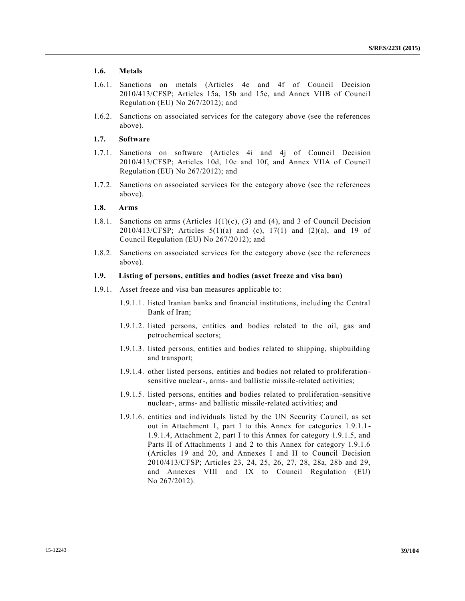## **1.6. Metals**

- 1.6.1. Sanctions on metals (Articles 4e and 4f of Council Decision 2010/413/CFSP; Articles 15a, 15b and 15c, and Annex VIIB of Council Regulation (EU) No 267/2012); and
- 1.6.2. Sanctions on associated services for the category above (see the references above).

## **1.7. Software**

- 1.7.1. Sanctions on software (Articles 4i and 4j of Council Decision 2010/413/CFSP; Articles 10d, 10e and 10f, and Annex VIIA of Council Regulation (EU) No 267/2012); and
- 1.7.2. Sanctions on associated services for the category above (see the references above).

### **1.8. Arms**

- 1.8.1. Sanctions on arms (Articles  $1(1)(c)$ , (3) and (4), and 3 of Council Decision 2010/413/CFSP; Articles  $5(1)(a)$  and (c),  $17(1)$  and (2)(a), and 19 of Council Regulation (EU) No 267/2012); and
- 1.8.2. Sanctions on associated services for the category above (see the references above).

## **1.9. Listing of persons, entities and bodies (asset freeze and visa ban)**

- 1.9.1. Asset freeze and visa ban measures applicable to:
	- 1.9.1.1. listed Iranian banks and financial institutions, including the Central Bank of Iran;
	- 1.9.1.2. listed persons, entities and bodies related to the oil, gas and petrochemical sectors;
	- 1.9.1.3. listed persons, entities and bodies related to shipping, shipbuilding and transport;
	- 1.9.1.4. other listed persons, entities and bodies not related to proliferation sensitive nuclear-, arms- and ballistic missile-related activities;
	- 1.9.1.5. listed persons, entities and bodies related to proliferation-sensitive nuclear-, arms- and ballistic missile-related activities; and
	- 1.9.1.6. entities and individuals listed by the UN Security Council, as set out in Attachment 1, part I to this Annex for categories 1.9.1.1- 1.9.1.4, Attachment 2, part I to this Annex for category 1.9.1.5, and Parts II of Attachments 1 and 2 to this Annex for category 1.9.1.6 (Articles 19 and 20, and Annexes I and II to Council Decision 2010/413/CFSP; Articles 23, 24, 25, 26, 27, 28, 28a, 28b and 29, and Annexes VIII and IX to Council Regulation (EU) No 267/2012).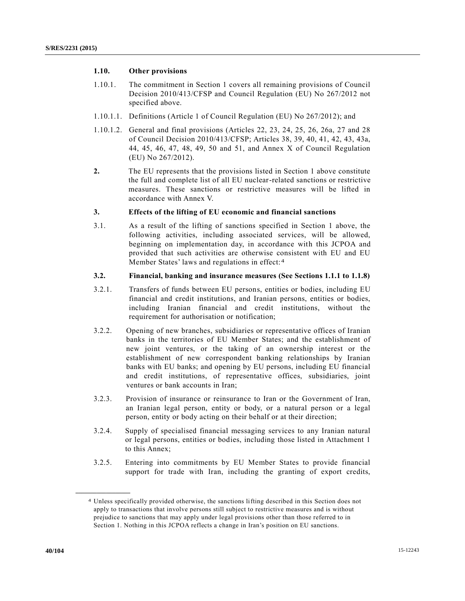## **1.10. Other provisions**

- 1.10.1. The commitment in Section 1 covers all remaining provisions of Council Decision 2010/413/CFSP and Council Regulation (EU) No 267/2012 not specified above.
- 1.10.1.1. Definitions (Article 1 of Council Regulation (EU) No 267/2012); and
- 1.10.1.2. General and final provisions (Articles 22, 23, 24, 25, 26, 26a, 27 and 28 of Council Decision 2010/413/CFSP; Articles 38, 39, 40, 41, 42, 43, 43a, 44, 45, 46, 47, 48, 49, 50 and 51, and Annex X of Council Regulation (EU) No 267/2012).
- **2.** The EU represents that the provisions listed in Section 1 above constitute the full and complete list of all EU nuclear-related sanctions or restrictive measures. These sanctions or restrictive measures will be lifted in accordance with Annex V.

## **3. Effects of the lifting of EU economic and financial sanctions**

3.1. As a result of the lifting of sanctions specified in Section 1 above, the following activities, including associated services, will be allowed, beginning on implementation day, in accordance with this JCPOA and provided that such activities are otherwise consistent with EU and EU Member States' laws and regulations in effect:4

## **3.2. Financial, banking and insurance measures (See Sections 1.1.1 to 1.1.8)**

- 3.2.1. Transfers of funds between EU persons, entities or bodies, including EU financial and credit institutions, and Iranian persons, entities or bodies, including Iranian financial and credit institutions, without the requirement for authorisation or notification;
- 3.2.2. Opening of new branches, subsidiaries or representative offices of Iranian banks in the territories of EU Member States; and the establishment of new joint ventures, or the taking of an ownership interest or the establishment of new correspondent banking relationships by Iranian banks with EU banks; and opening by EU persons, including EU financial and credit institutions, of representative offices, subsidiaries, joint ventures or bank accounts in Iran;
- 3.2.3. Provision of insurance or reinsurance to Iran or the Government of Iran, an Iranian legal person, entity or body, or a natural person or a legal person, entity or body acting on their behalf or at their direction;
- 3.2.4. Supply of specialised financial messaging services to any Iranian natural or legal persons, entities or bodies, including those listed in Attachment 1 to this Annex;
- 3.2.5. Entering into commitments by EU Member States to provide financial support for trade with Iran, including the granting of export credits,

<sup>4</sup> Unless specifically provided otherwise, the sanctions lifting described in this Section does not apply to transactions that involve persons still subject to restrictive measures and is without prejudice to sanctions that may apply under legal provisions other than those referred to in Section 1. Nothing in this JCPOA reflects a change in Iran's position on EU sanctions.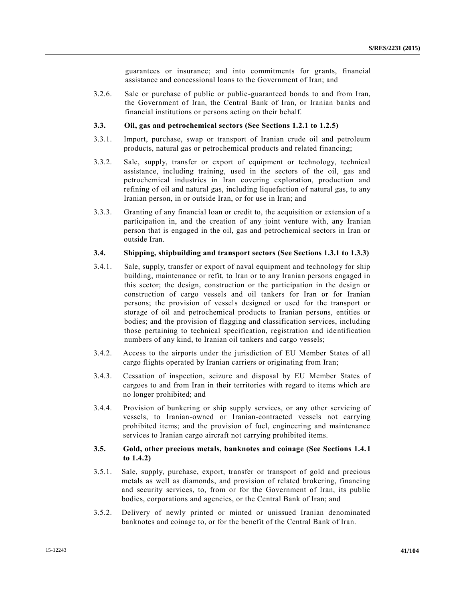guarantees or insurance; and into commitments for grants, financial assistance and concessional loans to the Government of Iran; and

3.2.6. Sale or purchase of public or public-guaranteed bonds to and from Iran, the Government of Iran, the Central Bank of Iran, or Iranian banks and financial institutions or persons acting on their behalf.

## **3.3. Oil, gas and petrochemical sectors (See Sections 1.2.1 to 1.2.5)**

- 3.3.1. Import, purchase, swap or transport of Iranian crude oil and petroleum products, natural gas or petrochemical products and related financing;
- 3.3.2. Sale, supply, transfer or export of equipment or technology, technical assistance, including training, used in the sectors of the oil, gas and petrochemical industries in Iran covering exploration, production and refining of oil and natural gas, including liquefaction of natural gas, to any Iranian person, in or outside Iran, or for use in Iran; and
- 3.3.3. Granting of any financial loan or credit to, the acquisition or extension of a participation in, and the creation of any joint venture with, any Iranian person that is engaged in the oil, gas and petrochemical sectors in Iran or outside Iran.

#### **3.4. Shipping, shipbuilding and transport sectors (See Sections 1.3.1 to 1.3.3)**

- 3.4.1. Sale, supply, transfer or export of naval equipment and technology for ship building, maintenance or refit, to Iran or to any Iranian persons engaged in this sector; the design, construction or the participation in the design or construction of cargo vessels and oil tankers for Iran or for Iranian persons; the provision of vessels designed or used for the transport or storage of oil and petrochemical products to Iranian persons, entities or bodies; and the provision of flagging and classification services, including those pertaining to technical specification, registration and identification numbers of any kind, to Iranian oil tankers and cargo vessels;
- 3.4.2. Access to the airports under the jurisdiction of EU Member States of all cargo flights operated by Iranian carriers or originating from Iran;
- 3.4.3. Cessation of inspection, seizure and disposal by EU Member States of cargoes to and from Iran in their territories with regard to items which are no longer prohibited; and
- 3.4.4. Provision of bunkering or ship supply services, or any other servicing of vessels, to Iranian-owned or Iranian-contracted vessels not carrying prohibited items; and the provision of fuel, engineering and maintenance services to Iranian cargo aircraft not carrying prohibited items.

## **3.5. Gold, other precious metals, banknotes and coinage (See Sections 1.4.1 to 1.4.2)**

- 3.5.1. Sale, supply, purchase, export, transfer or transport of gold and precious metals as well as diamonds, and provision of related brokering, financing and security services, to, from or for the Government of Iran, its public bodies, corporations and agencies, or the Central Bank of Iran; and
- 3.5.2. Delivery of newly printed or minted or unissued Iranian denominated banknotes and coinage to, or for the benefit of the Central Bank of Iran.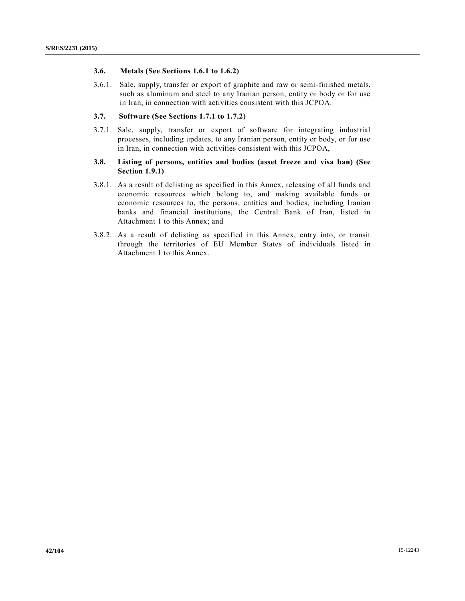## **3.6. Metals (See Sections 1.6.1 to 1.6.2)**

3.6.1. Sale, supply, transfer or export of graphite and raw or semi-finished metals, such as aluminum and steel to any Iranian person, entity or body or for use in Iran, in connection with activities consistent with this JCPOA.

## **3.7. Software (See Sections 1.7.1 to 1.7.2)**

3.7.1. Sale, supply, transfer or export of software for integrating industrial processes, including updates, to any Iranian person, entity or body, or for use in Iran, in connection with activities consistent with this JCPOA,

## **3.8. Listing of persons, entities and bodies (asset freeze and visa ban) (See Section 1.9.1)**

- 3.8.1. As a result of delisting as specified in this Annex, releasing of all funds and economic resources which belong to, and making available funds or economic resources to, the persons, entities and bodies, including Iranian banks and financial institutions, the Central Bank of Iran, listed in Attachment 1 to this Annex; and
- 3.8.2. As a result of delisting as specified in this Annex, entry into, or transit through the territories of EU Member States of individuals listed in Attachment 1 to this Annex.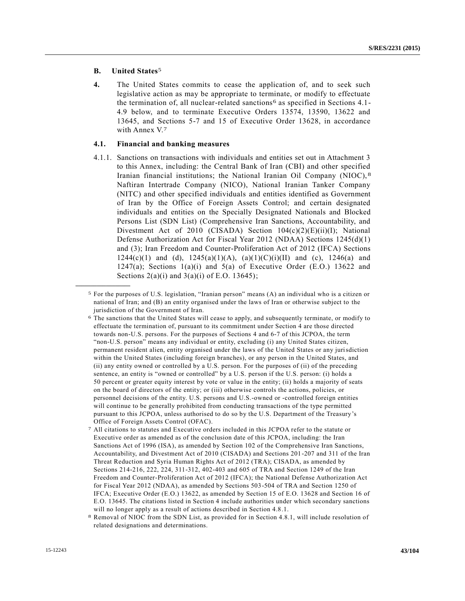## **B. United States**5

**\_\_\_\_\_\_\_\_\_\_\_\_\_\_\_\_\_\_**

**4.** The United States commits to cease the application of, and to seek such legislative action as may be appropriate to terminate, or modify to effectuate the termination of, all nuclear-related sanctions<sup>6</sup> as specified in Sections 4.1-4.9 below, and to terminate Executive Orders 13574, 13590, 13622 and 13645, and Sections 5-7 and 15 of Executive Order 13628, in accordance with Annex V.7

#### **4.1. Financial and banking measures**

4.1.1. Sanctions on transactions with individuals and entities set out in Attachment 3 to this Annex, including: the Central Bank of Iran (CBI) and other specified Iranian financial institutions; the National Iranian Oil Company (NIOC), 8 Naftiran Intertrade Company (NICO), National Iranian Tanker Company (NITC) and other specified individuals and entities identified as Government of Iran by the Office of Foreign Assets Control; and certain designated individuals and entities on the Specially Designated Nationals and Blocked Persons List (SDN List) (Comprehensive Iran Sanctions, Accountability, and Divestment Act of 2010 (CISADA) Section  $104(c)(2)(E)(ii)(I)$ ; National Defense Authorization Act for Fiscal Year 2012 (NDAA) Sections 1245(d)(1) and (3); Iran Freedom and Counter-Proliferation Act of 2012 (IFCA) Sections 1244(c)(1) and (d),  $1245(a)(1)(A)$ ,  $(a)(1)(C)(i)(II)$  and (c), 1246(a) and 1247(a); Sections  $1(a)(i)$  and  $5(a)$  of Executive Order (E.O.) 13622 and Sections  $2(a)(i)$  and  $3(a)(i)$  of E.O. 13645);

<sup>5</sup> For the purposes of U.S. legislation, "Iranian person" means (A) an individual who is a citizen or national of Iran; and (B) an entity organised under the laws of Iran or otherwise subject to the jurisdiction of the Government of Iran.

<sup>6</sup> The sanctions that the United States will cease to apply, and subsequently terminate, or modify to effectuate the termination of, pursuant to its commitment under Section 4 are those directed towards non-U.S. persons. For the purposes of Sections 4 and 6-7 of this JCPOA, the term "non-U.S. person" means any individual or entity, excluding (i) any United States citizen, permanent resident alien, entity organised under the laws of the United States or any jurisdiction within the United States (including foreign branches), or any person in the United States, and (ii) any entity owned or controlled by a U.S. person. For the purposes of (ii) of the preceding sentence, an entity is "owned or controlled" by a U.S. person if the U.S. person: (i) holds a 50 percent or greater equity interest by vote or value in the entity; (ii) holds a majority of seats on the board of directors of the entity; or (iii) otherwise controls the actions, policies, or personnel decisions of the entity. U.S. persons and U.S.-owned or -controlled foreign entities will continue to be generally prohibited from conducting transactions of the type permitted pursuant to this JCPOA, unless authorised to do so by the U.S. Department of the Treasury's Office of Foreign Assets Control (OFAC).

<sup>7</sup> All citations to statutes and Executive orders included in this JCPOA refer to the statute or Executive order as amended as of the conclusion date of this JCPOA, including: the Iran Sanctions Act of 1996 (ISA), as amended by Section 102 of the Comprehensive Iran Sanctions, Accountability, and Divestment Act of 2010 (CISADA) and Sections 201-207 and 311 of the Iran Threat Reduction and Syria Human Rights Act of 2012 (TRA); CISADA, as amended by Sections 214-216, 222, 224, 311-312, 402-403 and 605 of TRA and Section 1249 of the Iran Freedom and Counter-Proliferation Act of 2012 (IFCA); the National Defense Authorization Act for Fiscal Year 2012 (NDAA), as amended by Sections 503-504 of TRA and Section 1250 of IFCA; Executive Order (E.O.) 13622, as amended by Section 15 of E.O. 13628 and Section 16 of E.O. 13645. The citations listed in Section 4 include authorities under which secondary sanctions will no longer apply as a result of actions described in Section 4.8.1.

<sup>8</sup> Removal of NIOC from the SDN List, as provided for in Section 4.8.1, will include resolution of related designations and determinations.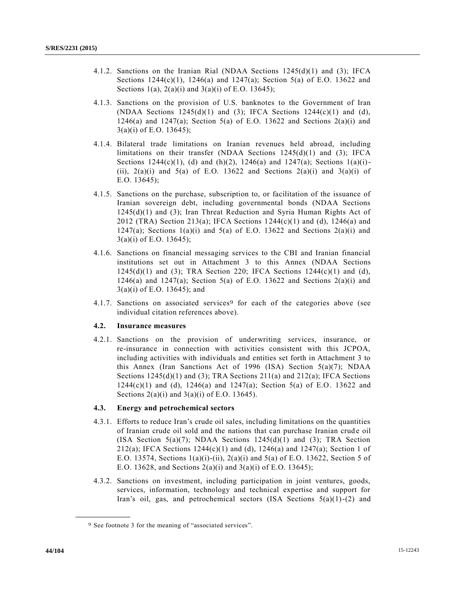- 4.1.2. Sanctions on the Iranian Rial (NDAA Sections 1245(d)(1) and (3); IFCA Sections  $1244(c)(1)$ ,  $1246(a)$  and  $1247(a)$ ; Section 5(a) of E.O. 13622 and Sections 1(a),  $2(a)(i)$  and  $3(a)(i)$  of E.O. 13645);
- 4.1.3. Sanctions on the provision of U.S. banknotes to the Government of Iran (NDAA Sections  $1245(d)(1)$  and  $(3)$ ; IFCA Sections  $1244(c)(1)$  and  $(d)$ , 1246(a) and 1247(a); Section 5(a) of E.O. 13622 and Sections  $2(a)(i)$  and  $3(a)(i)$  of E.O. 13645);
- 4.1.4. Bilateral trade limitations on Iranian revenues held abroad, including limitations on their transfer (NDAA Sections 1245(d)(1) and (3); IFCA Sections  $1244(c)(1)$ , (d) and (h)(2),  $1246(a)$  and  $1247(a)$ ; Sections  $1(a)(i)$ -(ii),  $2(a)(i)$  and  $5(a)$  of E.O. 13622 and Sections  $2(a)(i)$  and  $3(a)(i)$  of E.O. 13645);
- 4.1.5. Sanctions on the purchase, subscription to, or facilitation of the issuance of Iranian sovereign debt, including governmental bonds (NDAA Sections 1245(d)(1) and (3); Iran Threat Reduction and Syria Human Rights Act of 2012 (TRA) Section 213(a); IFCA Sections 1244(c)(1) and (d), 1246(a) and 1247(a); Sections 1(a)(i) and 5(a) of E.O. 13622 and Sections  $2(a)(i)$  and 3(a)(i) of E.O. 13645);
- 4.1.6. Sanctions on financial messaging services to the CBI and Iranian financial institutions set out in Attachment 3 to this Annex (NDAA Sections  $1245(d)(1)$  and (3); TRA Section 220; IFCA Sections  $1244(c)(1)$  and (d), 1246(a) and 1247(a); Section 5(a) of E.O. 13622 and Sections  $2(a)(i)$  and 3(a)(i) of E.O. 13645); and
- 4.1.7. Sanctions on associated services<sup>9</sup> for each of the categories above (see individual citation references above).

## **4.2. Insurance measures**

4.2.1. Sanctions on the provision of underwriting services, insurance, or re-insurance in connection with activities consistent with this JCPOA, including activities with individuals and entities set forth in Attachment 3 to this Annex (Iran Sanctions Act of 1996 (ISA) Section 5(a)(7); NDAA Sections  $1245(d)(1)$  and (3); TRA Sections  $211(a)$  and  $212(a)$ ; IFCA Sections  $1244(c)(1)$  and (d),  $1246(a)$  and  $1247(a)$ ; Section 5(a) of E.O. 13622 and Sections  $2(a)(i)$  and  $3(a)(i)$  of E.O. 13645).

#### **4.3. Energy and petrochemical sectors**

- 4.3.1. Efforts to reduce Iran's crude oil sales, including limitations on the quantities of Iranian crude oil sold and the nations that can purchase Iranian crud e oil (ISA Section  $5(a)(7)$ ; NDAA Sections  $1245(d)(1)$  and (3); TRA Section 212(a); IFCA Sections  $1244(c)(1)$  and (d),  $1246(a)$  and  $1247(a)$ ; Section 1 of E.O. 13574, Sections 1(a)(i)-(ii), 2(a)(i) and 5(a) of E.O. 13622, Section 5 of E.O. 13628, and Sections  $2(a)(i)$  and  $3(a)(i)$  of E.O. 13645);
- 4.3.2. Sanctions on investment, including participation in joint ventures, goods, services, information, technology and technical expertise and support for Iran's oil, gas, and petrochemical sectors (ISA Sections 5(a)(1)-(2) and

<sup>9</sup> See footnote 3 for the meaning of "associated services".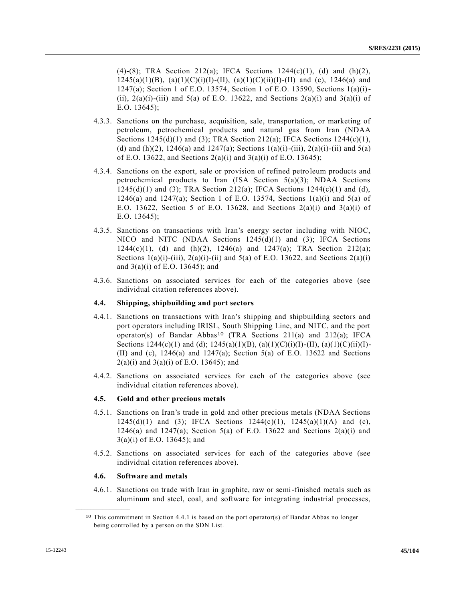(4)-(8); TRA Section 212(a); IFCA Sections  $1244(c)(1)$ , (d) and (h)(2),  $1245(a)(1)(B)$ ,  $(a)(1)(C)(i)(I)$ - $(II)$ ,  $(a)(1)(C)(ii)(I)$ - $(II)$  and (c),  $1246(a)$  and 1247(a); Section 1 of E.O. 13574, Section 1 of E.O. 13590, Sections 1(a)(i)- (ii),  $2(a)(i)$ -(iii) and  $5(a)$  of E.O. 13622, and Sections  $2(a)(i)$  and  $3(a)(i)$  of E.O. 13645);

- 4.3.3. Sanctions on the purchase, acquisition, sale, transportation, or marketing of petroleum, petrochemical products and natural gas from Iran (NDAA Sections  $1245(d)(1)$  and  $(3)$ ; TRA Section  $212(a)$ ; IFCA Sections  $1244(c)(1)$ , (d) and (h)(2), 1246(a) and 1247(a); Sections 1(a)(i)-(iii), 2(a)(i)-(iii) and 5(a) of E.O. 13622, and Sections  $2(a)(i)$  and  $3(a)(i)$  of E.O. 13645);
- 4.3.4. Sanctions on the export, sale or provision of refined petroleum products and petrochemical products to Iran (ISA Section 5(a)(3); NDAA Sections  $1245(d)(1)$  and (3); TRA Section 212(a); IFCA Sections  $1244(c)(1)$  and (d), 1246(a) and 1247(a); Section 1 of E.O. 13574, Sections  $1(a)(i)$  and  $5(a)$  of E.O. 13622, Section 5 of E.O. 13628, and Sections  $2(a)(i)$  and  $3(a)(i)$  of E.O. 13645);
- 4.3.5. Sanctions on transactions with Iran's energy sector including with NIOC, NICO and NITC (NDAA Sections 1245(d)(1) and (3); IFCA Sections 1244(c)(1), (d) and (h)(2), 1246(a) and 1247(a); TRA Section 212(a); Sections  $1(a)(i)$ -(iii),  $2(a)(i)$ -(ii) and  $5(a)$  of E.O. 13622, and Sections  $2(a)(i)$ and 3(a)(i) of E.O. 13645); and
- 4.3.6. Sanctions on associated services for each of the categories above (see individual citation references above).

#### **4.4. Shipping, shipbuilding and port sectors**

- 4.4.1. Sanctions on transactions with Iran's shipping and shipbuilding sectors and port operators including IRISL, South Shipping Line, and NITC, and the port operator(s) of Bandar Abbas10 (TRA Sections 211(a) and 212(a); IFCA Sections  $1244(c)(1)$  and (d);  $1245(a)(1)(B)$ ,  $(a)(1)(C)(i)(I)-(II)$ ,  $(a)(1)(C)(ii)(I)-$ (II) and (c),  $1246(a)$  and  $1247(a)$ ; Section 5(a) of E.O. 13622 and Sections  $2(a)(i)$  and  $3(a)(i)$  of E.O. 13645); and
- 4.4.2. Sanctions on associated services for each of the categories above (see individual citation references above).

#### **4.5. Gold and other precious metals**

- 4.5.1. Sanctions on Iran's trade in gold and other precious metals (NDAA Sections 1245(d)(1) and (3); IFCA Sections  $1244(c)(1)$ ,  $1245(a)(1)(A)$  and (c), 1246(a) and 1247(a); Section 5(a) of E.O. 13622 and Sections  $2(a)(i)$  and 3(a)(i) of E.O. 13645); and
- 4.5.2. Sanctions on associated services for each of the categories above (see individual citation references above).

#### **4.6. Software and metals**

**\_\_\_\_\_\_\_\_\_\_\_\_\_\_\_\_\_\_**

4.6.1. Sanctions on trade with Iran in graphite, raw or semi-finished metals such as aluminum and steel, coal, and software for integrating industrial processes,

<sup>&</sup>lt;sup>10</sup> This commitment in Section 4.4.1 is based on the port operator(s) of Bandar Abbas no longer being controlled by a person on the SDN List.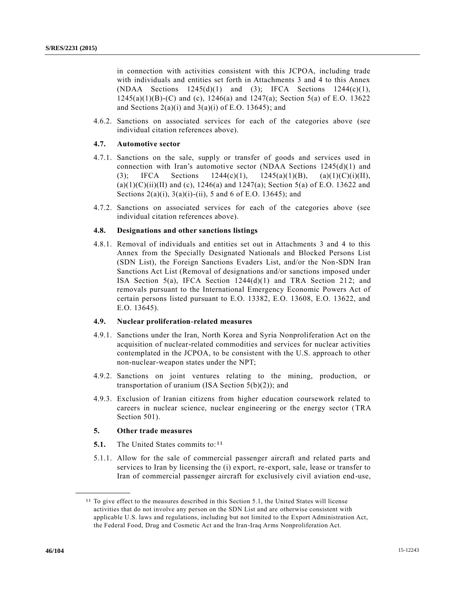in connection with activities consistent with this JCPOA, including trade with individuals and entities set forth in Attachments 3 and 4 to this Annex (NDAA Sections  $1245(d)(1)$  and (3); IFCA Sections  $1244(c)(1)$ , 1245(a)(1)(B)-(C) and (c), 1246(a) and 1247(a); Section 5(a) of E.O. 13622 and Sections  $2(a)(i)$  and  $3(a)(i)$  of E.O. 13645); and

4.6.2. Sanctions on associated services for each of the categories above (see individual citation references above).

#### **4.7. Automotive sector**

- 4.7.1. Sanctions on the sale, supply or transfer of goods and services used in connection with Iran's automotive sector (NDAA Sections 1245(d)(1) and (3); IFCA Sections  $1244(c)(1)$ ,  $1245(a)(1)(B)$ ,  $(a)(1)(C)(i)(II)$ ,  $(a)(1)(C)(ii)(II)$  and (c), 1246(a) and 1247(a); Section 5(a) of E.O. 13622 and Sections  $2(a)(i)$ ,  $3(a)(i)-(ii)$ , 5 and 6 of E.O. 13645); and
- 4.7.2. Sanctions on associated services for each of the categories above (see individual citation references above).

#### **4.8. Designations and other sanctions listings**

4.8.1. Removal of individuals and entities set out in Attachments 3 and 4 to this Annex from the Specially Designated Nationals and Blocked Persons List (SDN List), the Foreign Sanctions Evaders List, and/or the Non-SDN Iran Sanctions Act List (Removal of designations and/or sanctions imposed under ISA Section  $5(a)$ , IFCA Section  $1244(d)(1)$  and TRA Section  $212$ ; and removals pursuant to the International Emergency Economic Powers Act of certain persons listed pursuant to E.O. 13382, E.O. 13608, E.O. 13622, and E.O. 13645).

## **4.9. Nuclear proliferation-related measures**

- 4.9.1. Sanctions under the Iran, North Korea and Syria Nonproliferation Act on the acquisition of nuclear-related commodities and services for nuclear activities contemplated in the JCPOA, to be consistent with the U.S. approach to other non-nuclear-weapon states under the NPT;
- 4.9.2. Sanctions on joint ventures relating to the mining, production, or transportation of uranium (ISA Section  $5(b)(2)$ ); and
- 4.9.3. Exclusion of Iranian citizens from higher education coursework related to careers in nuclear science, nuclear engineering or the energy sector (TRA Section 501).

#### **5. Other trade measures**

- **5.1.** The United States commits to:<sup>11</sup>
- 5.1.1. Allow for the sale of commercial passenger aircraft and related parts and services to Iran by licensing the (i) export, re-export, sale, lease or transfer to Iran of commercial passenger aircraft for exclusively civil aviation end-use,

<sup>&</sup>lt;sup>11</sup> To give effect to the measures described in this Section 5.1, the United States will license activities that do not involve any person on the SDN List and are otherwise consistent with applicable U.S. laws and regulations, including but not limited to the Export Administration Act, the Federal Food, Drug and Cosmetic Act and the Iran-Iraq Arms Nonproliferation Act.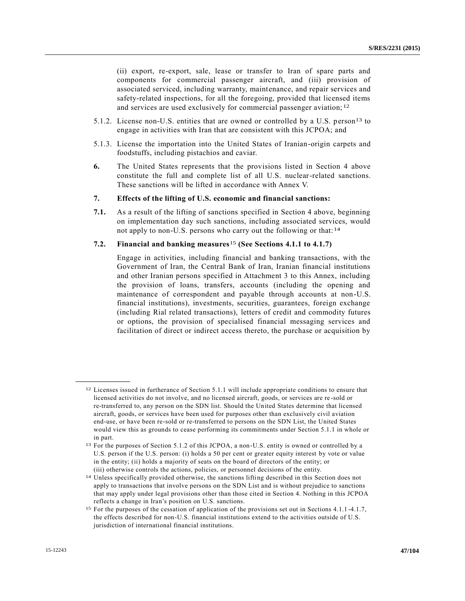(ii) export, re-export, sale, lease or transfer to Iran of spare parts and components for commercial passenger aircraft, and (iii) provision of associated serviced, including warranty, maintenance, and repair services and safety-related inspections, for all the foregoing, provided that licensed items and services are used exclusively for commercial passenger aviation; 12

- 5.1.2. License non-U.S. entities that are owned or controlled by a U.S. person<sup>13</sup> to engage in activities with Iran that are consistent with this JCPOA; and
- 5.1.3. License the importation into the United States of Iranian-origin carpets and foodstuffs, including pistachios and caviar.
- **6.** The United States represents that the provisions listed in Section 4 above constitute the full and complete list of all U.S. nuclear-related sanctions. These sanctions will be lifted in accordance with Annex V.

#### **7. Effects of the lifting of U.S. economic and financial sanctions:**

**7.1.** As a result of the lifting of sanctions specified in Section 4 above, beginning on implementation day such sanctions, including associated services, would not apply to non-U.S. persons who carry out the following or that:<sup>14</sup>

## **7.2. Financial and banking measures**15 **(See Sections 4.1.1 to 4.1.7)**

Engage in activities, including financial and banking transactions, with the Government of Iran, the Central Bank of Iran, Iranian financial institutions and other Iranian persons specified in Attachment 3 to this Annex, including the provision of loans, transfers, accounts (including the opening and maintenance of correspondent and payable through accounts at non-U.S. financial institutions), investments, securities, guarantees, foreign exchange (including Rial related transactions), letters of credit and commodity futures or options, the provision of specialised financial messaging services and facilitation of direct or indirect access thereto, the purchase or acquisition by

<sup>12</sup> Licenses issued in furtherance of Section 5.1.1 will include appropriate conditions to ensure that licensed activities do not involve, and no licensed aircraft, goods, or services are re -sold or re-transferred to, any person on the SDN list. Should the United States determine that licensed aircraft, goods, or services have been used for purposes other than exclusively civil aviation end-use, or have been re-sold or re-transferred to persons on the SDN List, the United States would view this as grounds to cease performing its commitments under Section 5.1.1 in whole or in part.

<sup>13</sup> For the purposes of Section 5.1.2 of this JCPOA, a non-U.S. entity is owned or controlled by a U.S. person if the U.S. person: (i) holds a 50 per cent or greater equity interest by vote or value in the entity; (ii) holds a majority of seats on the board of directors of the entity; or (iii) otherwise controls the actions, policies, or personnel decisions of the entity.

<sup>14</sup> Unless specifically provided otherwise, the sanctions lifting described in this Section does not apply to transactions that involve persons on the SDN List and is without prejudice to sanctions that may apply under legal provisions other than those cited in Section 4. Nothing in this JCPOA reflects a change in Iran's position on U.S. sanctions.

<sup>15</sup> For the purposes of the cessation of application of the provisions set out in Sections 4.1.1 -4.1.7, the effects described for non-U.S. financial institutions extend to the activities outside of U.S. jurisdiction of international financial institutions.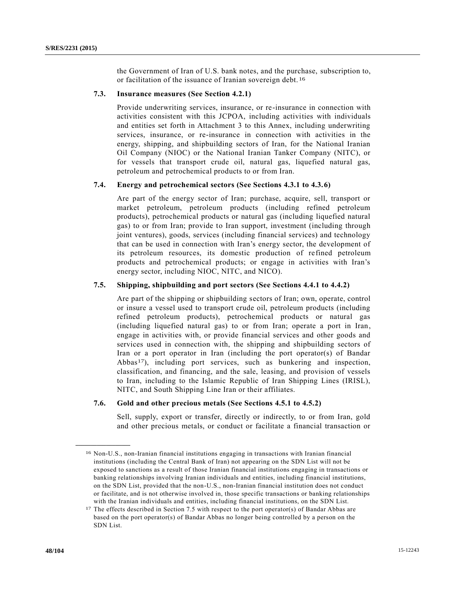the Government of Iran of U.S. bank notes, and the purchase, subscription to, or facilitation of the issuance of Iranian sovereign debt. 16

### **7.3. Insurance measures (See Section 4.2.1)**

Provide underwriting services, insurance, or re-insurance in connection with activities consistent with this JCPOA, including activities with individuals and entities set forth in Attachment 3 to this Annex, including underwriting services, insurance, or re-insurance in connection with activities in the energy, shipping, and shipbuilding sectors of Iran, for the National Iranian Oil Company (NIOC) or the National Iranian Tanker Company (NITC), or for vessels that transport crude oil, natural gas, liquefied natural gas, petroleum and petrochemical products to or from Iran.

#### **7.4. Energy and petrochemical sectors (See Sections 4.3.1 to 4.3.6)**

Are part of the energy sector of Iran; purchase, acquire, sell, transport or market petroleum, petroleum products (including refined petroleum products), petrochemical products or natural gas (including liquefied natural gas) to or from Iran; provide to Iran support, investment (including through joint ventures), goods, services (including financial services) and technology that can be used in connection with Iran's energy sector, the development of its petroleum resources, its domestic production of refined petroleum products and petrochemical products; or engage in activities with Iran's energy sector, including NIOC, NITC, and NICO).

#### **7.5. Shipping, shipbuilding and port sectors (See Sections 4.4.1 to 4.4.2)**

Are part of the shipping or shipbuilding sectors of Iran; own, operate, control or insure a vessel used to transport crude oil, petroleum products (including refined petroleum products), petrochemical products or natural gas (including liquefied natural gas) to or from Iran; operate a port in Iran, engage in activities with, or provide financial services and other goods and services used in connection with, the shipping and shipbuilding sectors of Iran or a port operator in Iran (including the port operator(s) of Bandar Abbas<sup>17</sup>), including port services, such as bunkering and inspection, classification, and financing, and the sale, leasing, and provision of vessels to Iran, including to the Islamic Republic of Iran Shipping Lines (IRISL), NITC, and South Shipping Line Iran or their affiliates.

#### **7.6. Gold and other precious metals (See Sections 4.5.1 to 4.5.2)**

Sell, supply, export or transfer, directly or indirectly, to or from Iran, gold and other precious metals, or conduct or facilitate a financial transaction or

<sup>16</sup> Non-U.S., non-Iranian financial institutions engaging in transactions with Iranian financial institutions (including the Central Bank of Iran) not appearing on the SDN List will not be exposed to sanctions as a result of those Iranian financial institutions engaging in transactions or banking relationships involving Iranian individuals and entities, including financial institutions, on the SDN List, provided that the non-U.S., non-Iranian financial institution does not conduct or facilitate, and is not otherwise involved in, those specific transactions or banking relationships with the Iranian individuals and entities, including financial institutions, on the SDN List.

<sup>&</sup>lt;sup>17</sup> The effects described in Section 7.5 with respect to the port operator(s) of Bandar Abbas are based on the port operator(s) of Bandar Abbas no longer being controlled by a person on the SDN List.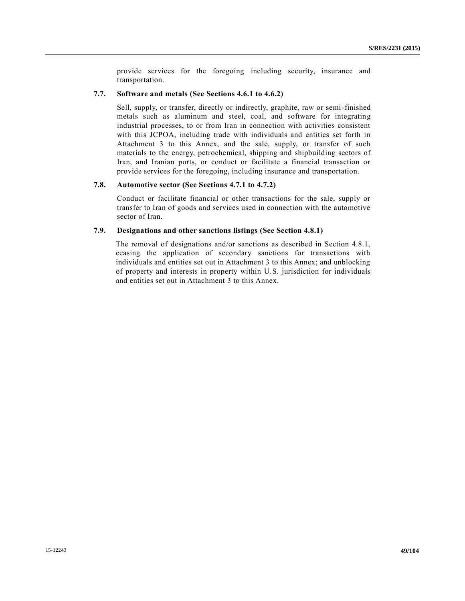provide services for the foregoing including security, insurance and transportation.

## **7.7. Software and metals (See Sections 4.6.1 to 4.6.2)**

Sell, supply, or transfer, directly or indirectly, graphite, raw or semi-finished metals such as aluminum and steel, coal, and software for integrating industrial processes, to or from Iran in connection with activities consistent with this JCPOA, including trade with individuals and entities set forth in Attachment 3 to this Annex, and the sale, supply, or transfer of such materials to the energy, petrochemical, shipping and shipbuilding sectors of Iran, and Iranian ports, or conduct or facilitate a financial transaction or provide services for the foregoing, including insurance and transportation.

## **7.8. Automotive sector (See Sections 4.7.1 to 4.7.2)**

Conduct or facilitate financial or other transactions for the sale, supply or transfer to Iran of goods and services used in connection with the automotive sector of Iran.

## **7.9. Designations and other sanctions listings (See Section 4.8.1)**

The removal of designations and/or sanctions as described in Section 4.8.1, ceasing the application of secondary sanctions for transactions with individuals and entities set out in Attachment 3 to this Annex; and unblocking of property and interests in property within U.S. jurisdiction for individuals and entities set out in Attachment 3 to this Annex.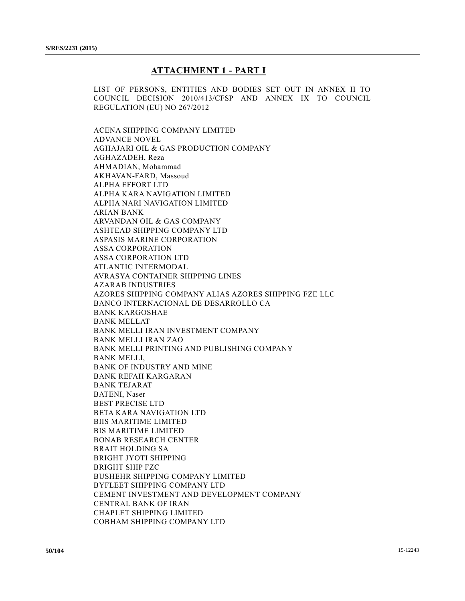## **ATTACHMENT 1 - PART I**

LIST OF PERSONS, ENTITIES AND BODIES SET OUT IN ANNEX II TO COUNCIL DECISION 2010/413/CFSP AND ANNEX IX TO COUNCIL REGULATION (EU) NO 267/2012

ACENA SHIPPING COMPANY LIMITED ADVANCE NOVEL AGHAJARI OIL & GAS PRODUCTION COMPANY AGHAZADEH, Reza AHMADIAN, Mohammad AKHAVAN-FARD, Massoud ALPHA EFFORT LTD ALPHA KARA NAVIGATION LIMITED ALPHA NARI NAVIGATION LIMITED ARIAN BANK ARVANDAN OIL & GAS COMPANY ASHTEAD SHIPPING COMPANY LTD ASPASIS MARINE CORPORATION ASSA CORPORATION ASSA CORPORATION LTD ATLANTIC INTERMODAL AVRASYA CONTAINER SHIPPING LINES AZARAB INDUSTRIES AZORES SHIPPING COMPANY ALIAS AZORES SHIPPING FZE LLC BANCO INTERNACIONAL DE DESARROLLO CA BANK KARGOSHAE BANK MELLAT BANK MELLI IRAN INVESTMENT COMPANY BANK MELLI IRAN ZAO BANK MELLI PRINTING AND PUBLISHING COMPANY BANK MELLI, BANK OF INDUSTRY AND MINE BANK REFAH KARGARAN BANK TEJARAT BATENI, Naser BEST PRECISE LTD BETA KARA NAVIGATION LTD BIIS MARITIME LIMITED BIS MARITIME LIMITED BONAB RESEARCH CENTER BRAIT HOLDING SA BRIGHT JYOTI SHIPPING BRIGHT SHIP FZC BUSHEHR SHIPPING COMPANY LIMITED BYFLEET SHIPPING COMPANY LTD CEMENT INVESTMENT AND DEVELOPMENT COMPANY CENTRAL BANK OF IRAN CHAPLET SHIPPING LIMITED COBHAM SHIPPING COMPANY LTD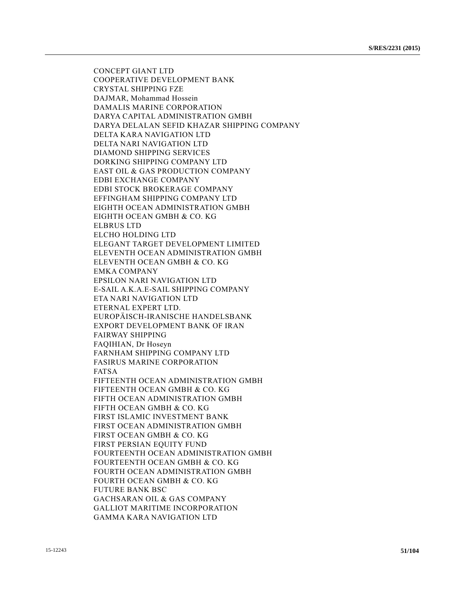CONCEPT GIANT LTD COOPERATIVE DEVELOPMENT BANK CRYSTAL SHIPPING FZE DAJMAR, Mohammad Hossein DAMALIS MARINE CORPORATION DARYA CAPITAL ADMINISTRATION GMBH DARYA DELALAN SEFID KHAZAR SHIPPING COMPANY DELTA KARA NAVIGATION LTD DELTA NARI NAVIGATION LTD DIAMOND SHIPPING SERVICES DORKING SHIPPING COMPANY LTD EAST OIL & GAS PRODUCTION COMPANY EDBI EXCHANGE COMPANY EDBI STOCK BROKERAGE COMPANY EFFINGHAM SHIPPING COMPANY LTD EIGHTH OCEAN ADMINISTRATION GMBH EIGHTH OCEAN GMBH & CO. KG ELBRUS LTD ELCHO HOLDING LTD ELEGANT TARGET DEVELOPMENT LIMITED ELEVENTH OCEAN ADMINISTRATION GMBH ELEVENTH OCEAN GMBH & CO. KG EMKA COMPANY EPSILON NARI NAVIGATION LTD E-SAIL A.K.A.E-SAIL SHIPPING COMPANY ETA NARI NAVIGATION LTD ETERNAL EXPERT LTD. EUROPÄISCH-IRANISCHE HANDELSBANK EXPORT DEVELOPMENT BANK OF IRAN FAIRWAY SHIPPING FAQIHIAN, Dr Hoseyn FARNHAM SHIPPING COMPANY LTD FASIRUS MARINE CORPORATION FATSA FIFTEENTH OCEAN ADMINISTRATION GMBH FIFTEENTH OCEAN GMBH & CO. KG FIFTH OCEAN ADMINISTRATION GMBH FIFTH OCEAN GMBH & CO. KG FIRST ISLAMIC INVESTMENT BANK FIRST OCEAN ADMINISTRATION GMBH FIRST OCEAN GMBH & CO. KG FIRST PERSIAN EQUITY FUND FOURTEENTH OCEAN ADMINISTRATION GMBH FOURTEENTH OCEAN GMBH & CO. KG FOURTH OCEAN ADMINISTRATION GMBH FOURTH OCEAN GMBH & CO. KG FUTURE BANK BSC GACHSARAN OIL & GAS COMPANY GALLIOT MARITIME INCORPORATION GAMMA KARA NAVIGATION LTD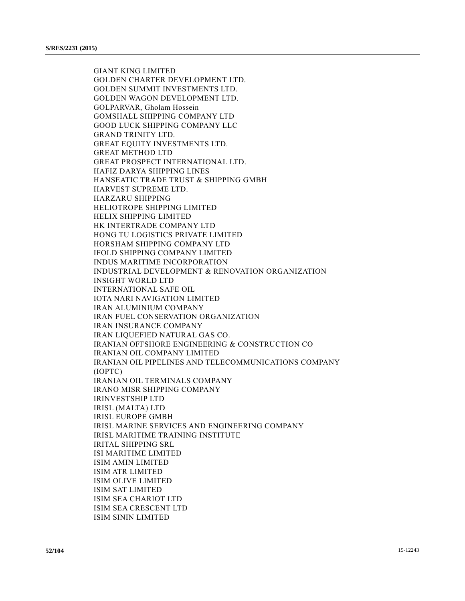GIANT KING LIMITED GOLDEN CHARTER DEVELOPMENT LTD. GOLDEN SUMMIT INVESTMENTS LTD. GOLDEN WAGON DEVELOPMENT LTD. GOLPARVAR, Gholam Hossein GOMSHALL SHIPPING COMPANY LTD GOOD LUCK SHIPPING COMPANY LLC GRAND TRINITY LTD. GREAT EQUITY INVESTMENTS LTD. GREAT METHOD LTD GREAT PROSPECT INTERNATIONAL LTD. HAFIZ DARYA SHIPPING LINES HANSEATIC TRADE TRUST & SHIPPING GMBH HARVEST SUPREME LTD. HARZARU SHIPPING HELIOTROPE SHIPPING LIMITED HELIX SHIPPING LIMITED HK INTERTRADE COMPANY LTD HONG TU LOGISTICS PRIVATE LIMITED HORSHAM SHIPPING COMPANY LTD IFOLD SHIPPING COMPANY LIMITED INDUS MARITIME INCORPORATION INDUSTRIAL DEVELOPMENT & RENOVATION ORGANIZATION INSIGHT WORLD LTD INTERNATIONAL SAFE OIL IOTA NARI NAVIGATION LIMITED IRAN ALUMINIUM COMPANY IRAN FUEL CONSERVATION ORGANIZATION IRAN INSURANCE COMPANY IRAN LIQUEFIED NATURAL GAS CO. IRANIAN OFFSHORE ENGINEERING & CONSTRUCTION CO IRANIAN OIL COMPANY LIMITED IRANIAN OIL PIPELINES AND TELECOMMUNICATIONS COMPANY (IOPTC) IRANIAN OIL TERMINALS COMPANY IRANO MISR SHIPPING COMPANY IRINVESTSHIP LTD IRISL (MALTA) LTD IRISL EUROPE GMBH IRISL MARINE SERVICES AND ENGINEERING COMPANY IRISL MARITIME TRAINING INSTITUTE IRITAL SHIPPING SRL ISI MARITIME LIMITED ISIM AMIN LIMITED ISIM ATR LIMITED ISIM OLIVE LIMITED ISIM SAT LIMITED ISIM SEA CHARIOT LTD ISIM SEA CRESCENT LTD ISIM SININ LIMITED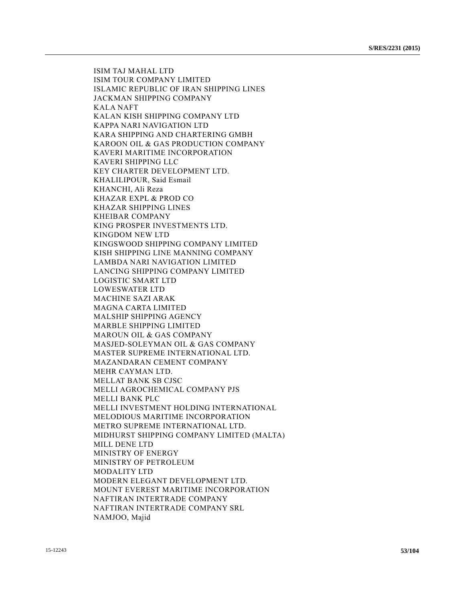ISIM TAJ MAHAL LTD ISIM TOUR COMPANY LIMITED ISLAMIC REPUBLIC OF IRAN SHIPPING LINES JACKMAN SHIPPING COMPANY KALA NAFT KALAN KISH SHIPPING COMPANY LTD KAPPA NARI NAVIGATION LTD KARA SHIPPING AND CHARTERING GMBH KAROON OIL & GAS PRODUCTION COMPANY KAVERI MARITIME INCORPORATION KAVERI SHIPPING LLC KEY CHARTER DEVELOPMENT LTD. KHALILIPOUR, Said Esmail KHANCHI, Ali Reza KHAZAR EXPL & PROD CO KHAZAR SHIPPING LINES KHEIBAR COMPANY KING PROSPER INVESTMENTS LTD. KINGDOM NEW LTD KINGSWOOD SHIPPING COMPANY LIMITED KISH SHIPPING LINE MANNING COMPANY LAMBDA NARI NAVIGATION LIMITED LANCING SHIPPING COMPANY LIMITED LOGISTIC SMART LTD LOWESWATER LTD MACHINE SAZI ARAK MAGNA CARTA LIMITED MALSHIP SHIPPING AGENCY MARBLE SHIPPING LIMITED MAROUN OIL & GAS COMPANY MASJED-SOLEYMAN OIL & GAS COMPANY MASTER SUPREME INTERNATIONAL LTD. MAZANDARAN CEMENT COMPANY MEHR CAYMAN LTD. MELLAT BANK SB CJSC MELLI AGROCHEMICAL COMPANY PJS MELLI BANK PLC MELLI INVESTMENT HOLDING INTERNATIONAL MELODIOUS MARITIME INCORPORATION METRO SUPREME INTERNATIONAL LTD. MIDHURST SHIPPING COMPANY LIMITED (MALTA) MILL DENE LTD MINISTRY OF ENERGY MINISTRY OF PETROLEUM MODALITY LTD MODERN ELEGANT DEVELOPMENT LTD. MOUNT EVEREST MARITIME INCORPORATION NAFTIRAN INTERTRADE COMPANY NAFTIRAN INTERTRADE COMPANY SRL NAMJOO, Majid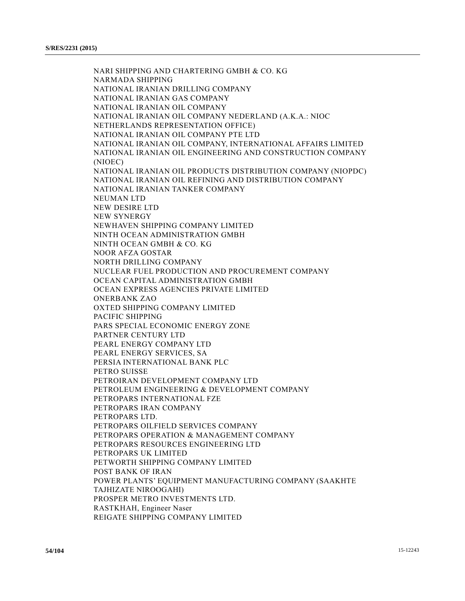NARI SHIPPING AND CHARTERING GMBH & CO. KG NARMADA SHIPPING NATIONAL IRANIAN DRILLING COMPANY NATIONAL IRANIAN GAS COMPANY NATIONAL IRANIAN OIL COMPANY NATIONAL IRANIAN OIL COMPANY NEDERLAND (A.K.A.: NIOC NETHERLANDS REPRESENTATION OFFICE) NATIONAL IRANIAN OIL COMPANY PTE LTD NATIONAL IRANIAN OIL COMPANY, INTERNATIONAL AFFAIRS LIMITED NATIONAL IRANIAN OIL ENGINEERING AND CONSTRUCTION COMPANY (NIOEC) NATIONAL IRANIAN OIL PRODUCTS DISTRIBUTION COMPANY (NIOPDC) NATIONAL IRANIAN OIL REFINING AND DISTRIBUTION COMPANY NATIONAL IRANIAN TANKER COMPANY NEUMAN LTD NEW DESIRE LTD NEW SYNERGY NEWHAVEN SHIPPING COMPANY LIMITED NINTH OCEAN ADMINISTRATION GMBH NINTH OCEAN GMBH & CO. KG NOOR AFZA GOSTAR NORTH DRILLING COMPANY NUCLEAR FUEL PRODUCTION AND PROCUREMENT COMPANY OCEAN CAPITAL ADMINISTRATION GMBH OCEAN EXPRESS AGENCIES PRIVATE LIMITED ONERBANK ZAO OXTED SHIPPING COMPANY LIMITED PACIFIC SHIPPING PARS SPECIAL ECONOMIC ENERGY ZONE PARTNER CENTURY LTD PEARL ENERGY COMPANY LTD PEARL ENERGY SERVICES, SA PERSIA INTERNATIONAL BANK PLC PETRO SUISSE PETROIRAN DEVELOPMENT COMPANY LTD PETROLEUM ENGINEERING & DEVELOPMENT COMPANY PETROPARS INTERNATIONAL FZE PETROPARS IRAN COMPANY PETROPARS LTD. PETROPARS OILFIELD SERVICES COMPANY PETROPARS OPERATION & MANAGEMENT COMPANY PETROPARS RESOURCES ENGINEERING LTD PETROPARS UK LIMITED PETWORTH SHIPPING COMPANY LIMITED POST BANK OF IRAN POWER PLANTS' EQUIPMENT MANUFACTURING COMPANY (SAAKHTE TAJHIZATE NIROOGAHI) PROSPER METRO INVESTMENTS LTD. RASTKHAH, Engineer Naser REIGATE SHIPPING COMPANY LIMITED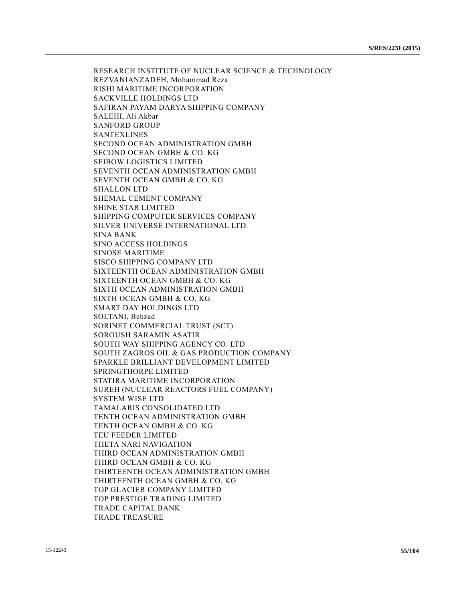RESEARCH INSTITUTE OF NUCLEAR SCIENCE & TECHNOLOGY REZVANIANZADEH, Mohammad Reza RISHI MARITIME INCORPORATION SACKVILLE HOLDINGS LTD SAFIRAN PAYAM DARYA SHIPPING COMPANY SALEHI, Ali Akbar SANFORD GROUP SANTEXLINES SECOND OCEAN ADMINISTRATION GMBH SECOND OCEAN GMBH & CO. KG SEIBOW LOGISTICS LIMITED SEVENTH OCEAN ADMINISTRATION GMBH SEVENTH OCEAN GMBH & CO. KG SHALLON LTD SHEMAL CEMENT COMPANY SHINE STAR LIMITED SHIPPING COMPUTER SERVICES COMPANY SILVER UNIVERSE INTERNATIONAL LTD. SINA BANK SINO ACCESS HOLDINGS SINOSE MARITIME SISCO SHIPPING COMPANY LTD SIXTEENTH OCEAN ADMINISTRATION GMBH SIXTEENTH OCEAN GMBH & CO. KG SIXTH OCEAN ADMINISTRATION GMBH SIXTH OCEAN GMBH & CO. KG SMART DAY HOLDINGS LTD SOLTANI, Behzad SORINET COMMERCIAL TRUST (SCT) SOROUSH SARAMIN ASATIR SOUTH WAY SHIPPING AGENCY CO. LTD SOUTH ZAGROS OIL & GAS PRODUCTION COMPANY SPARKLE BRILLIANT DEVELOPMENT LIMITED SPRINGTHORPE LIMITED STATIRA MARITIME INCORPORATION SUREH (NUCLEAR REACTORS FUEL COMPANY) SYSTEM WISE LTD TAMALARIS CONSOLIDATED LTD TENTH OCEAN ADMINISTRATION GMBH TENTH OCEAN GMBH & CO. KG TEU FEEDER LIMITED THETA NARI NAVIGATION THIRD OCEAN ADMINISTRATION GMBH THIRD OCEAN GMBH & CO. KG THIRTEENTH OCEAN ADMINISTRATION GMBH THIRTEENTH OCEAN GMBH & CO. KG TOP GLACIER COMPANY LIMITED TOP PRESTIGE TRADING LIMITED TRADE CAPITAL BANK TRADE TREASURE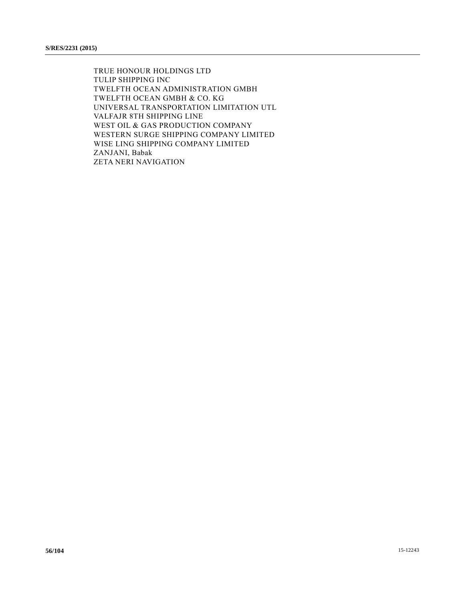TRUE HONOUR HOLDINGS LTD TULIP SHIPPING INC TWELFTH OCEAN ADMINISTRATION GMBH TWELFTH OCEAN GMBH & CO. KG UNIVERSAL TRANSPORTATION LIMITATION UTL VALFAJR 8TH SHIPPING LINE WEST OIL & GAS PRODUCTION COMPANY WESTERN SURGE SHIPPING COMPANY LIMITED WISE LING SHIPPING COMPANY LIMITED ZANJANI, Babak ZETA NERI NAVIGATION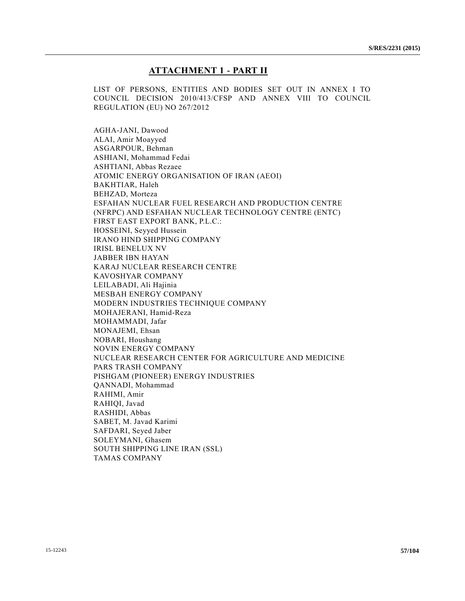# **ATTACHMENT 1 - PART II**

LIST OF PERSONS, ENTITIES AND BODIES SET OUT IN ANNEX I TO COUNCIL DECISION 2010/413/CFSP AND ANNEX VIII TO COUNCIL REGULATION (EU) NO 267/2012

AGHA-JANI, Dawood ALAI, Amir Moayyed ASGARPOUR, Behman ASHIANI, Mohammad Fedai ASHTIANI, Abbas Rezaee ATOMIC ENERGY ORGANISATION OF IRAN (AEOI) BAKHTIAR, Haleh BEHZAD, Morteza ESFAHAN NUCLEAR FUEL RESEARCH AND PRODUCTION CENTRE (NFRPC) AND ESFAHAN NUCLEAR TECHNOLOGY CENTRE (ENTC) FIRST EAST EXPORT BANK, P.L.C.: HOSSEINI, Seyyed Hussein IRANO HIND SHIPPING COMPANY IRISL BENELUX NV JABBER IBN HAYAN KARAJ NUCLEAR RESEARCH CENTRE KAVOSHYAR COMPANY LEILABADI, Ali Hajinia MESBAH ENERGY COMPANY MODERN INDUSTRIES TECHNIQUE COMPANY MOHAJERANI, Hamid-Reza MOHAMMADI, Jafar MONAJEMI, Ehsan NOBARI, Houshang NOVIN ENERGY COMPANY NUCLEAR RESEARCH CENTER FOR AGRICULTURE AND MEDICINE PARS TRASH COMPANY PISHGAM (PIONEER) ENERGY INDUSTRIES QANNADI, Mohammad RAHIMI, Amir RAHIQI, Javad RASHIDI, Abbas SABET, M. Javad Karimi SAFDARI, Seyed Jaber SOLEYMANI, Ghasem SOUTH SHIPPING LINE IRAN (SSL) TAMAS COMPANY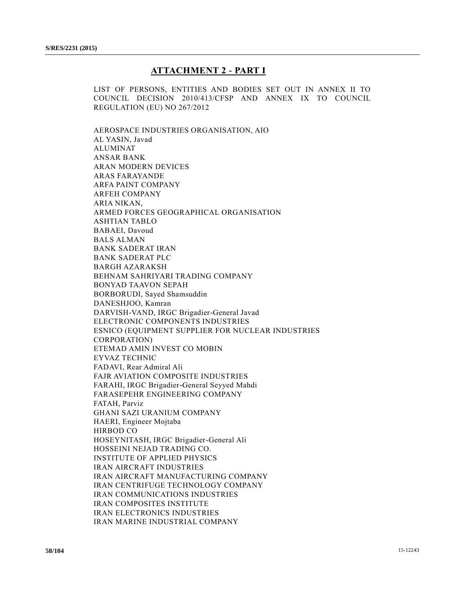## **ATTACHMENT 2 - PART I**

LIST OF PERSONS, ENTITIES AND BODIES SET OUT IN ANNEX II TO COUNCIL DECISION 2010/413/CFSP AND ANNEX IX TO COUNCIL REGULATION (EU) NO 267/2012

AEROSPACE INDUSTRIES ORGANISATION, AIO AL YASIN, Javad ALUMINAT ANSAR BANK ARAN MODERN DEVICES ARAS FARAYANDE ARFA PAINT COMPANY ARFEH COMPANY ARIA NIKAN, ARMED FORCES GEOGRAPHICAL ORGANISATION ASHTIAN TABLO BABAEI, Davoud BALS ALMAN BANK SADERAT IRAN BANK SADERAT PLC BARGH AZARAKSH BEHNAM SAHRIYARI TRADING COMPANY BONYAD TAAVON SEPAH BORBORUDI, Sayed Shamsuddin DANESHJOO, Kamran DARVISH-VAND, IRGC Brigadier-General Javad ELECTRONIC COMPONENTS INDUSTRIES ESNICO (EQUIPMENT SUPPLIER FOR NUCLEAR INDUSTRIES CORPORATION) ETEMAD AMIN INVEST CO MOBIN EYVAZ TECHNIC FADAVI, Rear Admiral Ali FAJR AVIATION COMPOSITE INDUSTRIES FARAHI, IRGC Brigadier-General Seyyed Mahdi FARASEPEHR ENGINEERING COMPANY FATAH, Parviz GHANI SAZI URANIUM COMPANY HAERI, Engineer Mojtaba HIRBOD CO HOSEYNITASH, IRGC Brigadier-General Ali HOSSEINI NEJAD TRADING CO. INSTITUTE OF APPLIED PHYSICS IRAN AIRCRAFT INDUSTRIES IRAN AIRCRAFT MANUFACTURING COMPANY IRAN CENTRIFUGE TECHNOLOGY COMPANY IRAN COMMUNICATIONS INDUSTRIES IRAN COMPOSITES INSTITUTE IRAN ELECTRONICS INDUSTRIES IRAN MARINE INDUSTRIAL COMPANY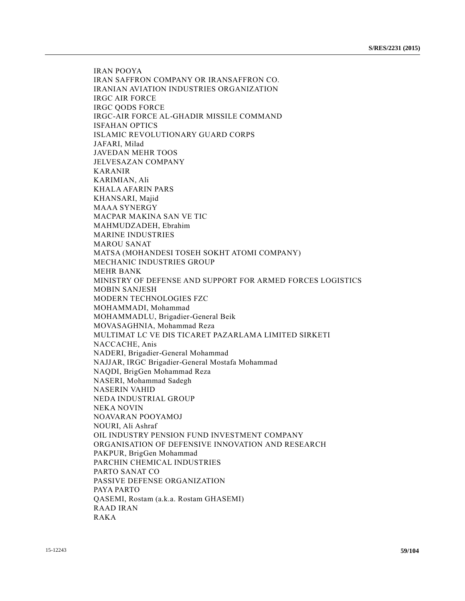IRAN POOYA IRAN SAFFRON COMPANY OR IRANSAFFRON CO. IRANIAN AVIATION INDUSTRIES ORGANIZATION IRGC AIR FORCE IRGC QODS FORCE IRGC-AIR FORCE AL-GHADIR MISSILE COMMAND ISFAHAN OPTICS ISLAMIC REVOLUTIONARY GUARD CORPS JAFARI, Milad JAVEDAN MEHR TOOS JELVESAZAN COMPANY KARANIR KARIMIAN, Ali KHALA AFARIN PARS KHANSARI, Majid MAAA SYNERGY MACPAR MAKINA SAN VE TIC MAHMUDZADEH, Ebrahim MARINE INDUSTRIES MAROU SANAT MATSA (MOHANDESI TOSEH SOKHT ATOMI COMPANY) MECHANIC INDUSTRIES GROUP MEHR BANK MINISTRY OF DEFENSE AND SUPPORT FOR ARMED FORCES LOGISTICS MOBIN SANJESH MODERN TECHNOLOGIES FZC MOHAMMADI, Mohammad MOHAMMADLU, Brigadier-General Beik MOVASAGHNIA, Mohammad Reza MULTIMAT LC VE DIS TICARET PAZARLAMA LIMITED SIRKETI NACCACHE, Anis NADERI, Brigadier-General Mohammad NAJJAR, IRGC Brigadier-General Mostafa Mohammad NAQDI, BrigGen Mohammad Reza NASERI, Mohammad Sadegh NASERIN VAHID NEDA INDUSTRIAL GROUP NEKA NOVIN NOAVARAN POOYAMOJ NOURI, Ali Ashraf OIL INDUSTRY PENSION FUND INVESTMENT COMPANY ORGANISATION OF DEFENSIVE INNOVATION AND RESEARCH PAKPUR, BrigGen Mohammad PARCHIN CHEMICAL INDUSTRIES PARTO SANAT CO PASSIVE DEFENSE ORGANIZATION PAYA PARTO QASEMI, Rostam (a.k.a. Rostam GHASEMI) RAAD IRAN RAKA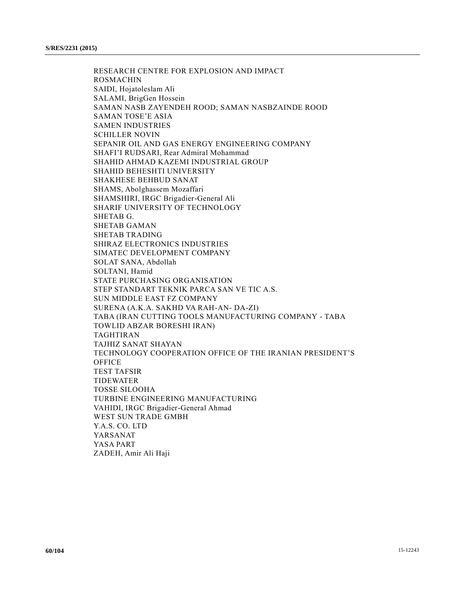RESEARCH CENTRE FOR EXPLOSION AND IMPACT ROSMACHIN SAIDI, Hojatoleslam Ali SALAMI, BrigGen Hossein SAMAN NASB ZAYENDEH ROOD; SAMAN NASBZAINDE ROOD SAMAN TOSE'E ASIA SAMEN INDUSTRIES SCHILLER NOVIN SEPANIR OIL AND GAS ENERGY ENGINEERING COMPANY SHAFI'I RUDSARI, Rear Admiral Mohammad SHAHID AHMAD KAZEMI INDUSTRIAL GROUP SHAHID BEHESHTI UNIVERSITY SHAKHESE BEHBUD SANAT SHAMS, Abolghassem Mozaffari SHAMSHIRI, IRGC Brigadier-General Ali SHARIF UNIVERSITY OF TECHNOLOGY SHETAB G. SHETAB GAMAN SHETAB TRADING SHIRAZ ELECTRONICS INDUSTRIES SIMATEC DEVELOPMENT COMPANY SOLAT SANA, Abdollah SOLTANI, Hamid STATE PURCHASING ORGANISATION STEP STANDART TEKNIK PARCA SAN VE TIC A.S. SUN MIDDLE EAST FZ COMPANY SURENA (A.K.A. SAKHD VA RAH-AN- DA-ZI) TABA (IRAN CUTTING TOOLS MANUFACTURING COMPANY - TABA TOWLID ABZAR BORESHI IRAN) TAGHTIRAN TAJHIZ SANAT SHAYAN TECHNOLOGY COOPERATION OFFICE OF THE IRANIAN PRESIDENT'S **OFFICE** TEST TAFSIR TIDEWATER TOSSE SILOOHA TURBINE ENGINEERING MANUFACTURING VAHIDI, IRGC Brigadier-General Ahmad WEST SUN TRADE GMBH Y.A.S. CO. LTD YARSANAT YASA PART ZADEH, Amir Ali Haji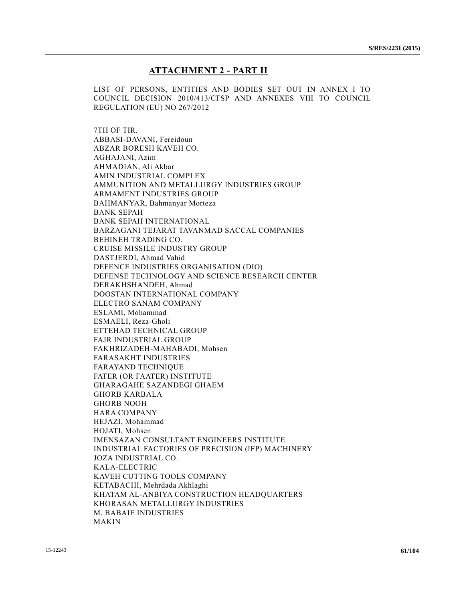# **ATTACHMENT 2 - PART II**

LIST OF PERSONS, ENTITIES AND BODIES SET OUT IN ANNEX I TO COUNCIL DECISION 2010/413/CFSP AND ANNEXES VIII TO COUNCIL REGULATION (EU) NO 267/2012

7TH OF TIR. ABBASI-DAVANI, Fereidoun ABZAR BORESH KAVEH CO. AGHAJANI, Azim AHMADIAN, Ali Akbar AMIN INDUSTRIAL COMPLEX AMMUNITION AND METALLURGY INDUSTRIES GROUP ARMAMENT INDUSTRIES GROUP BAHMANYAR, Bahmanyar Morteza BANK SEPAH BANK SEPAH INTERNATIONAL BARZAGANI TEJARAT TAVANMAD SACCAL COMPANIES BEHINEH TRADING CO. CRUISE MISSILE INDUSTRY GROUP DASTJERDI, Ahmad Vahid DEFENCE INDUSTRIES ORGANISATION (DIO) DEFENSE TECHNOLOGY AND SCIENCE RESEARCH CENTER DERAKHSHANDEH, Ahmad DOOSTAN INTERNATIONAL COMPANY ELECTRO SANAM COMPANY ESLAMI, Mohammad ESMAELI, Reza-Gholi ETTEHAD TECHNICAL GROUP FAJR INDUSTRIAL GROUP FAKHRIZADEH-MAHABADI, Mohsen FARASAKHT INDUSTRIES FARAYAND TECHNIQUE FATER (OR FAATER) INSTITUTE GHARAGAHE SAZANDEGI GHAEM GHORB KARBALA GHORB NOOH HARA COMPANY HEJAZI, Mohammad HOJATI, Mohsen IMENSAZAN CONSULTANT ENGINEERS INSTITUTE INDUSTRIAL FACTORIES OF PRECISION (IFP) MACHINERY JOZA INDUSTRIAL CO. KALA-ELECTRIC KAVEH CUTTING TOOLS COMPANY KETABACHI, Mehrdada Akhlaghi KHATAM AL-ANBIYA CONSTRUCTION HEADQUARTERS KHORASAN METALLURGY INDUSTRIES M. BABAIE INDUSTRIES MAKIN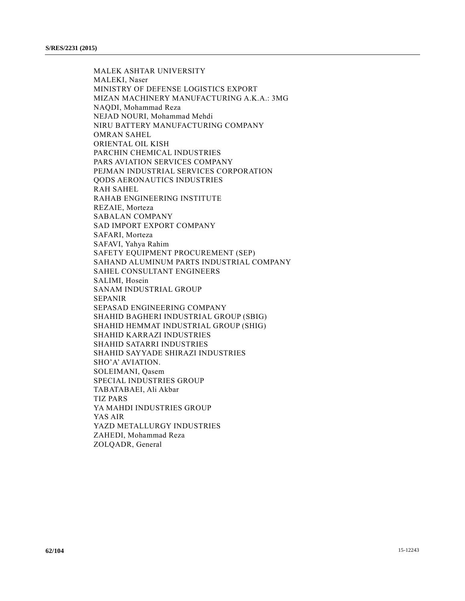MALEK ASHTAR UNIVERSITY MALEKI, Naser MINISTRY OF DEFENSE LOGISTICS EXPORT MIZAN MACHINERY MANUFACTURING A.K.A.: 3MG NAQDI, Mohammad Reza NEJAD NOURI, Mohammad Mehdi NIRU BATTERY MANUFACTURING COMPANY OMRAN SAHEL ORIENTAL OIL KISH PARCHIN CHEMICAL INDUSTRIES PARS AVIATION SERVICES COMPANY PEJMAN INDUSTRIAL SERVICES CORPORATION QODS AERONAUTICS INDUSTRIES RAH SAHEL RAHAB ENGINEERING INSTITUTE REZAIE, Morteza SABALAN COMPANY SAD IMPORT EXPORT COMPANY SAFARI, Morteza SAFAVI, Yahya Rahim SAFETY EQUIPMENT PROCUREMENT (SEP) SAHAND ALUMINUM PARTS INDUSTRIAL COMPANY SAHEL CONSULTANT ENGINEERS SALIMI, Hosein SANAM INDUSTRIAL GROUP SEPANIR SEPASAD ENGINEERING COMPANY SHAHID BAGHERI INDUSTRIAL GROUP (SBIG) SHAHID HEMMAT INDUSTRIAL GROUP (SHIG) SHAHID KARRAZI INDUSTRIES SHAHID SATARRI INDUSTRIES SHAHID SAYYADE SHIRAZI INDUSTRIES SHO'A' AVIATION. SOLEIMANI, Qasem SPECIAL INDUSTRIES GROUP TABATABAEI, Ali Akbar TIZ PARS YA MAHDI INDUSTRIES GROUP YAS AIR YAZD METALLURGY INDUSTRIES ZAHEDI, Mohammad Reza ZOLQADR, General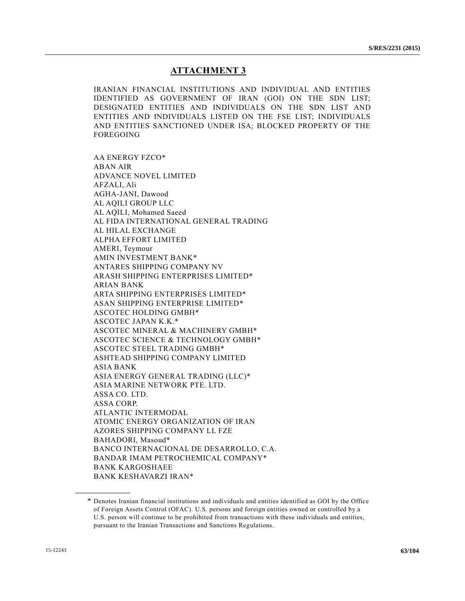## **ATTACHMENT 3**

IRANIAN FINANCIAL INSTITUTIONS AND INDIVIDUAL AND ENTITIES IDENTIFIED AS GOVERNMENT OF IRAN (GOI) ON THE SDN LIST; DESIGNATED ENTITIES AND INDIVIDUALS ON THE SDN LIST AND ENTITIES AND INDIVIDUALS LISTED ON THE FSE LIST; INDIVIDUALS AND ENTITIES SANCTIONED UNDER ISA; BLOCKED PROPERTY OF THE FOREGOING

AA ENERGY FZCO\* ABAN AIR ADVANCE NOVEL LIMITED AFZALI, Ali AGHA-JANI, Dawood AL AQILI GROUP LLC AL AQILI, Mohamed Saeed AL FIDA INTERNATIONAL GENERAL TRADING AL HILAL EXCHANGE ALPHA EFFORT LIMITED AMERI, Teymour AMIN INVESTMENT BANK\* ANTARES SHIPPING COMPANY NV ARASH SHIPPING ENTERPRISES LIMITED\* ARIAN BANK ARTA SHIPPING ENTERPRISES LIMITED\* ASAN SHIPPING ENTERPRISE LIMITED\* ASCOTEC HOLDING GMBH\* ASCOTEC JAPAN K.K.\* ASCOTEC MINERAL & MACHINERY GMBH\* ASCOTEC SCIENCE & TECHNOLOGY GMBH\* ASCOTEC STEEL TRADING GMBH\* ASHTEAD SHIPPING COMPANY LIMITED ASIA BANK ASIA ENERGY GENERAL TRADING (LLC)\* ASIA MARINE NETWORK PTE. LTD. ASSA CO. LTD. ASSA CORP. ATLANTIC INTERMODAL ATOMIC ENERGY ORGANIZATION OF IRAN AZORES SHIPPING COMPANY LL FZE BAHADORI, Masoud\* BANCO INTERNACIONAL DE DESARROLLO, C.A. BANDAR IMAM PETROCHEMICAL COMPANY\* BANK KARGOSHAEE BANK KESHAVARZI IRAN\*

<sup>\*</sup> Denotes Iranian financial institutions and individuals and entities identified as GOI by the Office of Foreign Assets Control (OFAC). U.S. persons and foreign entities owned or controlled by a U.S. person will continue to be prohibited from transactions with these individuals and entities, pursuant to the Iranian Transactions and Sanctions Regulations.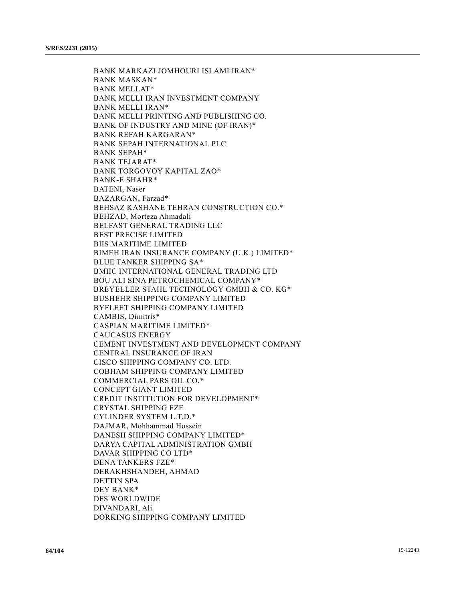BANK MARKAZI JOMHOURI ISLAMI IRAN\* BANK MASKAN\* BANK MELLAT\* BANK MELLI IRAN INVESTMENT COMPANY BANK MELLI IRAN\* BANK MELLI PRINTING AND PUBLISHING CO. BANK OF INDUSTRY AND MINE (OF IRAN)\* BANK REFAH KARGARAN\* BANK SEPAH INTERNATIONAL PLC BANK SEPAH\* BANK TEJARAT\* BANK TORGOVOY KAPITAL ZAO\* BANK-E SHAHR\* BATENI, Naser BAZARGAN, Farzad\* BEHSAZ KASHANE TEHRAN CONSTRUCTION CO.\* BEHZAD, Morteza Ahmadali BELFAST GENERAL TRADING LLC BEST PRECISE LIMITED BIIS MARITIME LIMITED BIMEH IRAN INSURANCE COMPANY (U.K.) LIMITED\* BLUE TANKER SHIPPING SA\* BMIIC INTERNATIONAL GENERAL TRADING LTD BOU ALI SINA PETROCHEMICAL COMPANY\* BREYELLER STAHL TECHNOLOGY GMBH & CO. KG\* BUSHEHR SHIPPING COMPANY LIMITED BYFLEET SHIPPING COMPANY LIMITED CAMBIS, Dimitris\* CASPIAN MARITIME LIMITED\* CAUCASUS ENERGY CEMENT INVESTMENT AND DEVELOPMENT COMPANY CENTRAL INSURANCE OF IRAN CISCO SHIPPING COMPANY CO. LTD. COBHAM SHIPPING COMPANY LIMITED COMMERCIAL PARS OIL CO.\* CONCEPT GIANT LIMITED CREDIT INSTITUTION FOR DEVELOPMENT\* CRYSTAL SHIPPING FZE CYLINDER SYSTEM L.T.D.\* DAJMAR, Mohhammad Hossein DANESH SHIPPING COMPANY LIMITED\* DARYA CAPITAL ADMINISTRATION GMBH DAVAR SHIPPING CO LTD\* DENA TANKERS FZE\* DERAKHSHANDEH, AHMAD DETTIN SPA DEY BANK\* DFS WORLDWIDE DIVANDARI, Ali DORKING SHIPPING COMPANY LIMITED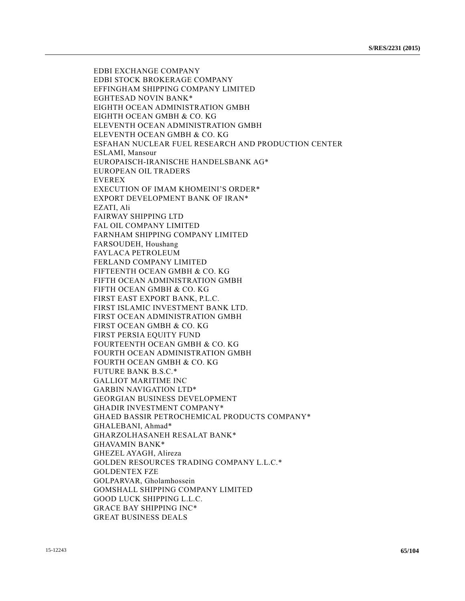EDBI EXCHANGE COMPANY EDBI STOCK BROKERAGE COMPANY EFFINGHAM SHIPPING COMPANY LIMITED EGHTESAD NOVIN BANK\* EIGHTH OCEAN ADMINISTRATION GMBH EIGHTH OCEAN GMBH & CO. KG ELEVENTH OCEAN ADMINISTRATION GMBH ELEVENTH OCEAN GMBH & CO. KG ESFAHAN NUCLEAR FUEL RESEARCH AND PRODUCTION CENTER ESLAMI, Mansour EUROPAISCH-IRANISCHE HANDELSBANK AG\* EUROPEAN OIL TRADERS EVEREX EXECUTION OF IMAM KHOMEINI'S ORDER\* EXPORT DEVELOPMENT BANK OF IRAN\* EZATI, Ali FAIRWAY SHIPPING LTD FAL OIL COMPANY LIMITED FARNHAM SHIPPING COMPANY LIMITED FARSOUDEH, Houshang FAYLACA PETROLEUM FERLAND COMPANY LIMITED FIFTEENTH OCEAN GMBH & CO. KG FIFTH OCEAN ADMINISTRATION GMBH FIFTH OCEAN GMBH & CO. KG FIRST EAST EXPORT BANK, P.L.C. FIRST ISLAMIC INVESTMENT BANK LTD. FIRST OCEAN ADMINISTRATION GMBH FIRST OCEAN GMBH & CO. KG FIRST PERSIA EQUITY FUND FOURTEENTH OCEAN GMBH & CO. KG FOURTH OCEAN ADMINISTRATION GMBH FOURTH OCEAN GMBH & CO. KG FUTURE BANK B.S.C.\* GALLIOT MARITIME INC GARBIN NAVIGATION LTD\* GEORGIAN BUSINESS DEVELOPMENT GHADIR INVESTMENT COMPANY\* GHAED BASSIR PETROCHEMICAL PRODUCTS COMPANY\* GHALEBANI, Ahmad\* GHARZOLHASANEH RESALAT BANK\* GHAVAMIN BANK\* GHEZEL AYAGH, Alireza GOLDEN RESOURCES TRADING COMPANY L.L.C.\* GOLDENTEX FZE GOLPARVAR, Gholamhossein GOMSHALL SHIPPING COMPANY LIMITED GOOD LUCK SHIPPING L.L.C. GRACE BAY SHIPPING INC\* GREAT BUSINESS DEALS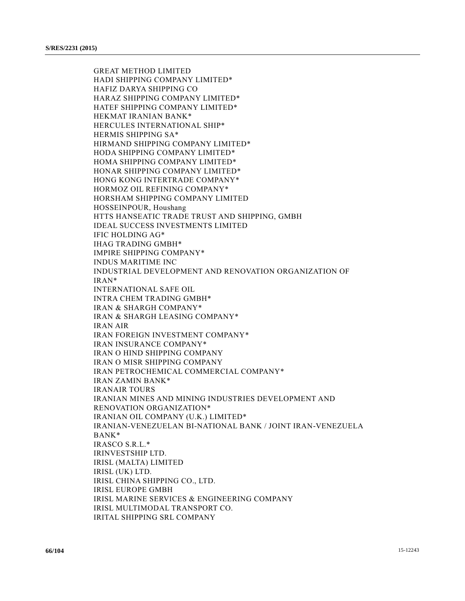GREAT METHOD LIMITED HADI SHIPPING COMPANY LIMITED\* HAFIZ DARYA SHIPPING CO HARAZ SHIPPING COMPANY LIMITED\* HATEF SHIPPING COMPANY LIMITED\* HEKMAT IRANIAN BANK\* HERCULES INTERNATIONAL SHIP\* HERMIS SHIPPING SA\* HIRMAND SHIPPING COMPANY LIMITED\* HODA SHIPPING COMPANY LIMITED\* HOMA SHIPPING COMPANY LIMITED\* HONAR SHIPPING COMPANY LIMITED\* HONG KONG INTERTRADE COMPANY\* HORMOZ OIL REFINING COMPANY\* HORSHAM SHIPPING COMPANY LIMITED HOSSEINPOUR, Houshang HTTS HANSEATIC TRADE TRUST AND SHIPPING, GMBH IDEAL SUCCESS INVESTMENTS LIMITED IFIC HOLDING AG\* IHAG TRADING GMBH\* IMPIRE SHIPPING COMPANY\* INDUS MARITIME INC INDUSTRIAL DEVELOPMENT AND RENOVATION ORGANIZATION OF IRAN\* INTERNATIONAL SAFE OIL INTRA CHEM TRADING GMBH\* IRAN & SHARGH COMPANY\* IRAN & SHARGH LEASING COMPANY\* IRAN AIR IRAN FOREIGN INVESTMENT COMPANY\* IRAN INSURANCE COMPANY\* IRAN O HIND SHIPPING COMPANY IRAN O MISR SHIPPING COMPANY IRAN PETROCHEMICAL COMMERCIAL COMPANY\* IRAN ZAMIN BANK\* IRANAIR TOURS IRANIAN MINES AND MINING INDUSTRIES DEVELOPMENT AND RENOVATION ORGANIZATION\* IRANIAN OIL COMPANY (U.K.) LIMITED\* IRANIAN-VENEZUELAN BI-NATIONAL BANK / JOINT IRAN-VENEZUELA BANK\* IRASCO S.R.L.\* IRINVESTSHIP LTD. IRISL (MALTA) LIMITED IRISL (UK) LTD. IRISL CHINA SHIPPING CO., LTD. IRISL EUROPE GMBH IRISL MARINE SERVICES & ENGINEERING COMPANY IRISL MULTIMODAL TRANSPORT CO. IRITAL SHIPPING SRL COMPANY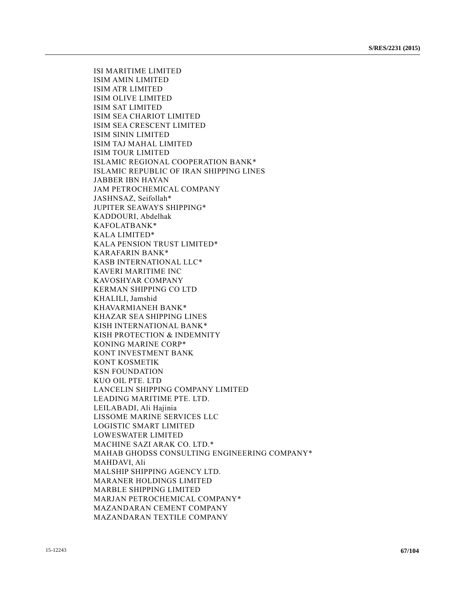ISI MARITIME LIMITED ISIM AMIN LIMITED ISIM ATR LIMITED ISIM OLIVE LIMITED ISIM SAT LIMITED ISIM SEA CHARIOT LIMITED ISIM SEA CRESCENT LIMITED ISIM SININ LIMITED ISIM TAJ MAHAL LIMITED ISIM TOUR LIMITED ISLAMIC REGIONAL COOPERATION BANK\* ISLAMIC REPUBLIC OF IRAN SHIPPING LINES JABBER IBN HAYAN JAM PETROCHEMICAL COMPANY JASHNSAZ, Seifollah\* JUPITER SEAWAYS SHIPPING\* KADDOURI, Abdelhak KAFOLATBANK\* KALA LIMITED\* KALA PENSION TRUST LIMITED\* KARAFARIN BANK\* KASB INTERNATIONAL LLC\* KAVERI MARITIME INC KAVOSHYAR COMPANY KERMAN SHIPPING CO LTD KHALILI, Jamshid KHAVARMIANEH BANK\* KHAZAR SEA SHIPPING LINES KISH INTERNATIONAL BANK\* KISH PROTECTION & INDEMNITY KONING MARINE CORP\* KONT INVESTMENT BANK KONT KOSMETIK KSN FOUNDATION KUO OIL PTE. LTD LANCELIN SHIPPING COMPANY LIMITED LEADING MARITIME PTE. LTD. LEILABADI, Ali Hajinia LISSOME MARINE SERVICES LLC LOGISTIC SMART LIMITED LOWESWATER LIMITED MACHINE SAZI ARAK CO. LTD.\* MAHAB GHODSS CONSULTING ENGINEERING COMPANY\* MAHDAVI, Ali MALSHIP SHIPPING AGENCY LTD. MARANER HOLDINGS LIMITED MARBLE SHIPPING LIMITED MARJAN PETROCHEMICAL COMPANY\* MAZANDARAN CEMENT COMPANY MAZANDARAN TEXTILE COMPANY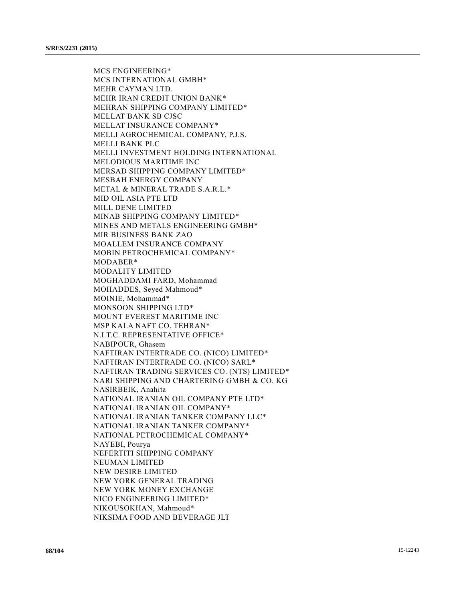MCS ENGINEERING\* MCS INTERNATIONAL GMBH\* MEHR CAYMAN LTD. MEHR IRAN CREDIT UNION BANK\* MEHRAN SHIPPING COMPANY LIMITED\* MELLAT BANK SB CJSC MELLAT INSURANCE COMPANY\* MELLI AGROCHEMICAL COMPANY, P.J.S. MELLI BANK PLC MELLI INVESTMENT HOLDING INTERNATIONAL MELODIOUS MARITIME INC MERSAD SHIPPING COMPANY LIMITED\* MESBAH ENERGY COMPANY METAL & MINERAL TRADE S.A.R.L.\* MID OIL ASIA PTE LTD MILL DENE LIMITED MINAB SHIPPING COMPANY LIMITED\* MINES AND METALS ENGINEERING GMBH\* MIR BUSINESS BANK ZAO MOALLEM INSURANCE COMPANY MOBIN PETROCHEMICAL COMPANY\* MODABER\* MODALITY LIMITED MOGHADDAMI FARD, Mohammad MOHADDES, Seyed Mahmoud\* MOINIE, Mohammad\* MONSOON SHIPPING LTD\* MOUNT EVEREST MARITIME INC MSP KALA NAFT CO. TEHRAN\* N.I.T.C. REPRESENTATIVE OFFICE\* NABIPOUR, Ghasem NAFTIRAN INTERTRADE CO. (NICO) LIMITED\* NAFTIRAN INTERTRADE CO. (NICO) SARL\* NAFTIRAN TRADING SERVICES CO. (NTS) LIMITED\* NARI SHIPPING AND CHARTERING GMBH & CO. KG NASIRBEIK, Anahita NATIONAL IRANIAN OIL COMPANY PTE LTD\* NATIONAL IRANIAN OIL COMPANY\* NATIONAL IRANIAN TANKER COMPANY LLC\* NATIONAL IRANIAN TANKER COMPANY\* NATIONAL PETROCHEMICAL COMPANY\* NAYEBI, Pourya NEFERTITI SHIPPING COMPANY NEUMAN LIMITED NEW DESIRE LIMITED NEW YORK GENERAL TRADING NEW YORK MONEY EXCHANGE NICO ENGINEERING LIMITED\* NIKOUSOKHAN, Mahmoud\* NIKSIMA FOOD AND BEVERAGE JLT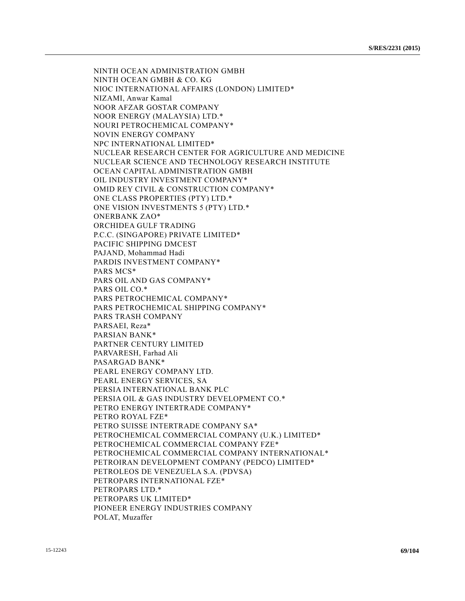NINTH OCEAN ADMINISTRATION GMBH NINTH OCEAN GMBH & CO. KG NIOC INTERNATIONAL AFFAIRS (LONDON) LIMITED\* NIZAMI, Anwar Kamal NOOR AFZAR GOSTAR COMPANY NOOR ENERGY (MALAYSIA) LTD.\* NOURI PETROCHEMICAL COMPANY\* NOVIN ENERGY COMPANY NPC INTERNATIONAL LIMITED\* NUCLEAR RESEARCH CENTER FOR AGRICULTURE AND MEDICINE NUCLEAR SCIENCE AND TECHNOLOGY RESEARCH INSTITUTE OCEAN CAPITAL ADMINISTRATION GMBH OIL INDUSTRY INVESTMENT COMPANY\* OMID REY CIVIL & CONSTRUCTION COMPANY\* ONE CLASS PROPERTIES (PTY) LTD.\* ONE VISION INVESTMENTS 5 (PTY) LTD.\* ONERBANK ZAO\* ORCHIDEA GULF TRADING P.C.C. (SINGAPORE) PRIVATE LIMITED\* PACIFIC SHIPPING DMCEST PAJAND, Mohammad Hadi PARDIS INVESTMENT COMPANY\* PARS MCS\* PARS OIL AND GAS COMPANY\* PARS OIL CO.\* PARS PETROCHEMICAL COMPANY\* PARS PETROCHEMICAL SHIPPING COMPANY\* PARS TRASH COMPANY PARSAEI, Reza\* PARSIAN BANK\* PARTNER CENTURY LIMITED PARVARESH, Farhad Ali PASARGAD BANK\* PEARL ENERGY COMPANY LTD. PEARL ENERGY SERVICES, SA PERSIA INTERNATIONAL BANK PLC PERSIA OIL & GAS INDUSTRY DEVELOPMENT CO.\* PETRO ENERGY INTERTRADE COMPANY\* PETRO ROYAL FZE\* PETRO SUISSE INTERTRADE COMPANY SA\* PETROCHEMICAL COMMERCIAL COMPANY (U.K.) LIMITED\* PETROCHEMICAL COMMERCIAL COMPANY FZE\* PETROCHEMICAL COMMERCIAL COMPANY INTERNATIONAL\* PETROIRAN DEVELOPMENT COMPANY (PEDCO) LIMITED\* PETROLEOS DE VENEZUELA S.A. (PDVSA) PETROPARS INTERNATIONAL FZE\* PETROPARS LTD.\* PETROPARS UK LIMITED\* PIONEER ENERGY INDUSTRIES COMPANY POLAT, Muzaffer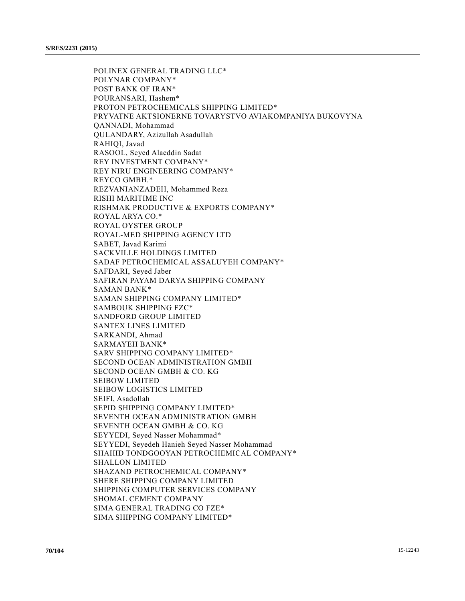POLINEX GENERAL TRADING LLC\* POLYNAR COMPANY\* POST BANK OF IRAN\* POURANSARI, Hashem\* PROTON PETROCHEMICALS SHIPPING LIMITED\* PRYVATNE AKTSIONERNE TOVARYSTVO AVIAKOMPANIYA BUKOVYNA QANNADI, Mohammad QULANDARY, Azizullah Asadullah RAHIQI, Javad RASOOL, Seyed Alaeddin Sadat REY INVESTMENT COMPANY\* REY NIRU ENGINEERING COMPANY\* REYCO GMBH.\* REZVANIANZADEH, Mohammed Reza RISHI MARITIME INC RISHMAK PRODUCTIVE & EXPORTS COMPANY\* ROYAL ARYA CO.\* ROYAL OYSTER GROUP ROYAL-MED SHIPPING AGENCY LTD SABET, Javad Karimi SACKVILLE HOLDINGS LIMITED SADAF PETROCHEMICAL ASSALUYEH COMPANY\* SAFDARI, Seyed Jaber SAFIRAN PAYAM DARYA SHIPPING COMPANY SAMAN BANK\* SAMAN SHIPPING COMPANY LIMITED\* SAMBOUK SHIPPING FZC\* SANDFORD GROUP LIMITED SANTEX LINES LIMITED SARKANDI, Ahmad SARMAYEH BANK\* SARV SHIPPING COMPANY LIMITED\* SECOND OCEAN ADMINISTRATION GMBH SECOND OCEAN GMBH & CO. KG SEIBOW LIMITED SEIBOW LOGISTICS LIMITED SEIFI, Asadollah SEPID SHIPPING COMPANY LIMITED\* SEVENTH OCEAN ADMINISTRATION GMBH SEVENTH OCEAN GMBH & CO. KG SEYYEDI, Seyed Nasser Mohammad\* SEYYEDI, Seyedeh Hanieh Seyed Nasser Mohammad SHAHID TONDGOOYAN PETROCHEMICAL COMPANY\* SHALLON LIMITED SHAZAND PETROCHEMICAL COMPANY\* SHERE SHIPPING COMPANY LIMITED SHIPPING COMPUTER SERVICES COMPANY SHOMAL CEMENT COMPANY SIMA GENERAL TRADING CO FZE\* SIMA SHIPPING COMPANY LIMITED\*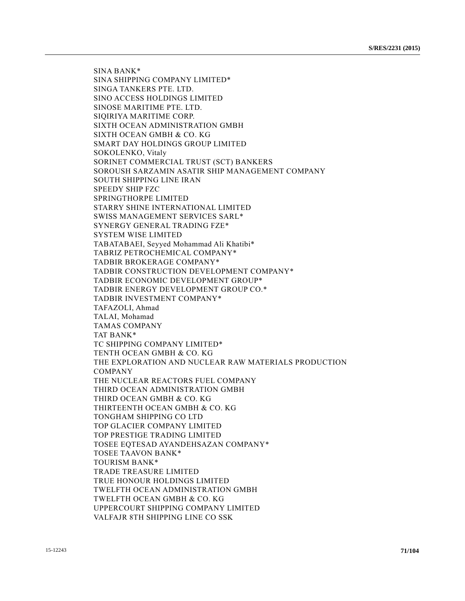SINA BANK\* SINA SHIPPING COMPANY LIMITED\* SINGA TANKERS PTE. LTD. SINO ACCESS HOLDINGS LIMITED SINOSE MARITIME PTE. LTD. SIQIRIYA MARITIME CORP. SIXTH OCEAN ADMINISTRATION GMBH SIXTH OCEAN GMBH & CO. KG SMART DAY HOLDINGS GROUP LIMITED SOKOLENKO, Vitaly SORINET COMMERCIAL TRUST (SCT) BANKERS SOROUSH SARZAMIN ASATIR SHIP MANAGEMENT COMPANY SOUTH SHIPPING LINE IRAN SPEEDY SHIP FZC SPRINGTHORPE LIMITED STARRY SHINE INTERNATIONAL LIMITED SWISS MANAGEMENT SERVICES SARL\* SYNERGY GENERAL TRADING FZE\* SYSTEM WISE LIMITED TABATABAEI, Seyyed Mohammad Ali Khatibi\* TABRIZ PETROCHEMICAL COMPANY\* TADBIR BROKERAGE COMPANY\* TADBIR CONSTRUCTION DEVELOPMENT COMPANY\* TADBIR ECONOMIC DEVELOPMENT GROUP\* TADBIR ENERGY DEVELOPMENT GROUP CO.\* TADBIR INVESTMENT COMPANY\* TAFAZOLI, Ahmad TALAI, Mohamad TAMAS COMPANY TAT BANK\* TC SHIPPING COMPANY LIMITED\* TENTH OCEAN GMBH & CO. KG THE EXPLORATION AND NUCLEAR RAW MATERIALS PRODUCTION COMPANY THE NUCLEAR REACTORS FUEL COMPANY THIRD OCEAN ADMINISTRATION GMBH THIRD OCEAN GMBH & CO. KG THIRTEENTH OCEAN GMBH & CO. KG TONGHAM SHIPPING CO LTD TOP GLACIER COMPANY LIMITED TOP PRESTIGE TRADING LIMITED TOSEE EQTESAD AYANDEHSAZAN COMPANY\* TOSEE TAAVON BANK\* TOURISM BANK\* TRADE TREASURE LIMITED TRUE HONOUR HOLDINGS LIMITED TWELFTH OCEAN ADMINISTRATION GMBH TWELFTH OCEAN GMBH & CO. KG UPPERCOURT SHIPPING COMPANY LIMITED VALFAJR 8TH SHIPPING LINE CO SSK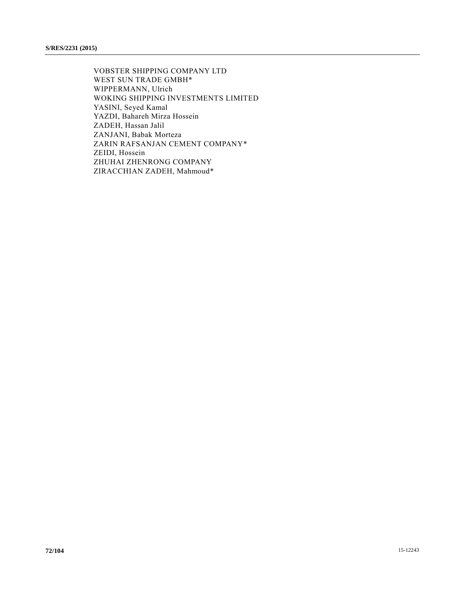VOBSTER SHIPPING COMPANY LTD WEST SUN TRADE GMBH\* WIPPERMANN, Ulrich WOKING SHIPPING INVESTMENTS LIMITED YASINI, Seyed Kamal YAZDI, Bahareh Mirza Hossein ZADEH, Hassan Jalil ZANJANI, Babak Morteza ZARIN RAFSANJAN CEMENT COMPANY\* ZEIDI, Hossein ZHUHAI ZHENRONG COMPANY ZIRACCHIAN ZADEH, Mahmoud\*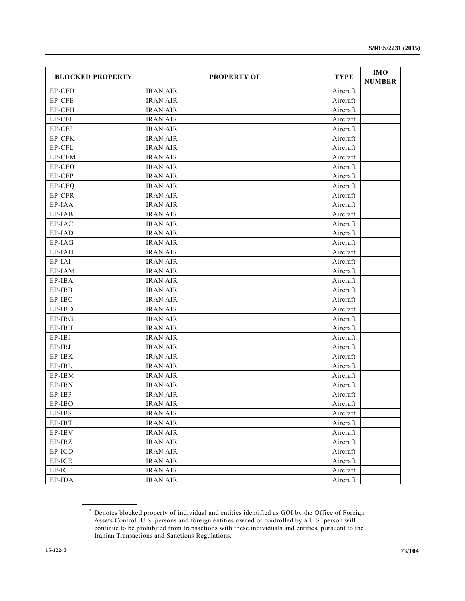| <b>BLOCKED PROPERTY</b> | <b>PROPERTY OF</b> | <b>TYPE</b> | <b>IMO</b><br><b>NUMBER</b> |
|-------------------------|--------------------|-------------|-----------------------------|
| EP-CFD                  | <b>IRAN AIR</b>    | Aircraft    |                             |
| EP-CFE                  | <b>IRAN AIR</b>    | Aircraft    |                             |
| EP-CFH                  | <b>IRAN AIR</b>    | Aircraft    |                             |
| EP-CFI                  | <b>IRAN AIR</b>    | Aircraft    |                             |
| EP-CFJ                  | <b>IRAN AIR</b>    | Aircraft    |                             |
| <b>EP-CFK</b>           | <b>IRAN AIR</b>    | Aircraft    |                             |
| EP-CFL                  | <b>IRAN AIR</b>    | Aircraft    |                             |
| EP-CFM                  | <b>IRAN AIR</b>    | Aircraft    |                             |
| EP-CFO                  | <b>IRAN AIR</b>    | Aircraft    |                             |
| EP-CFP                  | <b>IRAN AIR</b>    | Aircraft    |                             |
| EP-CFQ                  | <b>IRAN AIR</b>    | Aircraft    |                             |
| EP-CFR                  | <b>IRAN AIR</b>    | Aircraft    |                             |
| EP-IAA                  | <b>IRAN AIR</b>    | Aircraft    |                             |
| EP-IAB                  | <b>IRAN AIR</b>    | Aircraft    |                             |
| EP-IAC                  | <b>IRAN AIR</b>    | Aircraft    |                             |
| EP-IAD                  | <b>IRAN AIR</b>    | Aircraft    |                             |
| EP-IAG                  | <b>IRAN AIR</b>    | Aircraft    |                             |
| EP-IAH                  | <b>IRAN AIR</b>    | Aircraft    |                             |
| EP-IAI                  | <b>IRAN AIR</b>    | Aircraft    |                             |
| EP-IAM                  | <b>IRAN AIR</b>    | Aircraft    |                             |
| EP-IBA                  | <b>IRAN AIR</b>    | Aircraft    |                             |
| EP-IBB                  | <b>IRAN AIR</b>    | Aircraft    |                             |
| EP-IBC                  | <b>IRAN AIR</b>    | Aircraft    |                             |
| EP-IBD                  | <b>IRAN AIR</b>    | Aircraft    |                             |
| EP-IBG                  | <b>IRAN AIR</b>    | Aircraft    |                             |
| EP-IBH                  | <b>IRAN AIR</b>    | Aircraft    |                             |
| EP-IBI                  | <b>IRAN AIR</b>    | Aircraft    |                             |
| EP-IBJ                  | <b>IRAN AIR</b>    | Aircraft    |                             |
| EP-IBK                  | <b>IRAN AIR</b>    | Aircraft    |                             |
| EP-IBL                  | <b>IRAN AIR</b>    | Aircraft    |                             |
| EP-IBM                  | <b>IRAN AIR</b>    | Aircraft    |                             |
| EP-IBN                  | <b>IRAN AIR</b>    | Aircraft    |                             |
| EP-IBP                  | <b>IRAN AIR</b>    | Aircraft    |                             |
| EP-IBQ                  | <b>IRAN AIR</b>    | Aircraft    |                             |
| EP-IBS                  | <b>IRAN AIR</b>    | Aircraft    |                             |
| EP-IBT                  | <b>IRAN AIR</b>    | Aircraft    |                             |
| EP-IBV                  | <b>IRAN AIR</b>    | Aircraft    |                             |
| EP-IBZ                  | <b>IRAN AIR</b>    | Aircraft    |                             |
| EP-ICD                  | <b>IRAN AIR</b>    | Aircraft    |                             |
| EP-ICE                  | <b>IRAN AIR</b>    | Aircraft    |                             |
| EP-ICF                  | <b>IRAN AIR</b>    | Aircraft    |                             |
| EP-IDA                  | <b>IRAN AIR</b>    | Aircraft    |                             |

 $\rightarrow$  Denotes blocked property of individual and entities identified as GOI by the Office of Foreign Assets Control. U.S. persons and foreign entities owned or controlled by a U.S. person will continue to be prohibited from transactions with these individuals and entities, pursuant to the Iranian Transactions and Sanctions Regulations.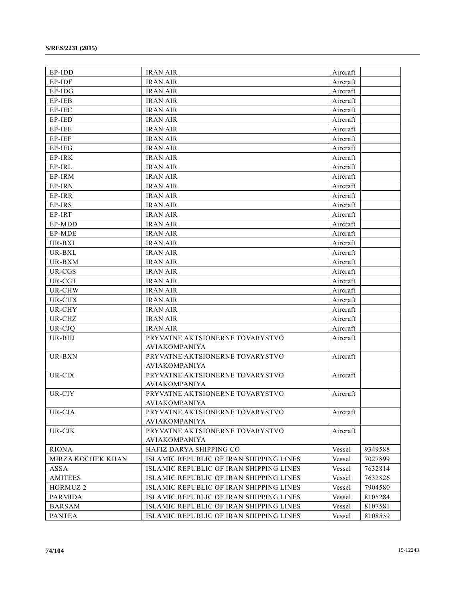| EP-IDD              | <b>IRAN AIR</b>                                | Aircraft |         |
|---------------------|------------------------------------------------|----------|---------|
| EP-IDF              | <b>IRAN AIR</b>                                | Aircraft |         |
| EP-IDG              | <b>IRAN AIR</b>                                | Aircraft |         |
| EP-IEB              | <b>IRAN AIR</b>                                | Aircraft |         |
| EP-IEC              | <b>IRAN AIR</b>                                | Aircraft |         |
| EP-IED              | <b>IRAN AIR</b>                                | Aircraft |         |
| EP-IEE              | <b>IRAN AIR</b>                                | Aircraft |         |
| EP-IEF              | <b>IRAN AIR</b>                                | Aircraft |         |
| EP-IEG              | <b>IRAN AIR</b>                                | Aircraft |         |
| EP-IRK              | <b>IRAN AIR</b>                                | Aircraft |         |
| EP-IRL              | <b>IRAN AIR</b>                                | Aircraft |         |
| EP-IRM              | <b>IRAN AIR</b>                                | Aircraft |         |
| EP-IRN              | <b>IRAN AIR</b>                                | Aircraft |         |
| EP-IRR              | <b>IRAN AIR</b>                                | Aircraft |         |
| EP-IRS              | <b>IRAN AIR</b>                                | Aircraft |         |
| EP-IRT              | <b>IRAN AIR</b>                                | Aircraft |         |
| EP-MDD              | <b>IRAN AIR</b>                                | Aircraft |         |
| EP-MDE              | <b>IRAN AIR</b>                                | Aircraft |         |
| UR-BXI              | <b>IRAN AIR</b>                                | Aircraft |         |
| UR-BXL              | <b>IRAN AIR</b>                                | Aircraft |         |
| UR-BXM              | <b>IRAN AIR</b>                                | Aircraft |         |
| UR-CGS              | <b>IRAN AIR</b>                                | Aircraft |         |
| UR-CGT              | <b>IRAN AIR</b>                                | Aircraft |         |
| UR-CHW              | <b>IRAN AIR</b>                                | Aircraft |         |
| UR-CHX              | <b>IRAN AIR</b>                                | Aircraft |         |
| UR-CHY              | <b>IRAN AIR</b>                                | Aircraft |         |
| UR-CHZ              | <b>IRAN AIR</b>                                | Aircraft |         |
| UR-CJQ              | <b>IRAN AIR</b>                                | Aircraft |         |
| UR-BHJ              | PRYVATNE AKTSIONERNE TOVARYSTVO                | Aircraft |         |
|                     | AVIAKOMPANIYA                                  |          |         |
| UR-BXN              | PRYVATNE AKTSIONERNE TOVARYSTVO                | Aircraft |         |
|                     | AVIAKOMPANIYA                                  |          |         |
| UR-CIX              | PRYVATNE AKTSIONERNE TOVARYSTVO                | Aircraft |         |
|                     | AVIAKOMPANIYA                                  |          |         |
| UR-CIY              | PRYVATNE AKTSIONERNE TOVARYSTVO                | Aircraft |         |
|                     | AVIAKOMPANIYA                                  |          |         |
| UR-CJA              | PRYVATNE AKTSIONERNE TOVARYSTVO                | Aircraft |         |
|                     | AVIAKOMPANIYA                                  |          |         |
| UR-CJK              | PRYVATNE AKTSIONERNE TOVARYSTVO                | Aircraft |         |
|                     | <b>AVIAKOMPANIYA</b>                           |          |         |
| <b>RIONA</b>        | HAFIZ DARYA SHIPPING CO                        | Vessel   | 9349588 |
| MIRZA KOCHEK KHAN   | ISLAMIC REPUBLIC OF IRAN SHIPPING LINES        | Vessel   | 7027899 |
| ASSA                | <b>ISLAMIC REPUBLIC OF IRAN SHIPPING LINES</b> | Vessel   | 7632814 |
| <b>AMITEES</b>      | ISLAMIC REPUBLIC OF IRAN SHIPPING LINES        | Vessel   | 7632826 |
| HORMUZ <sub>2</sub> | ISLAMIC REPUBLIC OF IRAN SHIPPING LINES        | Vessel   | 7904580 |
| <b>PARMIDA</b>      | ISLAMIC REPUBLIC OF IRAN SHIPPING LINES        | Vessel   | 8105284 |
| <b>BARSAM</b>       | ISLAMIC REPUBLIC OF IRAN SHIPPING LINES        | Vessel   | 8107581 |
| <b>PANTEA</b>       | ISLAMIC REPUBLIC OF IRAN SHIPPING LINES        | Vessel   | 8108559 |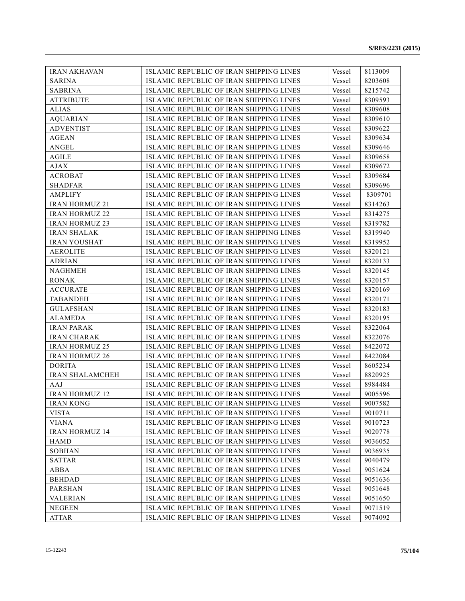| <b>IRAN AKHAVAN</b>    | ISLAMIC REPUBLIC OF IRAN SHIPPING LINES        | Vessel | 8113009 |
|------------------------|------------------------------------------------|--------|---------|
| <b>SARINA</b>          | ISLAMIC REPUBLIC OF IRAN SHIPPING LINES        | Vessel | 8203608 |
| <b>SABRINA</b>         | ISLAMIC REPUBLIC OF IRAN SHIPPING LINES        | Vessel | 8215742 |
| ATTRIBUTE              | ISLAMIC REPUBLIC OF IRAN SHIPPING LINES        | Vessel | 8309593 |
| <b>ALIAS</b>           | ISLAMIC REPUBLIC OF IRAN SHIPPING LINES        | Vessel | 8309608 |
| <b>AQUARIAN</b>        | ISLAMIC REPUBLIC OF IRAN SHIPPING LINES        | Vessel | 8309610 |
| ADVENTIST              | ISLAMIC REPUBLIC OF IRAN SHIPPING LINES        | Vessel | 8309622 |
| <b>AGEAN</b>           | ISLAMIC REPUBLIC OF IRAN SHIPPING LINES        | Vessel | 8309634 |
| ANGEL                  | ISLAMIC REPUBLIC OF IRAN SHIPPING LINES        | Vessel | 8309646 |
| <b>AGILE</b>           | ISLAMIC REPUBLIC OF IRAN SHIPPING LINES        | Vessel | 8309658 |
| AJAX                   | ISLAMIC REPUBLIC OF IRAN SHIPPING LINES        | Vessel | 8309672 |
| <b>ACROBAT</b>         | ISLAMIC REPUBLIC OF IRAN SHIPPING LINES        | Vessel | 8309684 |
| <b>SHADFAR</b>         | ISLAMIC REPUBLIC OF IRAN SHIPPING LINES        | Vessel | 8309696 |
| <b>AMPLIFY</b>         | ISLAMIC REPUBLIC OF IRAN SHIPPING LINES        | Vessel | 8309701 |
| <b>IRAN HORMUZ 21</b>  | ISLAMIC REPUBLIC OF IRAN SHIPPING LINES        | Vessel | 8314263 |
| <b>IRAN HORMUZ 22</b>  | ISLAMIC REPUBLIC OF IRAN SHIPPING LINES        | Vessel | 8314275 |
| <b>IRAN HORMUZ 23</b>  | <b>ISLAMIC REPUBLIC OF IRAN SHIPPING LINES</b> | Vessel | 8319782 |
| <b>IRAN SHALAK</b>     | ISLAMIC REPUBLIC OF IRAN SHIPPING LINES        | Vessel | 8319940 |
| IRAN YOUSHAT           | ISLAMIC REPUBLIC OF IRAN SHIPPING LINES        | Vessel | 8319952 |
| <b>AEROLITE</b>        | ISLAMIC REPUBLIC OF IRAN SHIPPING LINES        | Vessel | 8320121 |
| <b>ADRIAN</b>          | ISLAMIC REPUBLIC OF IRAN SHIPPING LINES        | Vessel | 8320133 |
| NAGHMEH                | ISLAMIC REPUBLIC OF IRAN SHIPPING LINES        | Vessel | 8320145 |
| <b>RONAK</b>           | ISLAMIC REPUBLIC OF IRAN SHIPPING LINES        | Vessel | 8320157 |
| <b>ACCURATE</b>        | ISLAMIC REPUBLIC OF IRAN SHIPPING LINES        | Vessel | 8320169 |
| <b>TABANDEH</b>        | ISLAMIC REPUBLIC OF IRAN SHIPPING LINES        | Vessel | 8320171 |
| <b>GULAFSHAN</b>       | ISLAMIC REPUBLIC OF IRAN SHIPPING LINES        | Vessel | 8320183 |
| <b>ALAMEDA</b>         | ISLAMIC REPUBLIC OF IRAN SHIPPING LINES        | Vessel | 8320195 |
| <b>IRAN PARAK</b>      | ISLAMIC REPUBLIC OF IRAN SHIPPING LINES        | Vessel | 8322064 |
| <b>IRAN CHARAK</b>     | ISLAMIC REPUBLIC OF IRAN SHIPPING LINES        | Vessel | 8322076 |
| <b>IRAN HORMUZ 25</b>  | ISLAMIC REPUBLIC OF IRAN SHIPPING LINES        | Vessel | 8422072 |
| <b>IRAN HORMUZ 26</b>  | ISLAMIC REPUBLIC OF IRAN SHIPPING LINES        | Vessel | 8422084 |
| <b>DORITA</b>          | <b>ISLAMIC REPUBLIC OF IRAN SHIPPING LINES</b> | Vessel | 8605234 |
| <b>IRAN SHALAMCHEH</b> | ISLAMIC REPUBLIC OF IRAN SHIPPING LINES        | Vessel | 8820925 |
| AAJ                    | ISLAMIC REPUBLIC OF IRAN SHIPPING LINES        | Vessel | 8984484 |
| <b>IRAN HORMUZ 12</b>  | ISLAMIC REPUBLIC OF IRAN SHIPPING LINES        | Vessel | 9005596 |
| <b>IRAN KONG</b>       | ISLAMIC REPUBLIC OF IRAN SHIPPING LINES        | Vessel | 9007582 |
| <b>VISTA</b>           | ISLAMIC REPUBLIC OF IRAN SHIPPING LINES        | Vessel | 9010711 |
| <b>VIANA</b>           | ISLAMIC REPUBLIC OF IRAN SHIPPING LINES        | Vessel | 9010723 |
| <b>IRAN HORMUZ 14</b>  | ISLAMIC REPUBLIC OF IRAN SHIPPING LINES        | Vessel | 9020778 |
| <b>HAMD</b>            | ISLAMIC REPUBLIC OF IRAN SHIPPING LINES        | Vessel | 9036052 |
| <b>SOBHAN</b>          | ISLAMIC REPUBLIC OF IRAN SHIPPING LINES        | Vessel | 9036935 |
| <b>SATTAR</b>          | ISLAMIC REPUBLIC OF IRAN SHIPPING LINES        | Vessel | 9040479 |
| ABBA                   | ISLAMIC REPUBLIC OF IRAN SHIPPING LINES        | Vessel | 9051624 |
| <b>BEHDAD</b>          | ISLAMIC REPUBLIC OF IRAN SHIPPING LINES        | Vessel | 9051636 |
| <b>PARSHAN</b>         | ISLAMIC REPUBLIC OF IRAN SHIPPING LINES        | Vessel | 9051648 |
| <b>VALERIAN</b>        | ISLAMIC REPUBLIC OF IRAN SHIPPING LINES        | Vessel | 9051650 |
| <b>NEGEEN</b>          | ISLAMIC REPUBLIC OF IRAN SHIPPING LINES        | Vessel | 9071519 |
| <b>ATTAR</b>           | ISLAMIC REPUBLIC OF IRAN SHIPPING LINES        | Vessel | 9074092 |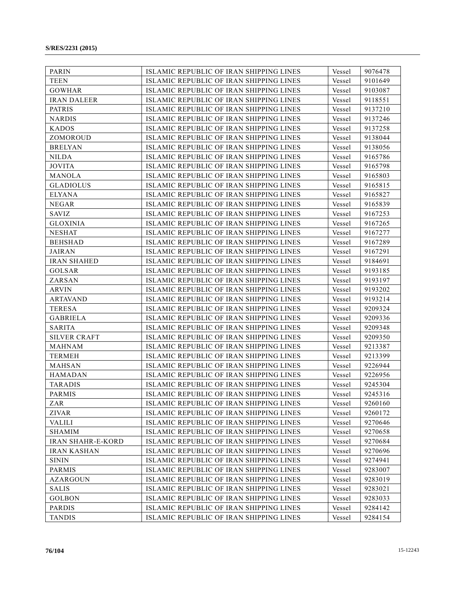| <b>PARIN</b>             | ISLAMIC REPUBLIC OF IRAN SHIPPING LINES        | Vessel | 9076478 |
|--------------------------|------------------------------------------------|--------|---------|
| <b>TEEN</b>              | ISLAMIC REPUBLIC OF IRAN SHIPPING LINES        | Vessel | 9101649 |
| <b>GOWHAR</b>            | ISLAMIC REPUBLIC OF IRAN SHIPPING LINES        | Vessel | 9103087 |
| IRAN DALEER              | ISLAMIC REPUBLIC OF IRAN SHIPPING LINES        | Vessel | 9118551 |
| <b>PATRIS</b>            | ISLAMIC REPUBLIC OF IRAN SHIPPING LINES        | Vessel | 9137210 |
| NARDIS                   | ISLAMIC REPUBLIC OF IRAN SHIPPING LINES        | Vessel | 9137246 |
| <b>KADOS</b>             | ISLAMIC REPUBLIC OF IRAN SHIPPING LINES        | Vessel | 9137258 |
| ZOMOROUD                 | <b>ISLAMIC REPUBLIC OF IRAN SHIPPING LINES</b> | Vessel | 9138044 |
| BRELYAN                  | ISLAMIC REPUBLIC OF IRAN SHIPPING LINES        | Vessel | 9138056 |
| NILDA                    | <b>ISLAMIC REPUBLIC OF IRAN SHIPPING LINES</b> | Vessel | 9165786 |
| <b>JOVITA</b>            | ISLAMIC REPUBLIC OF IRAN SHIPPING LINES        | Vessel | 9165798 |
| <b>MANOLA</b>            | ISLAMIC REPUBLIC OF IRAN SHIPPING LINES        | Vessel | 9165803 |
| <b>GLADIOLUS</b>         | ISLAMIC REPUBLIC OF IRAN SHIPPING LINES        | Vessel | 9165815 |
| <b>ELYANA</b>            | <b>ISLAMIC REPUBLIC OF IRAN SHIPPING LINES</b> | Vessel | 9165827 |
| NEGAR                    | ISLAMIC REPUBLIC OF IRAN SHIPPING LINES        | Vessel | 9165839 |
| SAVIZ                    | ISLAMIC REPUBLIC OF IRAN SHIPPING LINES        | Vessel | 9167253 |
| <b>GLOXINIA</b>          | ISLAMIC REPUBLIC OF IRAN SHIPPING LINES        | Vessel | 9167265 |
| <b>NESHAT</b>            | ISLAMIC REPUBLIC OF IRAN SHIPPING LINES        | Vessel | 9167277 |
| <b>BEHSHAD</b>           | ISLAMIC REPUBLIC OF IRAN SHIPPING LINES        | Vessel | 9167289 |
| <b>JAIRAN</b>            | ISLAMIC REPUBLIC OF IRAN SHIPPING LINES        | Vessel | 9167291 |
| <b>IRAN SHAHED</b>       | ISLAMIC REPUBLIC OF IRAN SHIPPING LINES        | Vessel | 9184691 |
| GOLSAR                   | ISLAMIC REPUBLIC OF IRAN SHIPPING LINES        | Vessel | 9193185 |
| ZARSAN                   | ISLAMIC REPUBLIC OF IRAN SHIPPING LINES        | Vessel | 9193197 |
| ARVIN                    | ISLAMIC REPUBLIC OF IRAN SHIPPING LINES        | Vessel | 9193202 |
| <b>ARTAVAND</b>          | <b>ISLAMIC REPUBLIC OF IRAN SHIPPING LINES</b> | Vessel | 9193214 |
| <b>TERESA</b>            | ISLAMIC REPUBLIC OF IRAN SHIPPING LINES        | Vessel | 9209324 |
| GABRIELA                 | ISLAMIC REPUBLIC OF IRAN SHIPPING LINES        | Vessel | 9209336 |
| <b>SARITA</b>            | ISLAMIC REPUBLIC OF IRAN SHIPPING LINES        | Vessel | 9209348 |
| <b>SILVER CRAFT</b>      | ISLAMIC REPUBLIC OF IRAN SHIPPING LINES        | Vessel | 9209350 |
| <b>MAHNAM</b>            | ISLAMIC REPUBLIC OF IRAN SHIPPING LINES        | Vessel | 9213387 |
| <b>TERMEH</b>            | ISLAMIC REPUBLIC OF IRAN SHIPPING LINES        | Vessel | 9213399 |
| MAHSAN                   | ISLAMIC REPUBLIC OF IRAN SHIPPING LINES        | Vessel | 9226944 |
| HAMADAN                  | ISLAMIC REPUBLIC OF IRAN SHIPPING LINES        | Vessel | 9226956 |
| <b>TARADIS</b>           | ISLAMIC REPUBLIC OF IRAN SHIPPING LINES        | Vessel | 9245304 |
| <b>PARMIS</b>            | ISLAMIC REPUBLIC OF IRAN SHIPPING LINES        | Vessel | 9245316 |
| ZAR                      | ISLAMIC REPUBLIC OF IRAN SHIPPING LINES        | Vessel | 9260160 |
| ZIVAR                    | ISLAMIC REPUBLIC OF IRAN SHIPPING LINES        | Vessel | 9260172 |
| VALILI                   | ISLAMIC REPUBLIC OF IRAN SHIPPING LINES        | Vessel | 9270646 |
| <b>SHAMIM</b>            | ISLAMIC REPUBLIC OF IRAN SHIPPING LINES        | Vessel | 9270658 |
| <b>IRAN SHAHR-E-KORD</b> | ISLAMIC REPUBLIC OF IRAN SHIPPING LINES        | Vessel | 9270684 |
| <b>IRAN KASHAN</b>       | ISLAMIC REPUBLIC OF IRAN SHIPPING LINES        | Vessel | 9270696 |
| <b>SININ</b>             | ISLAMIC REPUBLIC OF IRAN SHIPPING LINES        | Vessel | 9274941 |
| <b>PARMIS</b>            | ISLAMIC REPUBLIC OF IRAN SHIPPING LINES        | Vessel | 9283007 |
| <b>AZARGOUN</b>          | ISLAMIC REPUBLIC OF IRAN SHIPPING LINES        | Vessel | 9283019 |
| <b>SALIS</b>             | ISLAMIC REPUBLIC OF IRAN SHIPPING LINES        | Vessel | 9283021 |
| <b>GOLBON</b>            | ISLAMIC REPUBLIC OF IRAN SHIPPING LINES        | Vessel | 9283033 |
| <b>PARDIS</b>            | ISLAMIC REPUBLIC OF IRAN SHIPPING LINES        | Vessel | 9284142 |
| <b>TANDIS</b>            | ISLAMIC REPUBLIC OF IRAN SHIPPING LINES        | Vessel | 9284154 |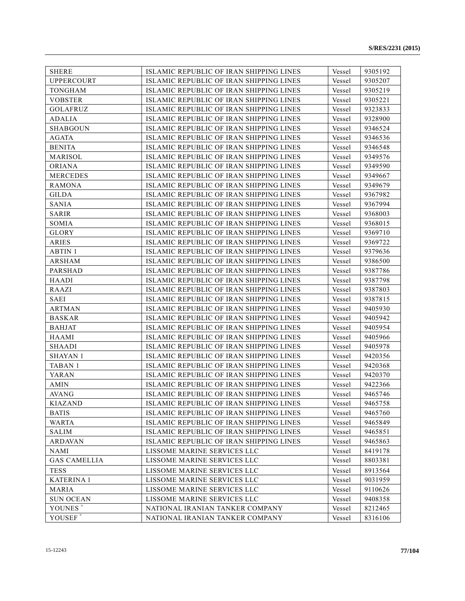| <b>SHERE</b>        | ISLAMIC REPUBLIC OF IRAN SHIPPING LINES        | Vessel | 9305192 |
|---------------------|------------------------------------------------|--------|---------|
| <b>UPPERCOURT</b>   | ISLAMIC REPUBLIC OF IRAN SHIPPING LINES        | Vessel | 9305207 |
| <b>TONGHAM</b>      | <b>ISLAMIC REPUBLIC OF IRAN SHIPPING LINES</b> | Vessel | 9305219 |
| <b>VOBSTER</b>      | ISLAMIC REPUBLIC OF IRAN SHIPPING LINES        | Vessel | 9305221 |
| GOLAFRUZ            | ISLAMIC REPUBLIC OF IRAN SHIPPING LINES        | Vessel | 9323833 |
| ADALIA              | ISLAMIC REPUBLIC OF IRAN SHIPPING LINES        | Vessel | 9328900 |
| <b>SHABGOUN</b>     | <b>ISLAMIC REPUBLIC OF IRAN SHIPPING LINES</b> | Vessel | 9346524 |
| <b>AGATA</b>        | ISLAMIC REPUBLIC OF IRAN SHIPPING LINES        | Vessel | 9346536 |
| <b>BENITA</b>       | ISLAMIC REPUBLIC OF IRAN SHIPPING LINES        | Vessel | 9346548 |
| <b>MARISOL</b>      | ISLAMIC REPUBLIC OF IRAN SHIPPING LINES        | Vessel | 9349576 |
| <b>ORIANA</b>       | ISLAMIC REPUBLIC OF IRAN SHIPPING LINES        | Vessel | 9349590 |
| <b>MERCEDES</b>     | ISLAMIC REPUBLIC OF IRAN SHIPPING LINES        | Vessel | 9349667 |
| RAMONA              | ISLAMIC REPUBLIC OF IRAN SHIPPING LINES        | Vessel | 9349679 |
| <b>GILDA</b>        | ISLAMIC REPUBLIC OF IRAN SHIPPING LINES        | Vessel | 9367982 |
| <b>SANIA</b>        | ISLAMIC REPUBLIC OF IRAN SHIPPING LINES        | Vessel | 9367994 |
| <b>SARIR</b>        | <b>ISLAMIC REPUBLIC OF IRAN SHIPPING LINES</b> | Vessel | 9368003 |
| <b>SOMIA</b>        | ISLAMIC REPUBLIC OF IRAN SHIPPING LINES        | Vessel | 9368015 |
| <b>GLORY</b>        | ISLAMIC REPUBLIC OF IRAN SHIPPING LINES        | Vessel | 9369710 |
| <b>ARIES</b>        | ISLAMIC REPUBLIC OF IRAN SHIPPING LINES        | Vessel | 9369722 |
| <b>ABTIN1</b>       | ISLAMIC REPUBLIC OF IRAN SHIPPING LINES        | Vessel | 9379636 |
| <b>ARSHAM</b>       | ISLAMIC REPUBLIC OF IRAN SHIPPING LINES        | Vessel | 9386500 |
| <b>PARSHAD</b>      | ISLAMIC REPUBLIC OF IRAN SHIPPING LINES        | Vessel | 9387786 |
| <b>HAADI</b>        | ISLAMIC REPUBLIC OF IRAN SHIPPING LINES        |        | 9387798 |
|                     |                                                | Vessel |         |
| RAAZI               | ISLAMIC REPUBLIC OF IRAN SHIPPING LINES        | Vessel | 9387803 |
| SAEI                | ISLAMIC REPUBLIC OF IRAN SHIPPING LINES        | Vessel | 9387815 |
| <b>ARTMAN</b>       | ISLAMIC REPUBLIC OF IRAN SHIPPING LINES        | Vessel | 9405930 |
| <b>BASKAR</b>       | ISLAMIC REPUBLIC OF IRAN SHIPPING LINES        | Vessel | 9405942 |
| <b>BAHJAT</b>       | ISLAMIC REPUBLIC OF IRAN SHIPPING LINES        | Vessel | 9405954 |
| HAAMI               | ISLAMIC REPUBLIC OF IRAN SHIPPING LINES        | Vessel | 9405966 |
| SHAADI              | ISLAMIC REPUBLIC OF IRAN SHIPPING LINES        | Vessel | 9405978 |
| SHAYAN 1            | ISLAMIC REPUBLIC OF IRAN SHIPPING LINES        | Vessel | 9420356 |
| TABAN 1             | ISLAMIC REPUBLIC OF IRAN SHIPPING LINES        | Vessel | 9420368 |
| YARAN               | ISLAMIC REPUBLIC OF IRAN SHIPPING LINES        | Vessel | 9420370 |
| <b>AMIN</b>         | <b>ISLAMIC REPUBLIC OF IRAN SHIPPING LINES</b> | Vessel | 9422366 |
| <b>AVANG</b>        | ISLAMIC REPUBLIC OF IRAN SHIPPING LINES        | Vessel | 9465746 |
| <b>KIAZAND</b>      | ISLAMIC REPUBLIC OF IRAN SHIPPING LINES        | Vessel | 9465758 |
| <b>BATIS</b>        | ISLAMIC REPUBLIC OF IRAN SHIPPING LINES        | Vessel | 9465760 |
| <b>WARTA</b>        | ISLAMIC REPUBLIC OF IRAN SHIPPING LINES        | Vessel | 9465849 |
| <b>SALIM</b>        | ISLAMIC REPUBLIC OF IRAN SHIPPING LINES        | Vessel | 9465851 |
| <b>ARDAVAN</b>      | ISLAMIC REPUBLIC OF IRAN SHIPPING LINES        | Vessel | 9465863 |
| NAMI                | LISSOME MARINE SERVICES LLC                    | Vessel | 8419178 |
| <b>GAS CAMELLIA</b> | LISSOME MARINE SERVICES LLC                    | Vessel | 8803381 |
| <b>TESS</b>         | LISSOME MARINE SERVICES LLC                    | Vessel | 8913564 |
| <b>KATERINA1</b>    | LISSOME MARINE SERVICES LLC                    | Vessel | 9031959 |
| <b>MARIA</b>        | LISSOME MARINE SERVICES LLC                    | Vessel | 9110626 |
| <b>SUN OCEAN</b>    | LISSOME MARINE SERVICES LLC                    | Vessel | 9408358 |
| YOUNES <sup>×</sup> | NATIONAL IRANIAN TANKER COMPANY                | Vessel | 8212465 |
| YOUSEF <sup>x</sup> | NATIONAL IRANIAN TANKER COMPANY                | Vessel | 8316106 |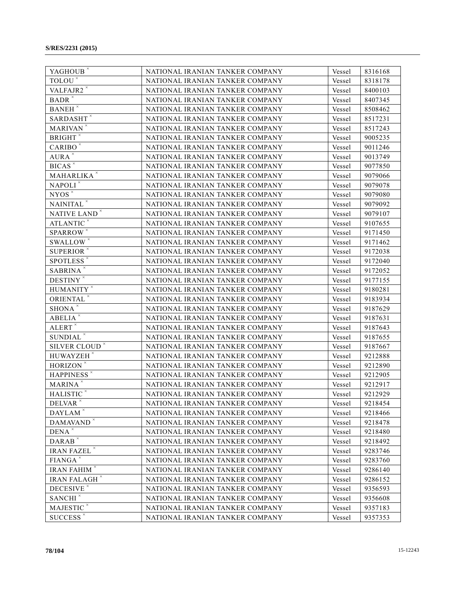| YAGHOUB $^{\times}$                   | NATIONAL IRANIAN TANKER COMPANY | Vessel | 8316168 |
|---------------------------------------|---------------------------------|--------|---------|
| $\text{TOLOU}^{\;\times}$             | NATIONAL IRANIAN TANKER COMPANY | Vessel | 8318178 |
| VALFAJR2 $^\times$                    | NATIONAL IRANIAN TANKER COMPANY | Vessel | 8400103 |
| BADR <sup>x</sup>                     | NATIONAL IRANIAN TANKER COMPANY | Vessel | 8407345 |
| $\mathbf{BANEH}^{\,\times}$           | NATIONAL IRANIAN TANKER COMPANY | Vessel | 8508462 |
| $\texttt{SARDASHT}^{\times}$          | NATIONAL IRANIAN TANKER COMPANY | Vessel | 8517231 |
| MARIVAN <sup>*</sup>                  | NATIONAL IRANIAN TANKER COMPANY | Vessel | 8517243 |
| <b>BRIGHT</b> <sup>*</sup>            | NATIONAL IRANIAN TANKER COMPANY | Vessel | 9005235 |
| CARIBO $^{\scriptscriptstyle\times}$  | NATIONAL IRANIAN TANKER COMPANY | Vessel | 9011246 |
| $\text{AURA}^{\:\!\times}$            | NATIONAL IRANIAN TANKER COMPANY | Vessel | 9013749 |
| $\rm BICAS$ $^{\times}$               | NATIONAL IRANIAN TANKER COMPANY | Vessel | 9077850 |
| MAHARLIKA                             | NATIONAL IRANIAN TANKER COMPANY | Vessel | 9079066 |
| NAPOLI <sup>x</sup>                   | NATIONAL IRANIAN TANKER COMPANY | Vessel | 9079078 |
| $NYOS$ $^{\times}$                    | NATIONAL IRANIAN TANKER COMPANY | Vessel | 9079080 |
| $\text{NAINITAL}$ $^{\times}$         | NATIONAL IRANIAN TANKER COMPANY | Vessel | 9079092 |
| NATIVE LAND <sup>x</sup>              | NATIONAL IRANIAN TANKER COMPANY | Vessel | 9079107 |
| ATLANTIC *                            | NATIONAL IRANIAN TANKER COMPANY | Vessel | 9107655 |
| SPARROW <sup>x</sup>                  | NATIONAL IRANIAN TANKER COMPANY | Vessel | 9171450 |
| $\textsc{SWALLOW}^{\times}$           | NATIONAL IRANIAN TANKER COMPANY | Vessel | 9171462 |
| SUPERIOR <sup>×</sup>                 | NATIONAL IRANIAN TANKER COMPANY | Vessel | 9172038 |
| SPOTLESS <sup>x</sup>                 | NATIONAL IRANIAN TANKER COMPANY | Vessel | 9172040 |
| $\texttt{SABRINA}$ $^{\times}$        | NATIONAL IRANIAN TANKER COMPANY | Vessel | 9172052 |
| DESTINY $^\times$                     | NATIONAL IRANIAN TANKER COMPANY | Vessel | 9177155 |
| $\mbox{HUMANITY}$ $^{\times}$         | NATIONAL IRANIAN TANKER COMPANY | Vessel | 9180281 |
| ORIENTAL <sup>×</sup>                 | NATIONAL IRANIAN TANKER COMPANY | Vessel | 9183934 |
| $S$ HONA $^*$                         | NATIONAL IRANIAN TANKER COMPANY | Vessel | 9187629 |
| $ABELIA^{\times}$                     | NATIONAL IRANIAN TANKER COMPANY | Vessel | 9187631 |
| ALERT <sup>*</sup>                    | NATIONAL IRANIAN TANKER COMPANY | Vessel | 9187643 |
| $\mathop{\hbox{\rm SUNDL}}$ $^\times$ | NATIONAL IRANIAN TANKER COMPANY | Vessel | 9187655 |
| SILVER CLOUD <sup>×</sup>             | NATIONAL IRANIAN TANKER COMPANY | Vessel | 9187667 |
| HUWAYZEH <sup>x</sup>                 | NATIONAL IRANIAN TANKER COMPANY | Vessel | 9212888 |
| HORIZON <sup>×</sup>                  | NATIONAL IRANIAN TANKER COMPANY | Vessel | 9212890 |
| HAPPINESS <sup>x</sup>                | NATIONAL IRANIAN TANKER COMPANY | Vessel | 9212905 |
| $\text{MARINA}^{\,\times}$            | NATIONAL IRANIAN TANKER COMPANY | Vessel | 9212917 |
| HALISTIC <sup>×</sup>                 | NATIONAL IRANIAN TANKER COMPANY | Vessel | 9212929 |
| DELVAR <sup>×</sup>                   | NATIONAL IRANIAN TANKER COMPANY | Vessel | 9218454 |
| $\texttt{DAYLAM}$ $^{\times}$         | NATIONAL IRANIAN TANKER COMPANY | Vessel | 9218466 |
| $\mathbf{DAMAVAND}$ $^{\times}$       | NATIONAL IRANIAN TANKER COMPANY | Vessel | 9218478 |
| $DENA^{\times}$                       | NATIONAL IRANIAN TANKER COMPANY | Vessel | 9218480 |
| DARAB <sup>x</sup>                    | NATIONAL IRANIAN TANKER COMPANY | Vessel | 9218492 |
| IRAN FAZEL ×                          | NATIONAL IRANIAN TANKER COMPANY | Vessel | 9283746 |
| FIANGA <sup>×</sup>                   | NATIONAL IRANIAN TANKER COMPANY | Vessel | 9283760 |
| IRAN FAHIM <sup>x</sup>               | NATIONAL IRANIAN TANKER COMPANY | Vessel | 9286140 |
| IRAN FALAGH ×                         | NATIONAL IRANIAN TANKER COMPANY | Vessel | 9286152 |
| DECESIVE <sup>x</sup>                 | NATIONAL IRANIAN TANKER COMPANY | Vessel | 9356593 |
| $\textsc{SANCHI}^{\times}$            | NATIONAL IRANIAN TANKER COMPANY | Vessel | 9356608 |
| MAJESTIC $^\times$                    | NATIONAL IRANIAN TANKER COMPANY | Vessel | 9357183 |
| SUCCESS <sup>x</sup>                  | NATIONAL IRANIAN TANKER COMPANY | Vessel | 9357353 |
|                                       |                                 |        |         |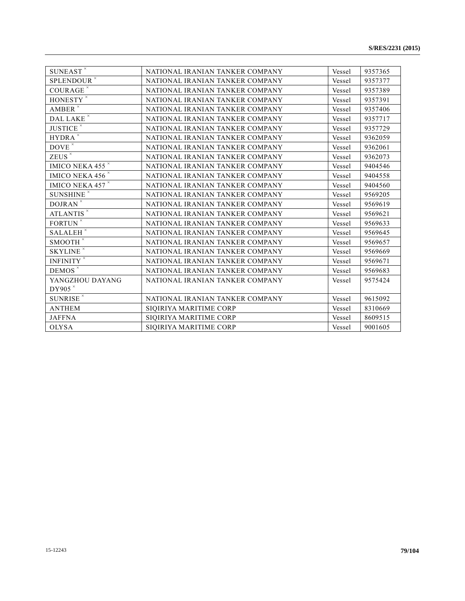| SUNEAST <sup>x</sup>                     | NATIONAL IRANIAN TANKER COMPANY | Vessel | 9357365 |
|------------------------------------------|---------------------------------|--------|---------|
| <b>SPLENDOUR</b>                         | NATIONAL IRANIAN TANKER COMPANY | Vessel | 9357377 |
| $\texttt{COURAGE}$ $^{\times}$           | NATIONAL IRANIAN TANKER COMPANY | Vessel | 9357389 |
| HONESTY $^\times$                        | NATIONAL IRANIAN TANKER COMPANY | Vessel | 9357391 |
| $AMBER^{\times}$                         | NATIONAL IRANIAN TANKER COMPANY | Vessel | 9357406 |
| DAL LAKE $\overline{X}$                  | NATIONAL IRANIAN TANKER COMPANY | Vessel | 9357717 |
| JUSTICE $^{\times}$                      | NATIONAL IRANIAN TANKER COMPANY | Vessel | 9357729 |
| $HYDRA^{\times}$                         | NATIONAL IRANIAN TANKER COMPANY | Vessel | 9362059 |
| $\operatorname{DOVE}^{\times}$           | NATIONAL IRANIAN TANKER COMPANY | Vessel | 9362061 |
| $ZEU\overline{S^{\times}}$               | NATIONAL IRANIAN TANKER COMPANY | Vessel | 9362073 |
| IMICO NEKA 455 $^{\times}$               | NATIONAL IRANIAN TANKER COMPANY | Vessel | 9404546 |
| IMICO NEKA 456 $^{\circ}$                | NATIONAL IRANIAN TANKER COMPANY | Vessel | 9404558 |
| IMICO NEKA 457 $^\times$                 | NATIONAL IRANIAN TANKER COMPANY | Vessel | 9404560 |
| SUNSHINE <sup>×</sup>                    | NATIONAL IRANIAN TANKER COMPANY | Vessel | 9569205 |
| $\tt{DOJRAN}$ $^\times$                  | NATIONAL IRANIAN TANKER COMPANY | Vessel | 9569619 |
| ATLANTIS <sup>x</sup>                    | NATIONAL IRANIAN TANKER COMPANY | Vessel | 9569621 |
| FORTUN <sup>×</sup>                      | NATIONAL IRANIAN TANKER COMPANY | Vessel | 9569633 |
| SALALEH <sup>×</sup>                     | NATIONAL IRANIAN TANKER COMPANY | Vessel | 9569645 |
| $SMOOTH$ <sup>*</sup>                    | NATIONAL IRANIAN TANKER COMPANY | Vessel | 9569657 |
| <b>SKYLINE</b>                           | NATIONAL IRANIAN TANKER COMPANY | Vessel | 9569669 |
| INFINITY ${}^{\scriptscriptstyle\times}$ | NATIONAL IRANIAN TANKER COMPANY | Vessel | 9569671 |
| DEMOS $^\times$                          | NATIONAL IRANIAN TANKER COMPANY | Vessel | 9569683 |
| YANGZHOU DAYANG                          | NATIONAL IRANIAN TANKER COMPANY | Vessel | 9575424 |
| DY905 <sup>×</sup>                       |                                 |        |         |
| $\texttt{SUNRISE}^\times$                | NATIONAL IRANIAN TANKER COMPANY | Vessel | 9615092 |
| <b>ANTHEM</b>                            | SIQIRIYA MARITIME CORP          | Vessel | 8310669 |
| <b>JAFFNA</b>                            | SIOIRIYA MARITIME CORP          | Vessel | 8609515 |
| <b>OLYSA</b>                             | SIOIRIYA MARITIME CORP          | Vessel | 9001605 |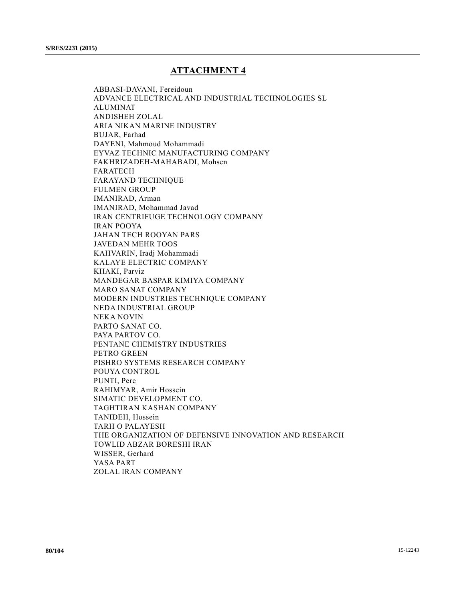# **ATTACHMENT 4**

ABBASI-DAVANI, Fereidoun ADVANCE ELECTRICAL AND INDUSTRIAL TECHNOLOGIES SL ALUMINAT ANDISHEH ZOLAL ARIA NIKAN MARINE INDUSTRY BUJAR, Farhad DAYENI, Mahmoud Mohammadi EYVAZ TECHNIC MANUFACTURING COMPANY FAKHRIZADEH-MAHABADI, Mohsen FARATECH FARAYAND TECHNIQUE FULMEN GROUP IMANIRAD, Arman IMANIRAD, Mohammad Javad IRAN CENTRIFUGE TECHNOLOGY COMPANY IRAN POOYA JAHAN TECH ROOYAN PARS JAVEDAN MEHR TOOS KAHVARIN, Iradj Mohammadi KALAYE ELECTRIC COMPANY KHAKI, Parviz MANDEGAR BASPAR KIMIYA COMPANY MARO SANAT COMPANY MODERN INDUSTRIES TECHNIQUE COMPANY NEDA INDUSTRIAL GROUP NEKA NOVIN PARTO SANAT CO. PAYA PARTOV CO. PENTANE CHEMISTRY INDUSTRIES PETRO GREEN PISHRO SYSTEMS RESEARCH COMPANY POUYA CONTROL PUNTI, Pere RAHIMYAR, Amir Hossein SIMATIC DEVELOPMENT CO. TAGHTIRAN KASHAN COMPANY TANIDEH, Hossein TARH O PALAYESH THE ORGANIZATION OF DEFENSIVE INNOVATION AND RESEARCH TOWLID ABZAR BORESHI IRAN WISSER, Gerhard YASA PART ZOLAL IRAN COMPANY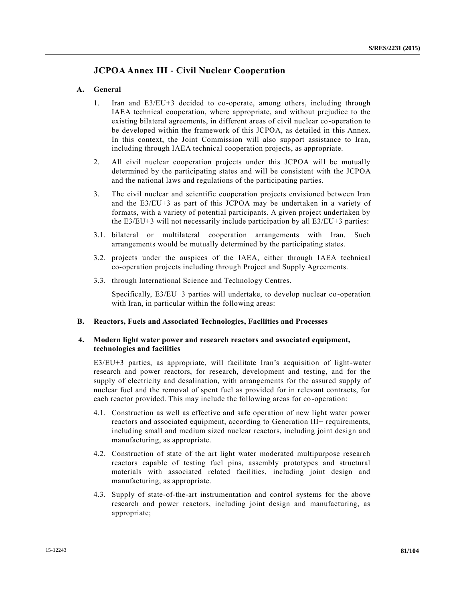# **JCPOA Annex III - Civil Nuclear Cooperation**

# **A. General**

- 1. Iran and E3/EU+3 decided to co-operate, among others, including through IAEA technical cooperation, where appropriate, and without prejudice to the existing bilateral agreements, in different areas of civil nuclear co-operation to be developed within the framework of this JCPOA, as detailed in this Annex. In this context, the Joint Commission will also support assistance to Iran, including through IAEA technical cooperation projects, as appropriate.
- 2. All civil nuclear cooperation projects under this JCPOA will be mutually determined by the participating states and will be consistent with the JCPOA and the national laws and regulations of the participating parties.
- 3. The civil nuclear and scientific cooperation projects envisioned between Iran and the E3/EU+3 as part of this JCPOA may be undertaken in a variety of formats, with a variety of potential participants. A given project undertaken by the E3/EU+3 will not necessarily include participation by all E3/EU+3 parties:
- 3.1. bilateral or multilateral cooperation arrangements with Iran. Such arrangements would be mutually determined by the participating states.
- 3.2. projects under the auspices of the IAEA, either through IAEA technical co-operation projects including through Project and Supply Agreements.
- 3.3. through International Science and Technology Centres.

Specifically, E3/EU+3 parties will undertake, to develop nuclear co-operation with Iran, in particular within the following areas:

#### **B. Reactors, Fuels and Associated Technologies, Facilities and Processes**

#### **4. Modern light water power and research reactors and associated equipment, technologies and facilities**

E3/EU+3 parties, as appropriate, will facilitate Iran's acquisition of light-water research and power reactors, for research, development and testing, and for the supply of electricity and desalination, with arrangements for the assured supply of nuclear fuel and the removal of spent fuel as provided for in relevant contracts, for each reactor provided. This may include the following areas for co-operation:

- 4.1. Construction as well as effective and safe operation of new light water power reactors and associated equipment, according to Generation III+ requirements, including small and medium sized nuclear reactors, including joint design and manufacturing, as appropriate.
- 4.2. Construction of state of the art light water moderated multipurpose research reactors capable of testing fuel pins, assembly prototypes and structural materials with associated related facilities, including joint design and manufacturing, as appropriate.
- 4.3. Supply of state-of-the-art instrumentation and control systems for the above research and power reactors, including joint design and manufacturing, as appropriate;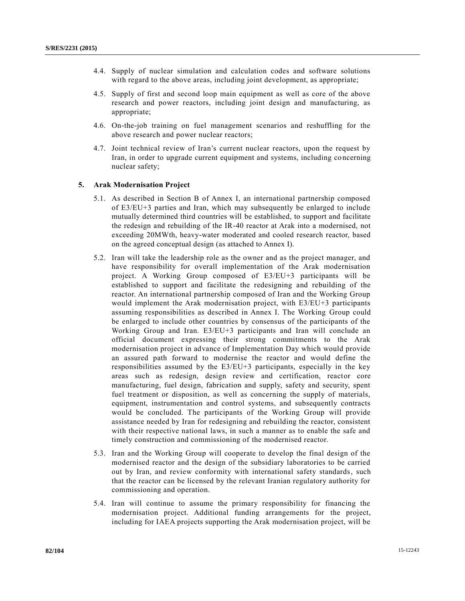- 4.4. Supply of nuclear simulation and calculation codes and software solutions with regard to the above areas, including joint development, as appropriate;
- 4.5. Supply of first and second loop main equipment as well as core of the above research and power reactors, including joint design and manufacturing, as appropriate;
- 4.6. On-the-job training on fuel management scenarios and reshuffling for the above research and power nuclear reactors;
- 4.7. Joint technical review of Iran's current nuclear reactors, upon the request by Iran, in order to upgrade current equipment and systems, including co ncerning nuclear safety;

#### **5. Arak Modernisation Project**

- 5.1. As described in Section B of Annex I, an international partnership composed of E3/EU+3 parties and Iran, which may subsequently be enlarged to include mutually determined third countries will be established, to support and facilitate the redesign and rebuilding of the IR-40 reactor at Arak into a modernised, not exceeding 20MWth, heavy-water moderated and cooled research reactor, based on the agreed conceptual design (as attached to Annex I).
- 5.2. Iran will take the leadership role as the owner and as the project manager, and have responsibility for overall implementation of the Arak modernisation project. A Working Group composed of E3/EU+3 participants will be established to support and facilitate the redesigning and rebuilding of the reactor. An international partnership composed of Iran and the Working Group would implement the Arak modernisation project, with E3/EU+3 participants assuming responsibilities as described in Annex I. The Working Group could be enlarged to include other countries by consensus of the participants of the Working Group and Iran. E3/EU+3 participants and Iran will conclude an official document expressing their strong commitments to the Arak modernisation project in advance of Implementation Day which would provide an assured path forward to modernise the reactor and would define the responsibilities assumed by the E3/EU+3 participants, especially in the key areas such as redesign, design review and certification, reactor core manufacturing, fuel design, fabrication and supply, safety and security, spent fuel treatment or disposition, as well as concerning the supply of materials, equipment, instrumentation and control systems, and subsequently contracts would be concluded. The participants of the Working Group will provide assistance needed by Iran for redesigning and rebuilding the reactor, consistent with their respective national laws, in such a manner as to enable the safe and timely construction and commissioning of the modernised reactor.
- 5.3. Iran and the Working Group will cooperate to develop the final design of the modernised reactor and the design of the subsidiary laboratories to be carried out by Iran, and review conformity with international safety standards, such that the reactor can be licensed by the relevant Iranian regulatory authority for commissioning and operation.
- 5.4. Iran will continue to assume the primary responsibility for financing the modernisation project. Additional funding arrangements for the project, including for IAEA projects supporting the Arak modernisation project, will be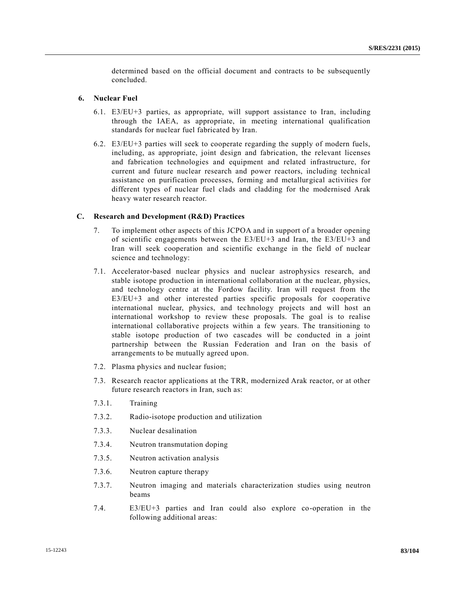determined based on the official document and contracts to be subsequently concluded.

#### **6. Nuclear Fuel**

- 6.1. E3/EU+3 parties, as appropriate, will support assistance to Iran, including through the IAEA, as appropriate, in meeting international qualification standards for nuclear fuel fabricated by Iran.
- 6.2. E3/EU+3 parties will seek to cooperate regarding the supply of modern fuels, including, as appropriate, joint design and fabrication, the relevant licenses and fabrication technologies and equipment and related infrastructure, for current and future nuclear research and power reactors, including technical assistance on purification processes, forming and metallurgical activities for different types of nuclear fuel clads and cladding for the modernised Arak heavy water research reactor.

## **C. Research and Development (R&D) Practices**

- 7. To implement other aspects of this JCPOA and in support of a broader opening of scientific engagements between the E3/EU+3 and Iran, the E3/EU+3 and Iran will seek cooperation and scientific exchange in the field of nuclear science and technology:
- 7.1. Accelerator-based nuclear physics and nuclear astrophysics research, and stable isotope production in international collaboration at the nuclear, physics, and technology centre at the Fordow facility. Iran will request from the E3/EU+3 and other interested parties specific proposals for cooperative international nuclear, physics, and technology projects and will host an international workshop to review these proposals. The goal is to realise international collaborative projects within a few years. The transitioning to stable isotope production of two cascades will be conducted in a joint partnership between the Russian Federation and Iran on the basis of arrangements to be mutually agreed upon.
- 7.2. Plasma physics and nuclear fusion;
- 7.3. Research reactor applications at the TRR, modernized Arak reactor, or at other future research reactors in Iran, such as:
- 7.3.1. Training
- 7.3.2. Radio-isotope production and utilization
- 7.3.3. Nuclear desalination
- 7.3.4. Neutron transmutation doping
- 7.3.5. Neutron activation analysis
- 7.3.6. Neutron capture therapy
- 7.3.7. Neutron imaging and materials characterization studies using neutron beams
- 7.4. E3/EU+3 parties and Iran could also explore co-operation in the following additional areas: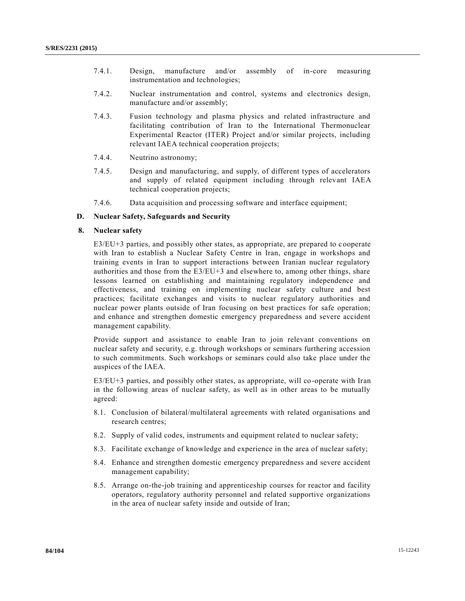- 7.4.1. Design, manufacture and/or assembly of in-core measuring instrumentation and technologies;
- 7.4.2. Nuclear instrumentation and control, systems and electronics design, manufacture and/or assembly;
- 7.4.3. Fusion technology and plasma physics and related infrastructure and facilitating contribution of Iran to the International Thermonuclear Experimental Reactor (ITER) Project and/or similar projects, including relevant IAEA technical cooperation projects;
- 7.4.4. Neutrino astronomy;
- 7.4.5. Design and manufacturing, and supply, of different types of accelerators and supply of related equipment including through relevant IAEA technical cooperation projects;
- 7.4.6. Data acquisition and processing software and interface equipment;

### **D. Nuclear Safety, Safeguards and Security**

#### **8. Nuclear safety**

E3/EU+3 parties, and possibly other states, as appropriate, are prepared to c ooperate with Iran to establish a Nuclear Safety Centre in Iran, engage in workshops and training events in Iran to support interactions between Iranian nuclear regulatory authorities and those from the E3/EU+3 and elsewhere to, among other things, share lessons learned on establishing and maintaining regulatory independence and effectiveness, and training on implementing nuclear safety culture and best practices; facilitate exchanges and visits to nuclear regulatory authorities and nuclear power plants outside of Iran focusing on best practices for safe operation; and enhance and strengthen domestic emergency preparedness and severe accident management capability.

Provide support and assistance to enable Iran to join relevant conventions on nuclear safety and security, e.g. through workshops or seminars furthering accession to such commitments. Such workshops or seminars could also take place under the auspices of the IAEA.

E3/EU+3 parties, and possibly other states, as appropriate, will co-operate with Iran in the following areas of nuclear safety, as well as in other areas to be mutually agreed:

- 8.1. Conclusion of bilateral/multilateral agreements with related organisations and research centres;
- 8.2. Supply of valid codes, instruments and equipment related to nuclear safety;
- 8.3. Facilitate exchange of knowledge and experience in the area of nuclear safety;
- 8.4. Enhance and strengthen domestic emergency preparedness and severe accident management capability;
- 8.5. Arrange on-the-job training and apprenticeship courses for reactor and facility operators, regulatory authority personnel and related supportive organizations in the area of nuclear safety inside and outside of Iran;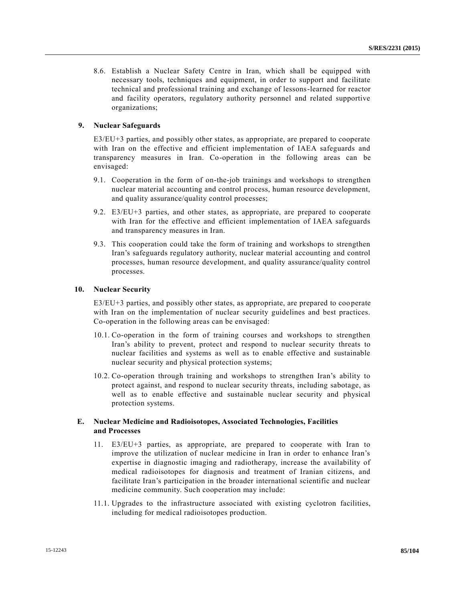8.6. Establish a Nuclear Safety Centre in Iran, which shall be equipped with necessary tools, techniques and equipment, in order to support and facilitate technical and professional training and exchange of lessons-learned for reactor and facility operators, regulatory authority personnel and related supportive organizations;

#### **9. Nuclear Safeguards**

E3/EU+3 parties, and possibly other states, as appropriate, are prepared to cooperate with Iran on the effective and efficient implementation of IAEA safeguards and transparency measures in Iran. Co-operation in the following areas can be envisaged:

- 9.1. Cooperation in the form of on-the-job trainings and workshops to strengthen nuclear material accounting and control process, human resource development, and quality assurance/quality control processes;
- 9.2. E3/EU+3 parties, and other states, as appropriate, are prepared to cooperate with Iran for the effective and efficient implementation of IAEA safeguards and transparency measures in Iran.
- 9.3. This cooperation could take the form of training and workshops to strengthen Iran's safeguards regulatory authority, nuclear material accounting and control processes, human resource development, and quality assurance/quality control processes.

#### **10. Nuclear Security**

E3/EU+3 parties, and possibly other states, as appropriate, are prepared to cooperate with Iran on the implementation of nuclear security guidelines and best practices. Co-operation in the following areas can be envisaged:

- 10.1. Co-operation in the form of training courses and workshops to strengthen Iran's ability to prevent, protect and respond to nuclear security threats to nuclear facilities and systems as well as to enable effective and sustainable nuclear security and physical protection systems;
- 10.2. Co-operation through training and workshops to strengthen Iran's ability to protect against, and respond to nuclear security threats, including sabotage, as well as to enable effective and sustainable nuclear security and physical protection systems.

### **E. Nuclear Medicine and Radioisotopes, Associated Technologies, Facilities and Processes**

- 11. E3/EU+3 parties, as appropriate, are prepared to cooperate with Iran to improve the utilization of nuclear medicine in Iran in order to enhance Iran's expertise in diagnostic imaging and radiotherapy, increase the availability of medical radioisotopes for diagnosis and treatment of Iranian citizens, and facilitate Iran's participation in the broader international scientific and nuclear medicine community. Such cooperation may include:
- 11.1. Upgrades to the infrastructure associated with existing cyclotron facilities, including for medical radioisotopes production.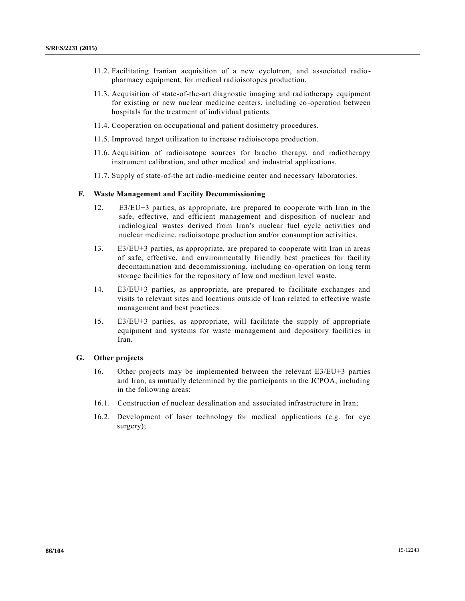- 11.2. Facilitating Iranian acquisition of a new cyclotron, and associated radio pharmacy equipment, for medical radioisotopes production.
- 11.3. Acquisition of state-of-the-art diagnostic imaging and radiotherapy equipment for existing or new nuclear medicine centers, including co-operation between hospitals for the treatment of individual patients.
- 11.4. Cooperation on occupational and patient dosimetry procedures.
- 11.5. Improved target utilization to increase radioisotope production.
- 11.6. Acquisition of radioisotope sources for bracho therapy, and radiotherapy instrument calibration, and other medical and industrial applications.
- 11.7. Supply of state-of-the art radio-medicine center and necessary laboratories.

#### **F. Waste Management and Facility Decommissioning**

- 12. E3/EU+3 parties, as appropriate, are prepared to cooperate with Iran in the safe, effective, and efficient management and disposition of nuclear and radiological wastes derived from Iran's nuclear fuel cycle activities and nuclear medicine, radioisotope production and/or consumption activities.
- 13. E3/EU+3 parties, as appropriate, are prepared to cooperate with Iran in areas of safe, effective, and environmentally friendly best practices for facility decontamination and decommissioning, including co-operation on long term storage facilities for the repository of low and medium level waste.
- 14. E3/EU+3 parties, as appropriate, are prepared to facilitate exchanges and visits to relevant sites and locations outside of Iran related to effective waste management and best practices.
- 15. E3/EU+3 parties, as appropriate, will facilitate the supply of appropriate equipment and systems for waste management and depository facilities in Iran.

#### **G. Other projects**

- 16. Other projects may be implemented between the relevant E3/EU+3 parties and Iran, as mutually determined by the participants in the JCPOA, including in the following areas:
- 16.1. Construction of nuclear desalination and associated infrastructure in Iran;
- 16.2. Development of laser technology for medical applications (e.g. for eye surgery);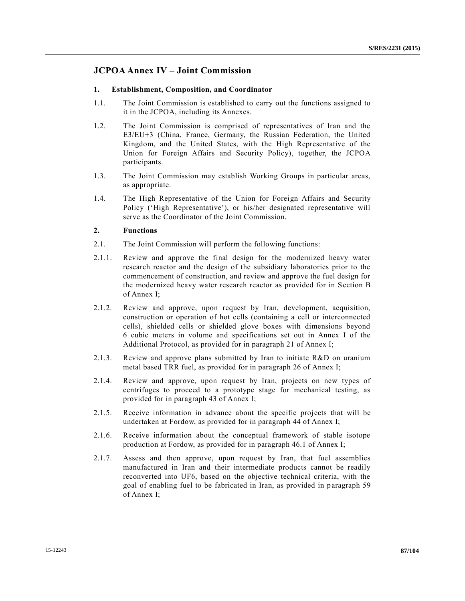# **JCPOA Annex IV – Joint Commission**

#### **1. Establishment, Composition, and Coordinator**

- 1.1. The Joint Commission is established to carry out the functions assigned to it in the JCPOA, including its Annexes.
- 1.2. The Joint Commission is comprised of representatives of Iran and the E3/EU+3 (China, France, Germany, the Russian Federation, the United Kingdom, and the United States, with the High Representative of the Union for Foreign Affairs and Security Policy), together, the JCPOA participants.
- 1.3. The Joint Commission may establish Working Groups in particular areas, as appropriate.
- 1.4. The High Representative of the Union for Foreign Affairs and Security Policy ('High Representative'), or his/her designated representative will serve as the Coordinator of the Joint Commission.

#### **2. Functions**

- 2.1. The Joint Commission will perform the following functions:
- 2.1.1. Review and approve the final design for the modernized heavy water research reactor and the design of the subsidiary laboratories prior to the commencement of construction, and review and approve the fuel design for the modernized heavy water research reactor as provided for in Section B of Annex I;
- 2.1.2. Review and approve, upon request by Iran, development, acquisition, construction or operation of hot cells (containing a cell or interconnected cells), shielded cells or shielded glove boxes with dimensions beyond 6 cubic meters in volume and specifications set out in Annex I of the Additional Protocol, as provided for in paragraph 21 of Annex I;
- 2.1.3. Review and approve plans submitted by Iran to initiate R&D on uranium metal based TRR fuel, as provided for in paragraph 26 of Annex I;
- 2.1.4. Review and approve, upon request by Iran, projects on new types of centrifuges to proceed to a prototype stage for mechanical testing, as provided for in paragraph 43 of Annex I;
- 2.1.5. Receive information in advance about the specific projects that will be undertaken at Fordow, as provided for in paragraph 44 of Annex I;
- 2.1.6. Receive information about the conceptual framework of stable isotope production at Fordow, as provided for in paragraph 46.1 of Annex I;
- 2.1.7. Assess and then approve, upon request by Iran, that fuel assemblies manufactured in Iran and their intermediate products cannot be readily reconverted into UF6, based on the objective technical criteria, with the goal of enabling fuel to be fabricated in Iran, as provided in paragraph 59 of Annex I;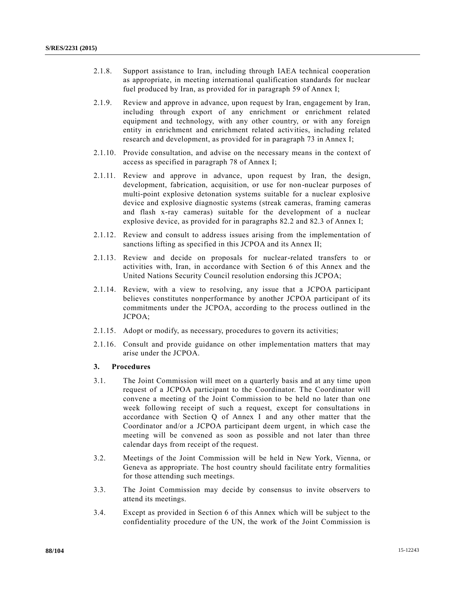- 2.1.8. Support assistance to Iran, including through IAEA technical cooperation as appropriate, in meeting international qualification standards for nuclear fuel produced by Iran, as provided for in paragraph 59 of Annex I;
- 2.1.9. Review and approve in advance, upon request by Iran, engagement by Iran, including through export of any enrichment or enrichment related equipment and technology, with any other country, or with any foreign entity in enrichment and enrichment related activities, including related research and development, as provided for in paragraph 73 in Annex I;
- 2.1.10. Provide consultation, and advise on the necessary means in the context of access as specified in paragraph 78 of Annex I;
- 2.1.11. Review and approve in advance, upon request by Iran, the design, development, fabrication, acquisition, or use for non-nuclear purposes of multi-point explosive detonation systems suitable for a nuclear explosive device and explosive diagnostic systems (streak cameras, framing cameras and flash x-ray cameras) suitable for the development of a nuclear explosive device, as provided for in paragraphs 82.2 and 82.3 of Annex I;
- 2.1.12. Review and consult to address issues arising from the implementation of sanctions lifting as specified in this JCPOA and its Annex II;
- 2.1.13. Review and decide on proposals for nuclear-related transfers to or activities with, Iran, in accordance with Section 6 of this Annex and the United Nations Security Council resolution endorsing this JCPOA;
- 2.1.14. Review, with a view to resolving, any issue that a JCPOA participant believes constitutes nonperformance by another JCPOA participant of its commitments under the JCPOA, according to the process outlined in the JCPOA;
- 2.1.15. Adopt or modify, as necessary, procedures to govern its activities;
- 2.1.16. Consult and provide guidance on other implementation matters that may arise under the JCPOA.

#### **3. Procedures**

- 3.1. The Joint Commission will meet on a quarterly basis and at any time upon request of a JCPOA participant to the Coordinator. The Coordinator will convene a meeting of the Joint Commission to be held no later than one week following receipt of such a request, except for consultations in accordance with Section Q of Annex I and any other matter that the Coordinator and/or a JCPOA participant deem urgent, in which case the meeting will be convened as soon as possible and not later than three calendar days from receipt of the request.
- 3.2. Meetings of the Joint Commission will be held in New York, Vienna, or Geneva as appropriate. The host country should facilitate entry formalities for those attending such meetings.
- 3.3. The Joint Commission may decide by consensus to invite observers to attend its meetings.
- 3.4. Except as provided in Section 6 of this Annex which will be subject to the confidentiality procedure of the UN, the work of the Joint Commission is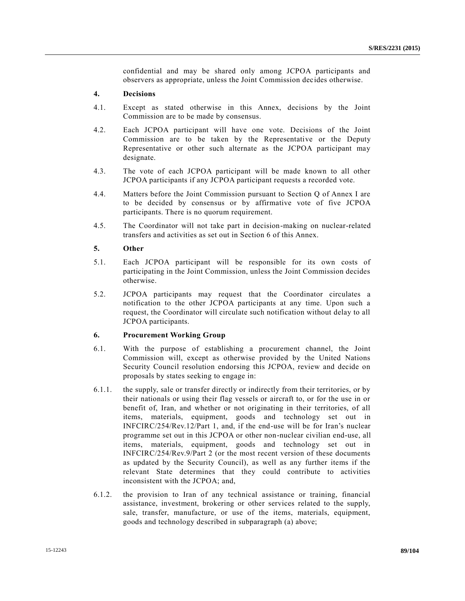confidential and may be shared only among JCPOA participants and observers as appropriate, unless the Joint Commission decides otherwise.

### **4. Decisions**

- 4.1. Except as stated otherwise in this Annex, decisions by the Joint Commission are to be made by consensus.
- 4.2. Each JCPOA participant will have one vote. Decisions of the Joint Commission are to be taken by the Representative or the Deputy Representative or other such alternate as the JCPOA participant may designate.
- 4.3. The vote of each JCPOA participant will be made known to all other JCPOA participants if any JCPOA participant requests a recorded vote.
- 4.4. Matters before the Joint Commission pursuant to Section Q of Annex I are to be decided by consensus or by affirmative vote of five JCPOA participants. There is no quorum requirement.
- 4.5. The Coordinator will not take part in decision-making on nuclear-related transfers and activities as set out in Section 6 of this Annex.

## **5. Other**

- 5.1. Each JCPOA participant will be responsible for its own costs of participating in the Joint Commission, unless the Joint Commission decides otherwise.
- 5.2. JCPOA participants may request that the Coordinator circulates a notification to the other JCPOA participants at any time. Upon such a request, the Coordinator will circulate such notification without delay to all JCPOA participants.

### **6. Procurement Working Group**

- 6.1. With the purpose of establishing a procurement channel, the Joint Commission will, except as otherwise provided by the United Nations Security Council resolution endorsing this JCPOA, review and decide on proposals by states seeking to engage in:
- 6.1.1. the supply, sale or transfer directly or indirectly from their territories, or by their nationals or using their flag vessels or aircraft to, or for the use in or benefit of, Iran, and whether or not originating in their territories, of all items, materials, equipment, goods and technology set out in INFCIRC/254/Rev.12/Part 1, and, if the end-use will be for Iran's nuclear programme set out in this JCPOA or other non-nuclear civilian end-use, all items, materials, equipment, goods and technology set out in INFCIRC/254/Rev.9/Part 2 (or the most recent version of these documents as updated by the Security Council), as well as any further items if the relevant State determines that they could contribute to activities inconsistent with the JCPOA; and,
- 6.1.2. the provision to Iran of any technical assistance or training, financial assistance, investment, brokering or other services related to the supply, sale, transfer, manufacture, or use of the items, materials, equipment, goods and technology described in subparagraph (a) above;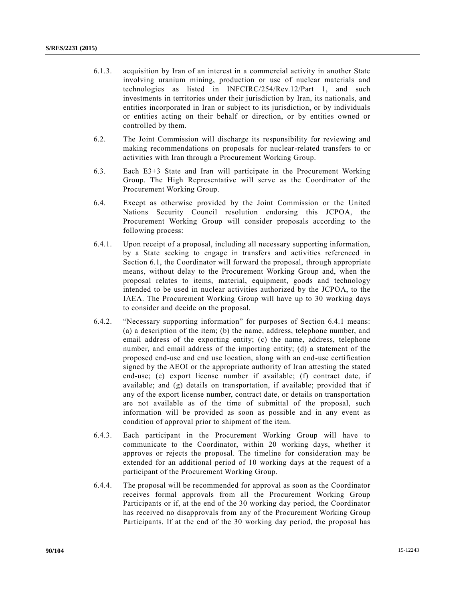- 6.1.3. acquisition by Iran of an interest in a commercial activity in another State involving uranium mining, production or use of nuclear materials and technologies as listed in INFCIRC/254/Rev.12/Part 1, and such investments in territories under their jurisdiction by Iran, its nationals, and entities incorporated in Iran or subject to its jurisdiction, or by individuals or entities acting on their behalf or direction, or by entities owned or controlled by them.
- 6.2. The Joint Commission will discharge its responsibility for reviewing and making recommendations on proposals for nuclear-related transfers to or activities with Iran through a Procurement Working Group.
- 6.3. Each E3+3 State and Iran will participate in the Procurement Working Group. The High Representative will serve as the Coordinator of the Procurement Working Group.
- 6.4. Except as otherwise provided by the Joint Commission or the United Nations Security Council resolution endorsing this JCPOA, the Procurement Working Group will consider proposals according to the following process:
- 6.4.1. Upon receipt of a proposal, including all necessary supporting information, by a State seeking to engage in transfers and activities referenced in Section 6.1, the Coordinator will forward the proposal, through appropriate means, without delay to the Procurement Working Group and, when the proposal relates to items, material, equipment, goods and technology intended to be used in nuclear activities authorized by the JCPOA, to the IAEA. The Procurement Working Group will have up to 30 working days to consider and decide on the proposal.
- 6.4.2. "Necessary supporting information" for purposes of Section 6.4.1 means: (a) a description of the item; (b) the name, address, telephone number, and email address of the exporting entity; (c) the name, address, telephone number, and email address of the importing entity; (d) a statement of the proposed end-use and end use location, along with an end-use certification signed by the AEOI or the appropriate authority of Iran attesting the stated end-use; (e) export license number if available; (f) contract date, if available; and (g) details on transportation, if available; provided that if any of the export license number, contract date, or details on transportation are not available as of the time of submittal of the proposal, such information will be provided as soon as possible and in any event as condition of approval prior to shipment of the item.
- 6.4.3. Each participant in the Procurement Working Group will have to communicate to the Coordinator, within 20 working days, whether it approves or rejects the proposal. The timeline for consideration may be extended for an additional period of 10 working days at the request of a participant of the Procurement Working Group.
- 6.4.4. The proposal will be recommended for approval as soon as the Coordinator receives formal approvals from all the Procurement Working Group Participants or if, at the end of the 30 working day period, the Coordinator has received no disapprovals from any of the Procurement Working Group Participants. If at the end of the 30 working day period, the proposal has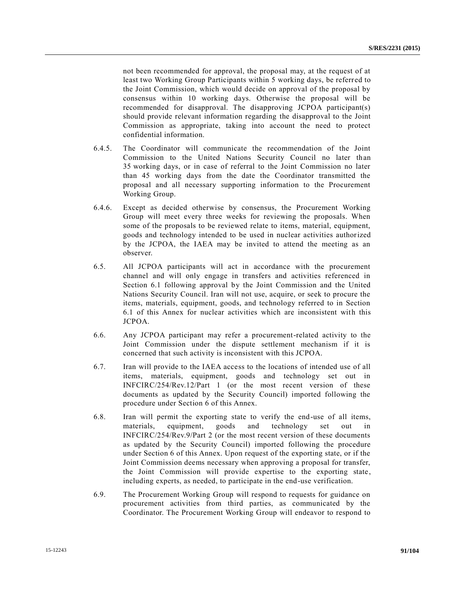not been recommended for approval, the proposal may, at the request of at least two Working Group Participants within 5 working days, be referr ed to the Joint Commission, which would decide on approval of the proposal by consensus within 10 working days. Otherwise the proposal will be recommended for disapproval. The disapproving JCPOA participant(s) should provide relevant information regarding the disapproval to the Joint Commission as appropriate, taking into account the need to protect confidential information.

- 6.4.5. The Coordinator will communicate the recommendation of the Joint Commission to the United Nations Security Council no later than 35 working days, or in case of referral to the Joint Commission no later than 45 working days from the date the Coordinator transmitted the proposal and all necessary supporting information to the Procurement Working Group.
- 6.4.6. Except as decided otherwise by consensus, the Procurement Working Group will meet every three weeks for reviewing the proposals. When some of the proposals to be reviewed relate to items, material, equipment, goods and technology intended to be used in nuclear activities authorized by the JCPOA, the IAEA may be invited to attend the meeting as an observer.
- 6.5. All JCPOA participants will act in accordance with the procurement channel and will only engage in transfers and activities referenced in Section 6.1 following approval by the Joint Commission and the United Nations Security Council. Iran will not use, acquire, or seek to procure the items, materials, equipment, goods, and technology referred to in Section 6.1 of this Annex for nuclear activities which are inconsistent with this JCPOA.
- 6.6. Any JCPOA participant may refer a procurement-related activity to the Joint Commission under the dispute settlement mechanism if it is concerned that such activity is inconsistent with this JCPOA.
- 6.7. Iran will provide to the IAEA access to the locations of intended use of all items, materials, equipment, goods and technology set out in INFCIRC/254/Rev.12/Part 1 (or the most recent version of these documents as updated by the Security Council) imported following the procedure under Section 6 of this Annex.
- 6.8. Iran will permit the exporting state to verify the end-use of all items, materials, equipment, goods and technology set out in INFCIRC/254/Rev.9/Part 2 (or the most recent version of these documents as updated by the Security Council) imported following the procedure under Section 6 of this Annex. Upon request of the exporting state, or if the Joint Commission deems necessary when approving a proposal for transfer, the Joint Commission will provide expertise to the exporting state, including experts, as needed, to participate in the end-use verification.
- 6.9. The Procurement Working Group will respond to requests for guidance on procurement activities from third parties, as communicated by the Coordinator. The Procurement Working Group will endeavor to respond to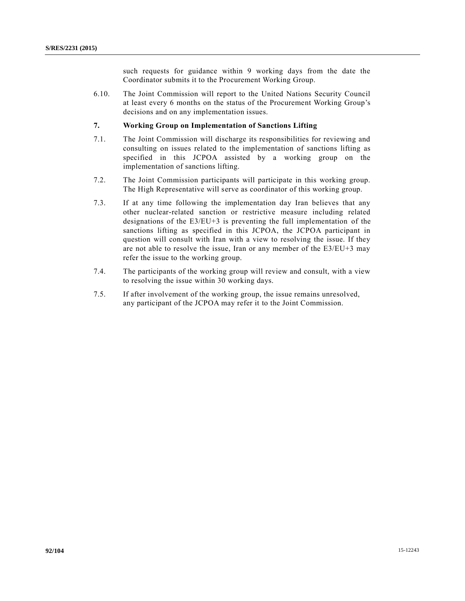such requests for guidance within 9 working days from the date the Coordinator submits it to the Procurement Working Group.

6.10. The Joint Commission will report to the United Nations Security Council at least every 6 months on the status of the Procurement Working Group's decisions and on any implementation issues.

## **7. Working Group on Implementation of Sanctions Lifting**

- 7.1. The Joint Commission will discharge its responsibilities for reviewing and consulting on issues related to the implementation of sanctions lifting as specified in this JCPOA assisted by a working group on the implementation of sanctions lifting.
- 7.2. The Joint Commission participants will participate in this working group. The High Representative will serve as coordinator of this working group.
- 7.3. If at any time following the implementation day Iran believes that any other nuclear-related sanction or restrictive measure including related designations of the E3/EU+3 is preventing the full implementation of the sanctions lifting as specified in this JCPOA, the JCPOA participant in question will consult with Iran with a view to resolving the issue. If they are not able to resolve the issue, Iran or any member of the E3/EU+3 may refer the issue to the working group.
- 7.4. The participants of the working group will review and consult, with a view to resolving the issue within 30 working days.
- 7.5. If after involvement of the working group, the issue remains unresolved, any participant of the JCPOA may refer it to the Joint Commission.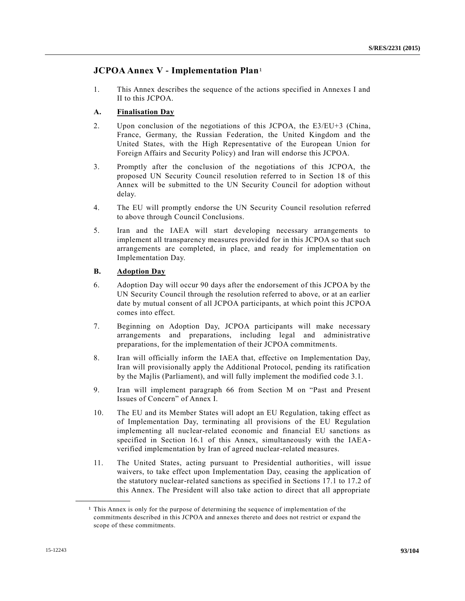# **JCPOA Annex V - Implementation Plan**<sup>1</sup>

1. This Annex describes the sequence of the actions specified in Annexes I and II to this JCPOA.

## **A. Finalisation Day**

- 2. Upon conclusion of the negotiations of this JCPOA, the E3/EU+3 (China, France, Germany, the Russian Federation, the United Kingdom and the United States, with the High Representative of the European Union for Foreign Affairs and Security Policy) and Iran will endorse this JCPOA.
- 3. Promptly after the conclusion of the negotiations of this JCPOA, the proposed UN Security Council resolution referred to in Section 18 of this Annex will be submitted to the UN Security Council for adoption without delay.
- 4. The EU will promptly endorse the UN Security Council resolution referred to above through Council Conclusions.
- 5. Iran and the IAEA will start developing necessary arrangements to implement all transparency measures provided for in this JCPOA so that such arrangements are completed, in place, and ready for implementation on Implementation Day.

# **B. Adoption Day**

- 6. Adoption Day will occur 90 days after the endorsement of this JCPOA by the UN Security Council through the resolution referred to above, or at an earlier date by mutual consent of all JCPOA participants, at which point this JCPOA comes into effect.
- 7. Beginning on Adoption Day, JCPOA participants will make necessary arrangements and preparations, including legal and administrative preparations, for the implementation of their JCPOA commitments.
- 8. Iran will officially inform the IAEA that, effective on Implementation Day, Iran will provisionally apply the Additional Protocol, pending its ratification by the Majlis (Parliament), and will fully implement the modified code 3.1.
- 9. Iran will implement paragraph 66 from Section M on "Past and Present Issues of Concern" of Annex I.
- 10. The EU and its Member States will adopt an EU Regulation, taking effect as of Implementation Day, terminating all provisions of the EU Regulation implementing all nuclear-related economic and financial EU sanctions as specified in Section 16.1 of this Annex, simultaneously with the IAEAverified implementation by Iran of agreed nuclear-related measures.
- 11. The United States, acting pursuant to Presidential authorities, will issue waivers, to take effect upon Implementation Day, ceasing the application of the statutory nuclear-related sanctions as specified in Sections 17.1 to 17.2 of this Annex. The President will also take action to direct that all appropriate

**\_\_\_\_\_\_\_\_\_\_\_\_\_\_\_\_\_\_**

<sup>&</sup>lt;sup>1</sup> This Annex is only for the purpose of determining the sequence of implementation of the commitments described in this JCPOA and annexes thereto and does not restrict or expand the scope of these commitments.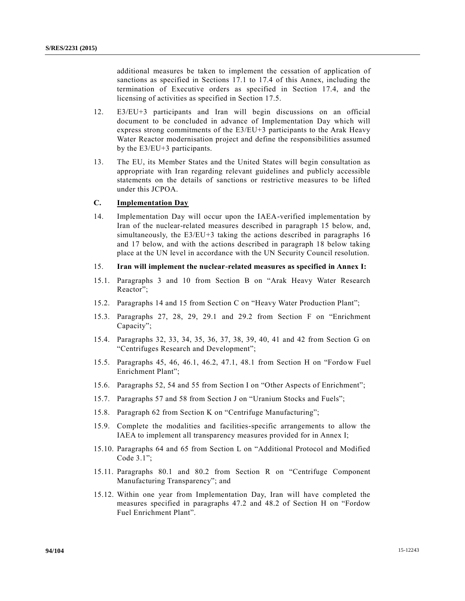additional measures be taken to implement the cessation of application of sanctions as specified in Sections 17.1 to 17.4 of this Annex, including the termination of Executive orders as specified in Section 17.4, and the licensing of activities as specified in Section 17.5.

- 12. E3/EU+3 participants and Iran will begin discussions on an official document to be concluded in advance of Implementation Day which will express strong commitments of the E3/EU+3 participants to the Arak Heavy Water Reactor modernisation project and define the responsibilities assumed by the E3/EU+3 participants.
- 13. The EU, its Member States and the United States will begin consultation as appropriate with Iran regarding relevant guidelines and publicly accessible statements on the details of sanctions or restrictive measures to be lifted under this JCPOA.

#### **C. Implementation Day**

- 14. Implementation Day will occur upon the IAEA-verified implementation by Iran of the nuclear-related measures described in paragraph 15 below, and, simultaneously, the E3/EU+3 taking the actions described in paragraphs 16 and 17 below, and with the actions described in paragraph 18 below taking place at the UN level in accordance with the UN Security Council resolution.
- 15. **Iran will implement the nuclear-related measures as specified in Annex I:**
- 15.1. Paragraphs 3 and 10 from Section B on "Arak Heavy Water Research Reactor";
- 15.2. Paragraphs 14 and 15 from Section C on "Heavy Water Production Plant";
- 15.3. Paragraphs 27, 28, 29, 29.1 and 29.2 from Section F on "Enrichment Capacity";
- 15.4. Paragraphs 32, 33, 34, 35, 36, 37, 38, 39, 40, 41 and 42 from Section G on "Centrifuges Research and Development";
- 15.5. Paragraphs 45, 46, 46.1, 46.2, 47.1, 48.1 from Section H on "Fordow Fuel Enrichment Plant";
- 15.6. Paragraphs 52, 54 and 55 from Section I on "Other Aspects of Enrichment";
- 15.7. Paragraphs 57 and 58 from Section J on "Uranium Stocks and Fuels";
- 15.8. Paragraph 62 from Section K on "Centrifuge Manufacturing";
- 15.9. Complete the modalities and facilities-specific arrangements to allow the IAEA to implement all transparency measures provided for in Annex I;
- 15.10. Paragraphs 64 and 65 from Section L on "Additional Protocol and Modified Code 3.1";
- 15.11. Paragraphs 80.1 and 80.2 from Section R on "Centrifuge Component Manufacturing Transparency"; and
- 15.12. Within one year from Implementation Day, Iran will have completed the measures specified in paragraphs 47.2 and 48.2 of Section H on "Fordow Fuel Enrichment Plant".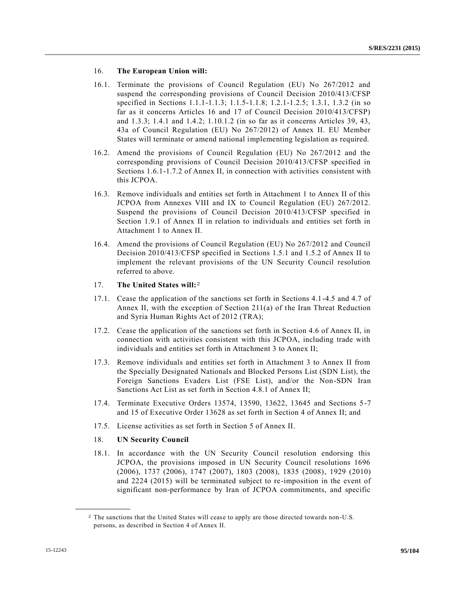#### 16. **The European Union will:**

- 16.1. Terminate the provisions of Council Regulation (EU) No 267/2012 and suspend the corresponding provisions of Council Decision 2010/413/CFSP specified in Sections 1.1.1-1.1.3; 1.1.5-1.1.8; 1.2.1-1.2.5; 1.3.1, 1.3.2 (in so far as it concerns Articles 16 and 17 of Council Decision 2010/413/CFSP) and 1.3.3; 1.4.1 and 1.4.2; 1.10.1.2 (in so far as it concerns Articles 39, 43, 43a of Council Regulation (EU) No 267/2012) of Annex II. EU Member States will terminate or amend national implementing legislation as required.
- 16.2. Amend the provisions of Council Regulation (EU) No 267/2012 and the corresponding provisions of Council Decision 2010/413/CFSP specified in Sections 1.6.1-1.7.2 of Annex II, in connection with activities consistent with this JCPOA.
- 16.3. Remove individuals and entities set forth in Attachment 1 to Annex II of this JCPOA from Annexes VIII and IX to Council Regulation (EU) 267/2012. Suspend the provisions of Council Decision 2010/413/CFSP specified in Section 1.9.1 of Annex II in relation to individuals and entities set forth in Attachment 1 to Annex II.
- 16.4. Amend the provisions of Council Regulation (EU) No 267/2012 and Council Decision 2010/413/CFSP specified in Sections 1.5.1 and 1.5.2 of Annex II to implement the relevant provisions of the UN Security Council resolution referred to above.

## 17. **The United States will:**2

- 17.1. Cease the application of the sanctions set forth in Sections 4.1-4.5 and 4.7 of Annex II, with the exception of Section 211(a) of the Iran Threat Reduction and Syria Human Rights Act of 2012 (TRA);
- 17.2. Cease the application of the sanctions set forth in Section 4.6 of Annex II, in connection with activities consistent with this JCPOA, including trade with individuals and entities set forth in Attachment 3 to Annex II;
- 17.3. Remove individuals and entities set forth in Attachment 3 to Annex II from the Specially Designated Nationals and Blocked Persons List (SDN List), the Foreign Sanctions Evaders List (FSE List), and/or the Non-SDN Iran Sanctions Act List as set forth in Section 4.8.1 of Annex II;
- 17.4. Terminate Executive Orders 13574, 13590, 13622, 13645 and Sections 5-7 and 15 of Executive Order 13628 as set forth in Section 4 of Annex II; and
- 17.5. License activities as set forth in Section 5 of Annex II.

#### 18. **UN Security Council**

**\_\_\_\_\_\_\_\_\_\_\_\_\_\_\_\_\_\_**

18.1. In accordance with the UN Security Council resolution endorsing this JCPOA, the provisions imposed in UN Security Council resolutions 1696 (2006), 1737 (2006), 1747 (2007), 1803 (2008), 1835 (2008), 1929 (2010) and 2224 (2015) will be terminated subject to re-imposition in the event of significant non-performance by Iran of JCPOA commitments, and specific

<sup>2</sup> The sanctions that the United States will cease to apply are those directed towards non-U.S. persons, as described in Section 4 of Annex II.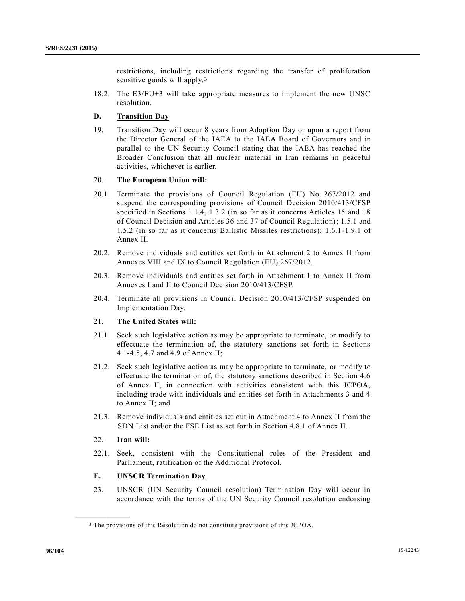restrictions, including restrictions regarding the transfer of proliferation sensitive goods will apply.3

18.2. The E3/EU+3 will take appropriate measures to implement the new UNSC resolution.

### **D. Transition Day**

19. Transition Day will occur 8 years from Adoption Day or upon a report from the Director General of the IAEA to the IAEA Board of Governors and in parallel to the UN Security Council stating that the IAEA has reached the Broader Conclusion that all nuclear material in Iran remains in peaceful activities, whichever is earlier.

#### 20. **The European Union will:**

- 20.1. Terminate the provisions of Council Regulation (EU) No 267/2012 and suspend the corresponding provisions of Council Decision 2010/413/CFSP specified in Sections 1.1.4, 1.3.2 (in so far as it concerns Articles 15 and 18 of Council Decision and Articles 36 and 37 of Council Regulation); 1.5.1 and 1.5.2 (in so far as it concerns Ballistic Missiles restrictions); 1.6.1-1.9.1 of Annex II.
- 20.2. Remove individuals and entities set forth in Attachment 2 to Annex II from Annexes VIII and IX to Council Regulation (EU) 267/2012.
- 20.3. Remove individuals and entities set forth in Attachment 1 to Annex II from Annexes I and II to Council Decision 2010/413/CFSP.
- 20.4. Terminate all provisions in Council Decision 2010/413/CFSP suspended on Implementation Day.

## 21. **The United States will:**

- 21.1. Seek such legislative action as may be appropriate to terminate, or modify to effectuate the termination of, the statutory sanctions set forth in Sections 4.1-4.5, 4.7 and 4.9 of Annex II;
- 21.2. Seek such legislative action as may be appropriate to terminate, or modify to effectuate the termination of, the statutory sanctions described in Section 4.6 of Annex II, in connection with activities consistent with this JCPOA, including trade with individuals and entities set forth in Attachments 3 and 4 to Annex II; and
- 21.3. Remove individuals and entities set out in Attachment 4 to Annex II from the SDN List and/or the FSE List as set forth in Section 4.8.1 of Annex II.

#### 22. **Iran will:**

**\_\_\_\_\_\_\_\_\_\_\_\_\_\_\_\_\_\_**

22.1. Seek, consistent with the Constitutional roles of the President and Parliament, ratification of the Additional Protocol.

# **E. UNSCR Termination Day**

23. UNSCR (UN Security Council resolution) Termination Day will occur in accordance with the terms of the UN Security Council resolution endorsing

<sup>3</sup> The provisions of this Resolution do not constitute provisions of this JCPOA.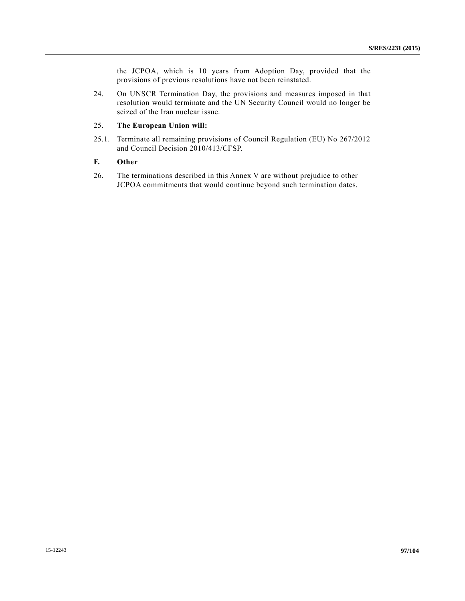the JCPOA, which is 10 years from Adoption Day, provided that the provisions of previous resolutions have not been reinstated.

24. On UNSCR Termination Day, the provisions and measures imposed in that resolution would terminate and the UN Security Council would no longer be seized of the Iran nuclear issue.

## 25. **The European Union will:**

25.1. Terminate all remaining provisions of Council Regulation (EU) No 267/2012 and Council Decision 2010/413/CFSP.

#### **F. Other**

26. The terminations described in this Annex V are without prejudice to other JCPOA commitments that would continue beyond such termination dates.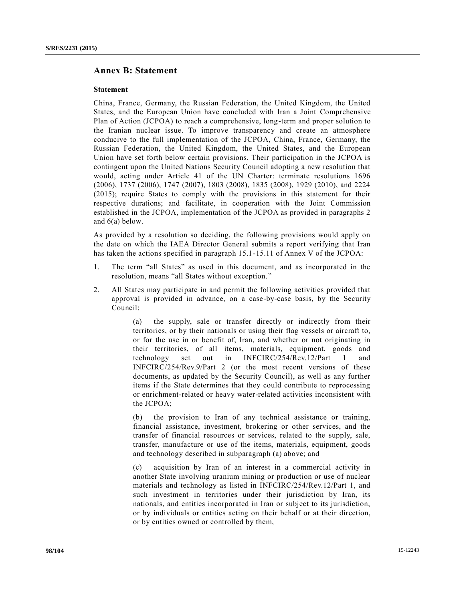# **Annex B: Statement**

#### **Statement**

China, France, Germany, the Russian Federation, the United Kingdom, the United States, and the European Union have concluded with Iran a Joint Comprehensive Plan of Action (JCPOA) to reach a comprehensive, long-term and proper solution to the Iranian nuclear issue. To improve transparency and create an atmosphere conducive to the full implementation of the JCPOA, China, France, Germany, the Russian Federation, the United Kingdom, the United States, and the European Union have set forth below certain provisions. Their participation in the JCPOA is contingent upon the United Nations Security Council adopting a new resolution that would, acting under Article 41 of the UN Charter: terminate resolutions 1696 (2006), 1737 (2006), 1747 (2007), 1803 (2008), 1835 (2008), 1929 (2010), and 2224 (2015); require States to comply with the provisions in this statement for their respective durations; and facilitate, in cooperation with the Joint Commission established in the JCPOA, implementation of the JCPOA as provided in paragraphs 2 and 6(a) below.

As provided by a resolution so deciding, the following provisions would apply on the date on which the IAEA Director General submits a report verifying that Iran has taken the actions specified in paragraph 15.1-15.11 of Annex V of the JCPOA:

- 1. The term "all States" as used in this document, and as incorporated in the resolution, means "all States without exception."
- 2. All States may participate in and permit the following activities provided that approval is provided in advance, on a case-by-case basis, by the Security Council:

(a) the supply, sale or transfer directly or indirectly from their territories, or by their nationals or using their flag vessels or aircraft to, or for the use in or benefit of, Iran, and whether or not originating in their territories, of all items, materials, equipment, goods and technology set out in INFCIRC/254/Rev.12/Part 1 and INFCIRC/254/Rev.9/Part 2 (or the most recent versions of these documents, as updated by the Security Council), as well as any further items if the State determines that they could contribute to reprocessing or enrichment-related or heavy water-related activities inconsistent with the JCPOA;

(b) the provision to Iran of any technical assistance or training, financial assistance, investment, brokering or other services, and the transfer of financial resources or services, related to the supply, sale, transfer, manufacture or use of the items, materials, equipment, goods and technology described in subparagraph (a) above; and

(c) acquisition by Iran of an interest in a commercial activity in another State involving uranium mining or production or use of nuclear materials and technology as listed in INFCIRC/254/Rev.12/Part 1, and such investment in territories under their jurisdiction by Iran, its nationals, and entities incorporated in Iran or subject to its jurisdiction, or by individuals or entities acting on their behalf or at their direction, or by entities owned or controlled by them,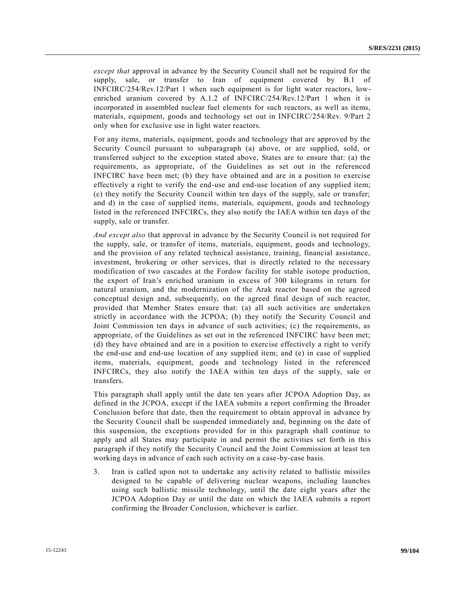*except that* approval in advance by the Security Council shall not be required for the supply, sale, or transfer to Iran of equipment covered by B.1 of INFCIRC/254/Rev.12/Part 1 when such equipment is for light water reactors, lowenriched uranium covered by A.1.2 of INFCIRC/254/Rev.12/Part 1 when it is incorporated in assembled nuclear fuel elements for such reactors, as well as items, materials, equipment, goods and technology set out in INFCIRC/254/Rev. 9/Part 2 only when for exclusive use in light water reactors.

For any items, materials, equipment, goods and technology that are approved by the Security Council pursuant to subparagraph (a) above, or are supplied, sold, or transferred subject to the exception stated above, States are to ensure that: (a) the requirements, as appropriate, of the Guidelines as set out in the referenced INFCIRC have been met; (b) they have obtained and are in a position to exercise effectively a right to verify the end-use and end-use location of any supplied item; (c) they notify the Security Council within ten days of the supply, sale or transfer; and d) in the case of supplied items, materials, equipment, goods and technology listed in the referenced INFCIRCs, they also notify the IAEA within ten days of the supply, sale or transfer.

*And except also* that approval in advance by the Security Council is not required for the supply, sale, or transfer of items, materials, equipment, goods and technology, and the provision of any related technical assistance, training, financial assistance, investment, brokering or other services, that is directly related to the necessary modification of two cascades at the Fordow facility for stable isotope production, the export of Iran's enriched uranium in excess of 300 kilograms in return for natural uranium, and the modernization of the Arak reactor based on the agreed conceptual design and, subsequently, on the agreed final design of such reactor, provided that Member States ensure that: (a) all such activities are undertaken strictly in accordance with the JCPOA; (b) they notify the Security Council and Joint Commission ten days in advance of such activities; (c) the requirements, as appropriate, of the Guidelines as set out in the referenced INFCIRC have been met; (d) they have obtained and are in a position to exercise effectively a right to verify the end-use and end-use location of any supplied item; and (e) in case of supplied items, materials, equipment, goods and technology listed in the referenced INFCIRCs, they also notify the IAEA within ten days of the supply, sale or transfers.

This paragraph shall apply until the date ten years after JCPOA Adoption Day, as defined in the JCPOA, except if the IAEA submits a report confirming the Broader Conclusion before that date, then the requirement to obtain approval in advance by the Security Council shall be suspended immediately and, beginning on the date of this suspension, the exceptions provided for in this paragraph shall continue to apply and all States may participate in and permit the activities set forth in this paragraph if they notify the Security Council and the Joint Commission at least ten working days in advance of each such activity on a case-by-case basis.

3. Iran is called upon not to undertake any activity related to ballistic missiles designed to be capable of delivering nuclear weapons, including launches using such ballistic missile technology, until the date eight years after the JCPOA Adoption Day or until the date on which the IAEA submits a report confirming the Broader Conclusion, whichever is earlier.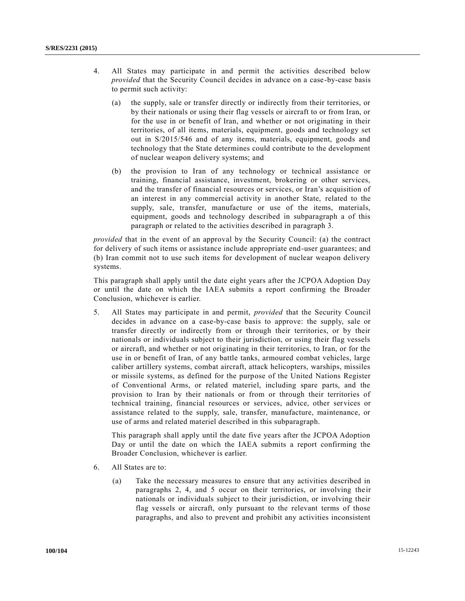- 4. All States may participate in and permit the activities described below *provided* that the Security Council decides in advance on a case-by-case basis to permit such activity:
	- (a) the supply, sale or transfer directly or indirectly from their territories, or by their nationals or using their flag vessels or aircraft to or from Iran, or for the use in or benefit of Iran, and whether or not originating in their territories, of all items, materials, equipment, goods and technology set out in S/2015/546 and of any items, materials, equipment, goods and technology that the State determines could contribute to the development of nuclear weapon delivery systems; and
	- (b) the provision to Iran of any technology or technical assistance or training, financial assistance, investment, brokering or other services, and the transfer of financial resources or services, or Iran's acquisition of an interest in any commercial activity in another State, related to the supply, sale, transfer, manufacture or use of the items, materials, equipment, goods and technology described in subparagraph a of this paragraph or related to the activities described in paragraph 3.

*provided* that in the event of an approval by the Security Council: (a) the contract for delivery of such items or assistance include appropriate end-user guarantees; and (b) Iran commit not to use such items for development of nuclear weapon delivery systems.

This paragraph shall apply until the date eight years after the JCPOA Adoption Day or until the date on which the IAEA submits a report confirming the Broader Conclusion, whichever is earlier.

5. All States may participate in and permit, *provided* that the Security Council decides in advance on a case-by-case basis to approve: the supply, sale or transfer directly or indirectly from or through their territories, or by their nationals or individuals subject to their jurisdiction, or using their flag vessels or aircraft, and whether or not originating in their territories, to Iran, or for the use in or benefit of Iran, of any battle tanks, armoured combat vehicles, large caliber artillery systems, combat aircraft, attack helicopters, warships, missiles or missile systems, as defined for the purpose of the United Nations Register of Conventional Arms, or related materiel, including spare parts, and the provision to Iran by their nationals or from or through their territories of technical training, financial resources or services, advice, other services or assistance related to the supply, sale, transfer, manufacture, maintenance, or use of arms and related materiel described in this subparagraph.

This paragraph shall apply until the date five years after the JCPOA Adoption Day or until the date on which the IAEA submits a report confirming the Broader Conclusion, whichever is earlier.

- 6. All States are to:
	- (a) Take the necessary measures to ensure that any activities described in paragraphs 2, 4, and 5 occur on their territories, or involving their nationals or individuals subject to their jurisdiction, or involving their flag vessels or aircraft, only pursuant to the relevant terms of those paragraphs, and also to prevent and prohibit any activities inconsistent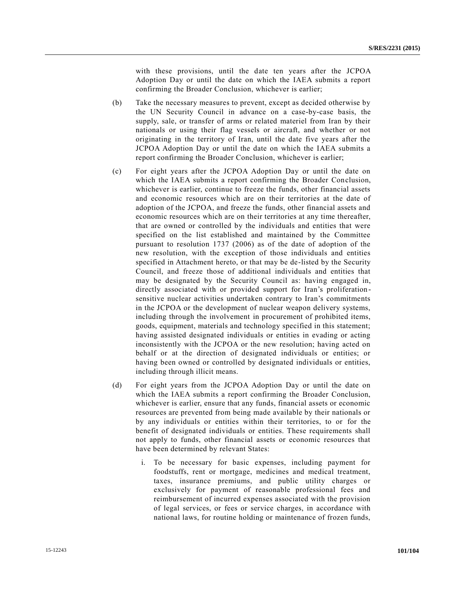with these provisions, until the date ten years after the JCPOA Adoption Day or until the date on which the IAEA submits a report confirming the Broader Conclusion, whichever is earlier;

- (b) Take the necessary measures to prevent, except as decided otherwise by the UN Security Council in advance on a case-by-case basis, the supply, sale, or transfer of arms or related materiel from Iran by their nationals or using their flag vessels or aircraft, and whether or not originating in the territory of Iran, until the date five years after the JCPOA Adoption Day or until the date on which the IAEA submits a report confirming the Broader Conclusion, whichever is earlier;
- (c) For eight years after the JCPOA Adoption Day or until the date on which the IAEA submits a report confirming the Broader Conclusion, whichever is earlier, continue to freeze the funds, other financial assets and economic resources which are on their territories at the date of adoption of the JCPOA, and freeze the funds, other financial assets and economic resources which are on their territories at any time thereafter, that are owned or controlled by the individuals and entities that were specified on the list established and maintained by the Committee pursuant to resolution 1737 (2006) as of the date of adoption of the new resolution, with the exception of those individuals and entities specified in Attachment hereto, or that may be de-listed by the Security Council, and freeze those of additional individuals and entities that may be designated by the Security Council as: having engaged in, directly associated with or provided support for Iran's proliferation sensitive nuclear activities undertaken contrary to Iran's commitments in the JCPOA or the development of nuclear weapon delivery systems, including through the involvement in procurement of prohibited items, goods, equipment, materials and technology specified in this statement; having assisted designated individuals or entities in evading or acting inconsistently with the JCPOA or the new resolution; having acted on behalf or at the direction of designated individuals or entities; or having been owned or controlled by designated individuals or entities, including through illicit means.
- (d) For eight years from the JCPOA Adoption Day or until the date on which the IAEA submits a report confirming the Broader Conclusion, whichever is earlier, ensure that any funds, financial assets or economic resources are prevented from being made available by their nationals or by any individuals or entities within their territories, to or for the benefit of designated individuals or entities. These requirements shall not apply to funds, other financial assets or economic resources that have been determined by relevant States:
	- i. To be necessary for basic expenses, including payment for foodstuffs, rent or mortgage, medicines and medical treatment, taxes, insurance premiums, and public utility charges or exclusively for payment of reasonable professional fees and reimbursement of incurred expenses associated with the provision of legal services, or fees or service charges, in accordance with national laws, for routine holding or maintenance of frozen funds,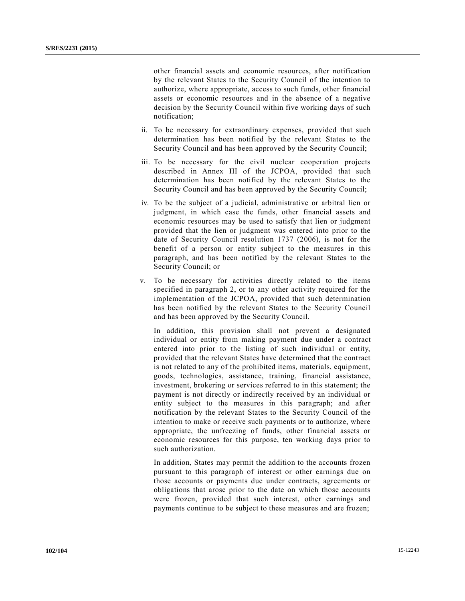other financial assets and economic resources, after notification by the relevant States to the Security Council of the intention to authorize, where appropriate, access to such funds, other financial assets or economic resources and in the absence of a negative decision by the Security Council within five working days of such notification;

- ii. To be necessary for extraordinary expenses, provided that such determination has been notified by the relevant States to the Security Council and has been approved by the Security Council;
- iii. To be necessary for the civil nuclear cooperation projects described in Annex III of the JCPOA, provided that such determination has been notified by the relevant States to the Security Council and has been approved by the Security Council;
- iv. To be the subject of a judicial, administrative or arbitral lien or judgment, in which case the funds, other financial assets and economic resources may be used to satisfy that lien or judgment provided that the lien or judgment was entered into prior to the date of Security Council resolution 1737 (2006), is not for the benefit of a person or entity subject to the measures in this paragraph, and has been notified by the relevant States to the Security Council; or
- v. To be necessary for activities directly related to the items specified in paragraph 2, or to any other activity required for the implementation of the JCPOA, provided that such determination has been notified by the relevant States to the Security Council and has been approved by the Security Council.

In addition, this provision shall not prevent a designated individual or entity from making payment due under a contract entered into prior to the listing of such individual or entity, provided that the relevant States have determined that the contract is not related to any of the prohibited items, materials, equipment, goods, technologies, assistance, training, financial assistance, investment, brokering or services referred to in this statement; the payment is not directly or indirectly received by an individual or entity subject to the measures in this paragraph; and after notification by the relevant States to the Security Council of the intention to make or receive such payments or to authorize, where appropriate, the unfreezing of funds, other financial assets or economic resources for this purpose, ten working days prior to such authorization.

In addition, States may permit the addition to the accounts frozen pursuant to this paragraph of interest or other earnings due on those accounts or payments due under contracts, agreements or obligations that arose prior to the date on which those accounts were frozen, provided that such interest, other earnings and payments continue to be subject to these measures and are frozen;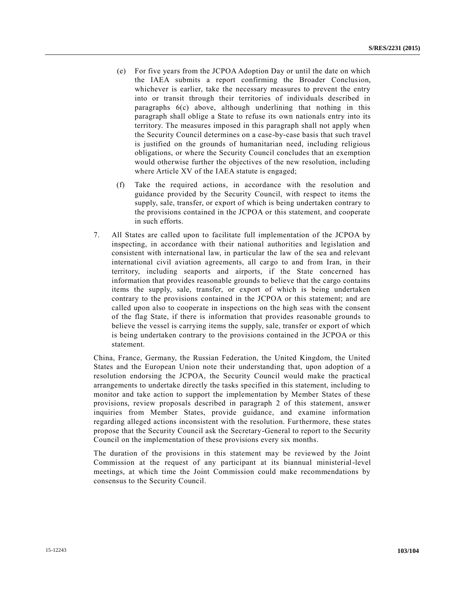- (e) For five years from the JCPOA Adoption Day or until the date on which the IAEA submits a report confirming the Broader Conclusion, whichever is earlier, take the necessary measures to prevent the entry into or transit through their territories of individuals described in paragraphs 6(c) above, although underlining that nothing in this paragraph shall oblige a State to refuse its own nationals entry into its territory. The measures imposed in this paragraph shall not apply when the Security Council determines on a case-by-case basis that such travel is justified on the grounds of humanitarian need, including religious obligations, or where the Security Council concludes that an exemption would otherwise further the objectives of the new resolution, including where Article XV of the IAEA statute is engaged;
- (f) Take the required actions, in accordance with the resolution and guidance provided by the Security Council, with respect to items the supply, sale, transfer, or export of which is being undertaken contrary to the provisions contained in the JCPOA or this statement, and cooperate in such efforts.
- 7. All States are called upon to facilitate full implementation of the JCPOA by inspecting, in accordance with their national authorities and legislation and consistent with international law, in particular the law of the sea and relevant international civil aviation agreements, all cargo to and from Iran, in their territory, including seaports and airports, if the State concerned has information that provides reasonable grounds to believe that the cargo contains items the supply, sale, transfer, or export of which is being undertaken contrary to the provisions contained in the JCPOA or this statement; and are called upon also to cooperate in inspections on the high seas with the consent of the flag State, if there is information that provides reasonable grounds to believe the vessel is carrying items the supply, sale, transfer or export of which is being undertaken contrary to the provisions contained in the JCPOA or this statement.

China, France, Germany, the Russian Federation, the United Kingdom, the United States and the European Union note their understanding that, upon adoption of a resolution endorsing the JCPOA, the Security Council would make the practical arrangements to undertake directly the tasks specified in this statement, including to monitor and take action to support the implementation by Member States of these provisions, review proposals described in paragraph 2 of this statement, answer inquiries from Member States, provide guidance, and examine information regarding alleged actions inconsistent with the resolution. Furthermore, these states propose that the Security Council ask the Secretary-General to report to the Security Council on the implementation of these provisions every six months.

The duration of the provisions in this statement may be reviewed by the Joint Commission at the request of any participant at its biannual ministerial-level meetings, at which time the Joint Commission could make recommendations by consensus to the Security Council.